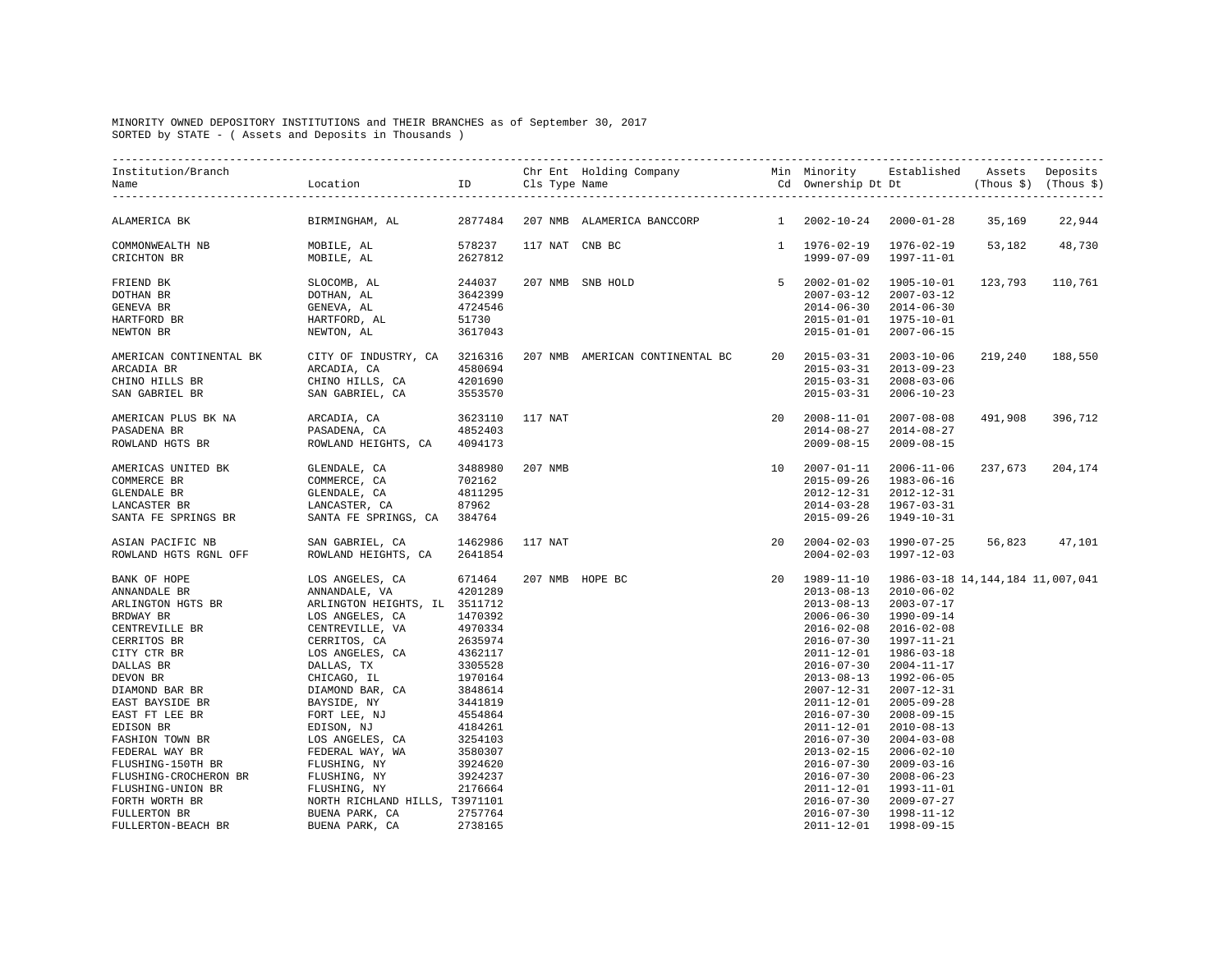## MINORITY OWNED DEPOSITORY INSTITUTIONS and THEIR BRANCHES as of September 30, 2017 SORTED by STATE - ( Assets and Deposits in Thousands )

| ALAMERICA BK                                                                                                                                                                                                                                                                                                                                                                                                                                         | BIRMINGHAM, AL $2877484$ 207 NMB ALAMERICA BANCCORP |  |                                                                                                                                                                                                                                                                                                                                                                           | 1 2002-10-24 2000-01-28 35,169                                          |                                |         | 22,944          |
|------------------------------------------------------------------------------------------------------------------------------------------------------------------------------------------------------------------------------------------------------------------------------------------------------------------------------------------------------------------------------------------------------------------------------------------------------|-----------------------------------------------------|--|---------------------------------------------------------------------------------------------------------------------------------------------------------------------------------------------------------------------------------------------------------------------------------------------------------------------------------------------------------------------------|-------------------------------------------------------------------------|--------------------------------|---------|-----------------|
|                                                                                                                                                                                                                                                                                                                                                                                                                                                      |                                                     |  |                                                                                                                                                                                                                                                                                                                                                                           | 1 1976-02-19 1976-02-19<br>1999-07-09 1997-11-01                        |                                | 53,182  | 48,730          |
| $\begin{tabular}{lcccccc} \bf FRIEND & BK & SLOCOMB, AL & 244037 & 207 NMB & SNB HOLD \\ \bf{DOTHAN & BR & DOTHAN, AL & 3642399 \\ \bf GENEVA & BR & GENEVA, AL & 4724546 \\ \bf HARTFORD & BR & HARTFORD, AL & 51730 \\ \bf NEWTON & BR & NEWTON, AL & 3617043 \\ \end{tabular}$                                                                                                                                                                    |                                                     |  | $\begin{array}{cccc} 5 & 2002-01-02 & 1905-10-01 \\ 2007-03-12 & 2007-03-12 \\ 2014-06-30 & 2014-06-30 \\ 2015-01-01 & 1975-10-01 \\ 2015-01-01 & 2007-06-15 \end{array}$                                                                                                                                                                                                 |                                                                         |                                | 123,793 | 110,761         |
|                                                                                                                                                                                                                                                                                                                                                                                                                                                      |                                                     |  |                                                                                                                                                                                                                                                                                                                                                                           |                                                                         |                                |         | 219,240 188,550 |
| 4852403 AMERICAN PLUS BK NA ARCADIA, CA 3623110 117 NAT 2008-11-01 2007-08-08<br>2014-08-27 2014-08-27 PASADENA, CA 4852403 2014-08-27 2014-08-27<br>2009-08-15 2009-08-15 2009-08-15                                                                                                                                                                                                                                                                |                                                     |  |                                                                                                                                                                                                                                                                                                                                                                           |                                                                         |                                |         | 491,908 396,712 |
| $\begin{tabular}{lllllllllllllllllllllll} \multicolumn{3}{c}{\textbf{AMERICAS}} &\textbf{UNITED BK} &\textbf{GLENDALE}\,,\textbf{CA} &\textbf{3488980}&\textbf{207 MMB} \\ \multicolumn{3}{c}{\textbf{COMMERCE BR}} &\textbf{COMMERCE}\,,\textbf{CA} &\textbf{702162} \\ \multicolumn{3}{c}{\textbf{GLENDALE BR}} &\textbf{GLENDALE}\,,\textbf{CA} &\textbf{4811295} \\ \multicolumn{3}{c}{\textbf{LANCASTER BR}} &\textbf{LANCASTER}\,,\textbf{CA}$ |                                                     |  | 207 NMB<br>207 NMB<br>$10 \t 2007 - 01 - 11$<br>2015-09-26<br>2012-12-31<br>2014-03-28<br>2014-03-28<br>2015-09-26                                                                                                                                                                                                                                                        | 2015-09-26 1983-06-16<br>2014-03-28 1967-03-31<br>2015-09-26 1949-10-31 | $2006 - 11 - 06$<br>2012-12-31 | 237,673 | 204,174         |
|                                                                                                                                                                                                                                                                                                                                                                                                                                                      |                                                     |  |                                                                                                                                                                                                                                                                                                                                                                           |                                                                         |                                |         |                 |
| KOWLAND ROIS ROML OFF ROWLAND BEIGHTS, CA 2641694<br>NEW OFF ROPE LOS ANKANDALE R<br>ANKANDALE BR<br>ANKANDALE BR<br>ANKANDALE BR<br>MELINGTON HETGHTS, TL 3511712<br>2020129<br>20201292<br>2020127 CENTREVILLE BR<br>CENTRO ANGELES, CA 497033                                                                                                                                                                                                     |                                                     |  | $\begin{tabular}{lllllllllll} \multicolumn{4}{c}{\textbf{2004-02-03}} & $\color{red}1997\text{\,-}14\text{\,-}14$, $144, $184$ & $11,007,041$ \\ \multicolumn{4}{c}{\textbf{2013-08-13}} & $\color{red}2019\text{\,-}86\text{\,-}03\text{\,-}18$ & $14,144,184$ & $11,007,041$ \\ \multicolumn{4}{c}{\textbf{2013-08-13}} & $\color{red}2010\text{\,-}06\text{\,-}02$ \\$ |                                                                         |                                |         |                 |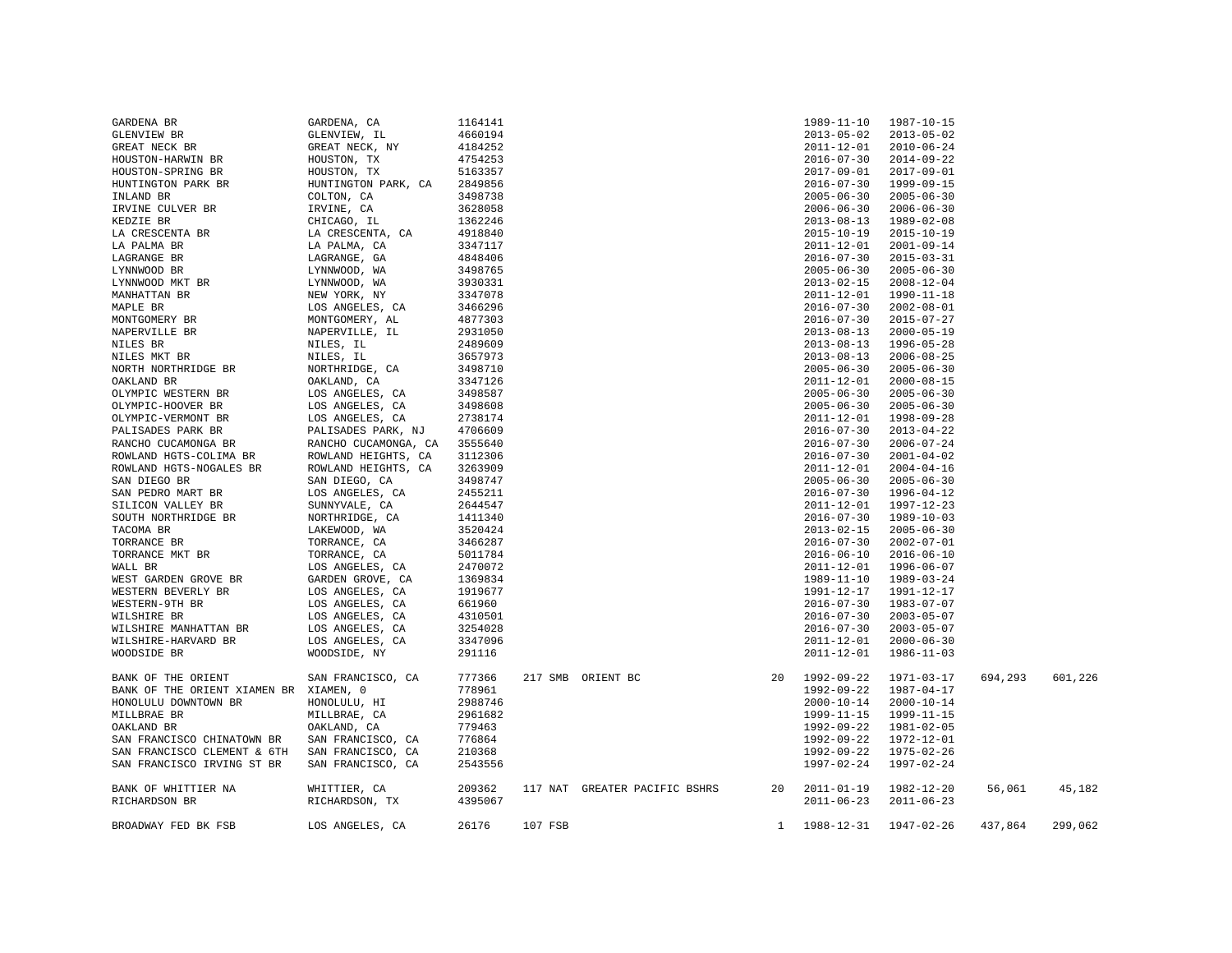| GARDENA BR                             | GARDENA, CA          | 1164141 |         |                               |              | 1989-11-10       | 1987-10-15       |         |         |
|----------------------------------------|----------------------|---------|---------|-------------------------------|--------------|------------------|------------------|---------|---------|
| GLENVIEW BR                            | GLENVIEW, IL         | 4660194 |         |                               |              | $2013 - 05 - 02$ | $2013 - 05 - 02$ |         |         |
| GREAT NECK BR                          | GREAT NECK, NY       | 4184252 |         |                               |              | $2011 - 12 - 01$ | $2010 - 06 - 24$ |         |         |
| HOUSTON-HARWIN BR                      | HOUSTON, TX          | 4754253 |         |                               |              | $2016 - 07 - 30$ | $2014 - 09 - 22$ |         |         |
| HOUSTON-SPRING BR                      | HOUSTON, TX          | 5163357 |         |                               |              | $2017 - 09 - 01$ | $2017 - 09 - 01$ |         |         |
| HUNTINGTON PARK BR                     | HUNTINGTON PARK, CA  | 2849856 |         |                               |              | $2016 - 07 - 30$ | 1999-09-15       |         |         |
| INLAND BR                              | COLTON, CA           | 3498738 |         |                               |              | $2005 - 06 - 30$ | $2005 - 06 - 30$ |         |         |
| IRVINE CULVER BR                       | IRVINE, CA           | 3628058 |         |                               |              | $2006 - 06 - 30$ | $2006 - 06 - 30$ |         |         |
| KEDZIE BR                              | CHICAGO, IL          | 1362246 |         |                               |              | $2013 - 08 - 13$ | 1989-02-08       |         |         |
| LA CRESCENTA BR                        | LA CRESCENTA, CA     | 4918840 |         |                               |              | $2015 - 10 - 19$ | $2015 - 10 - 19$ |         |         |
| LA PALMA BR                            | LA PALMA, CA         | 3347117 |         |                               |              | $2011 - 12 - 01$ | $2001 - 09 - 14$ |         |         |
| LAGRANGE BR                            | LAGRANGE, GA         | 4848406 |         |                               |              | $2016 - 07 - 30$ | $2015 - 03 - 31$ |         |         |
| LYNNWOOD BR                            | LYNNWOOD, WA         | 3498765 |         |                               |              | $2005 - 06 - 30$ | $2005 - 06 - 30$ |         |         |
| LYNNWOOD MKT BR                        | LYNNWOOD, WA         | 3930331 |         |                               |              | $2013 - 02 - 15$ | $2008 - 12 - 04$ |         |         |
| MANHATTAN BR                           | NEW YORK, NY         | 3347078 |         |                               |              | $2011 - 12 - 01$ | 1990-11-18       |         |         |
| MAPLE BR                               | LOS ANGELES, CA      | 3466296 |         |                               |              | $2016 - 07 - 30$ | $2002 - 08 - 01$ |         |         |
| MONTGOMERY BR                          | MONTGOMERY, AL       | 4877303 |         |                               |              | $2016 - 07 - 30$ | $2015 - 07 - 27$ |         |         |
| NAPERVILLE BR                          | NAPERVILLE, IL       | 2931050 |         |                               |              | $2013 - 08 - 13$ | $2000 - 05 - 19$ |         |         |
| NILES BR                               | NILES, IL            | 2489609 |         |                               |              | $2013 - 08 - 13$ | $1996 - 05 - 28$ |         |         |
| NILES MKT BR                           | NILES, IL            | 3657973 |         |                               |              | $2013 - 08 - 13$ | $2006 - 08 - 25$ |         |         |
| NORTH NORTHRIDGE BR                    | NORTHRIDGE, CA       | 3498710 |         |                               |              | $2005 - 06 - 30$ | $2005 - 06 - 30$ |         |         |
| OAKLAND BR                             | OAKLAND, CA          | 3347126 |         |                               |              | $2011 - 12 - 01$ | $2000 - 08 - 15$ |         |         |
| OLYMPIC WESTERN BR                     | LOS ANGELES, CA      | 3498587 |         |                               |              | $2005 - 06 - 30$ | $2005 - 06 - 30$ |         |         |
| OLYMPIC-HOOVER BR                      | LOS ANGELES, CA      | 3498608 |         |                               |              | $2005 - 06 - 30$ | $2005 - 06 - 30$ |         |         |
| OLYMPIC-VERMONT BR                     | LOS ANGELES, CA      | 2738174 |         |                               |              | $2011 - 12 - 01$ | 1998-09-28       |         |         |
| PALISADES PARK BR                      | PALISADES PARK, NJ   | 4706609 |         |                               |              | $2016 - 07 - 30$ | $2013 - 04 - 22$ |         |         |
| RANCHO CUCAMONGA BR                    | RANCHO CUCAMONGA, CA | 3555640 |         |                               |              | $2016 - 07 - 30$ | $2006 - 07 - 24$ |         |         |
| ROWLAND HGTS-COLIMA BR                 | ROWLAND HEIGHTS, CA  | 3112306 |         |                               |              | $2016 - 07 - 30$ | $2001 - 04 - 02$ |         |         |
| ROWLAND HGTS-NOGALES BR                | ROWLAND HEIGHTS, CA  | 3263909 |         |                               |              | $2011 - 12 - 01$ | $2004 - 04 - 16$ |         |         |
| SAN DIEGO BR                           | SAN DIEGO, CA        | 3498747 |         |                               |              | $2005 - 06 - 30$ | $2005 - 06 - 30$ |         |         |
| SAN PEDRO MART BR                      | LOS ANGELES, CA      | 2455211 |         |                               |              | $2016 - 07 - 30$ | $1996 - 04 - 12$ |         |         |
| SILICON VALLEY BR                      | SUNNYVALE, CA        | 2644547 |         |                               |              | $2011 - 12 - 01$ | 1997-12-23       |         |         |
| SOUTH NORTHRIDGE BR                    | NORTHRIDGE, CA       | 1411340 |         |                               |              | $2016 - 07 - 30$ | $1989 - 10 - 03$ |         |         |
| TACOMA BR                              | LAKEWOOD, WA         | 3520424 |         |                               |              | $2013 - 02 - 15$ | $2005 - 06 - 30$ |         |         |
| TORRANCE BR                            | TORRANCE, CA         | 3466287 |         |                               |              | $2016 - 07 - 30$ | $2002 - 07 - 01$ |         |         |
| TORRANCE MKT BR                        | TORRANCE, CA         | 5011784 |         |                               |              | $2016 - 06 - 10$ | $2016 - 06 - 10$ |         |         |
| WALL BR                                | LOS ANGELES, CA      | 2470072 |         |                               |              | 2011-12-01       | 1996-06-07       |         |         |
| WEST GARDEN GROVE BR                   | GARDEN GROVE, CA     | 1369834 |         |                               |              | 1989-11-10       | 1989-03-24       |         |         |
| WESTERN BEVERLY BR                     | LOS ANGELES, CA      | 1919677 |         |                               |              | 1991-12-17       | 1991-12-17       |         |         |
| WESTERN-9TH BR                         | LOS ANGELES, CA      | 661960  |         |                               |              | $2016 - 07 - 30$ | $1983 - 07 - 07$ |         |         |
| WILSHIRE BR                            | LOS ANGELES, CA      | 4310501 |         |                               |              | $2016 - 07 - 30$ | $2003 - 05 - 07$ |         |         |
| WILSHIRE MANHATTAN BR                  | LOS ANGELES, CA      | 3254028 |         |                               |              | $2016 - 07 - 30$ | $2003 - 05 - 07$ |         |         |
| WILSHIRE-HARVARD BR                    | LOS ANGELES, CA      | 3347096 |         |                               |              | $2011 - 12 - 01$ | $2000 - 06 - 30$ |         |         |
| WOODSIDE BR                            | WOODSIDE, NY         | 291116  |         |                               |              | 2011-12-01       | $1986 - 11 - 03$ |         |         |
|                                        |                      |         |         |                               |              |                  |                  |         |         |
| BANK OF THE ORIENT                     | SAN FRANCISCO, CA    | 777366  |         | 217 SMB ORIENT BC             |              | 20 1992-09-22    | 1971-03-17       | 694,293 | 601,226 |
| BANK OF THE ORIENT XIAMEN BR XIAMEN, 0 |                      | 778961  |         |                               |              | 1992-09-22       | 1987-04-17       |         |         |
| HONOLULU DOWNTOWN BR                   | HONOLULU, HI         | 2988746 |         |                               |              | $2000 - 10 - 14$ | $2000 - 10 - 14$ |         |         |
| MILLBRAE BR                            | MILLBRAE, CA         | 2961682 |         |                               |              | 1999-11-15       | 1999-11-15       |         |         |
| OAKLAND BR                             | OAKLAND, CA          | 779463  |         |                               |              | 1992-09-22       | 1981-02-05       |         |         |
| SAN FRANCISCO CHINATOWN BR             | SAN FRANCISCO, CA    | 776864  |         |                               |              | 1992-09-22       | 1972-12-01       |         |         |
| SAN FRANCISCO CLEMENT & 6TH            | SAN FRANCISCO, CA    | 210368  |         |                               |              | 1992-09-22       | $1975 - 02 - 26$ |         |         |
| SAN FRANCISCO IRVING ST BR             |                      | 2543556 |         |                               |              | 1997-02-24       | 1997-02-24       |         |         |
|                                        | SAN FRANCISCO, CA    |         |         |                               |              |                  |                  |         |         |
| BANK OF WHITTIER NA                    | WHITTIER, CA         | 209362  |         | 117 NAT GREATER PACIFIC BSHRS | 20           | $2011 - 01 - 19$ | 1982-12-20       | 56,061  | 45,182  |
| RICHARDSON BR                          | RICHARDSON, TX       | 4395067 |         |                               |              | $2011 - 06 - 23$ | $2011 - 06 - 23$ |         |         |
|                                        |                      |         |         |                               |              |                  |                  |         |         |
| BROADWAY FED BK FSB                    | LOS ANGELES, CA      | 26176   | 107 FSB |                               | $\mathbf{1}$ | 1988-12-31       | 1947-02-26       | 437,864 | 299,062 |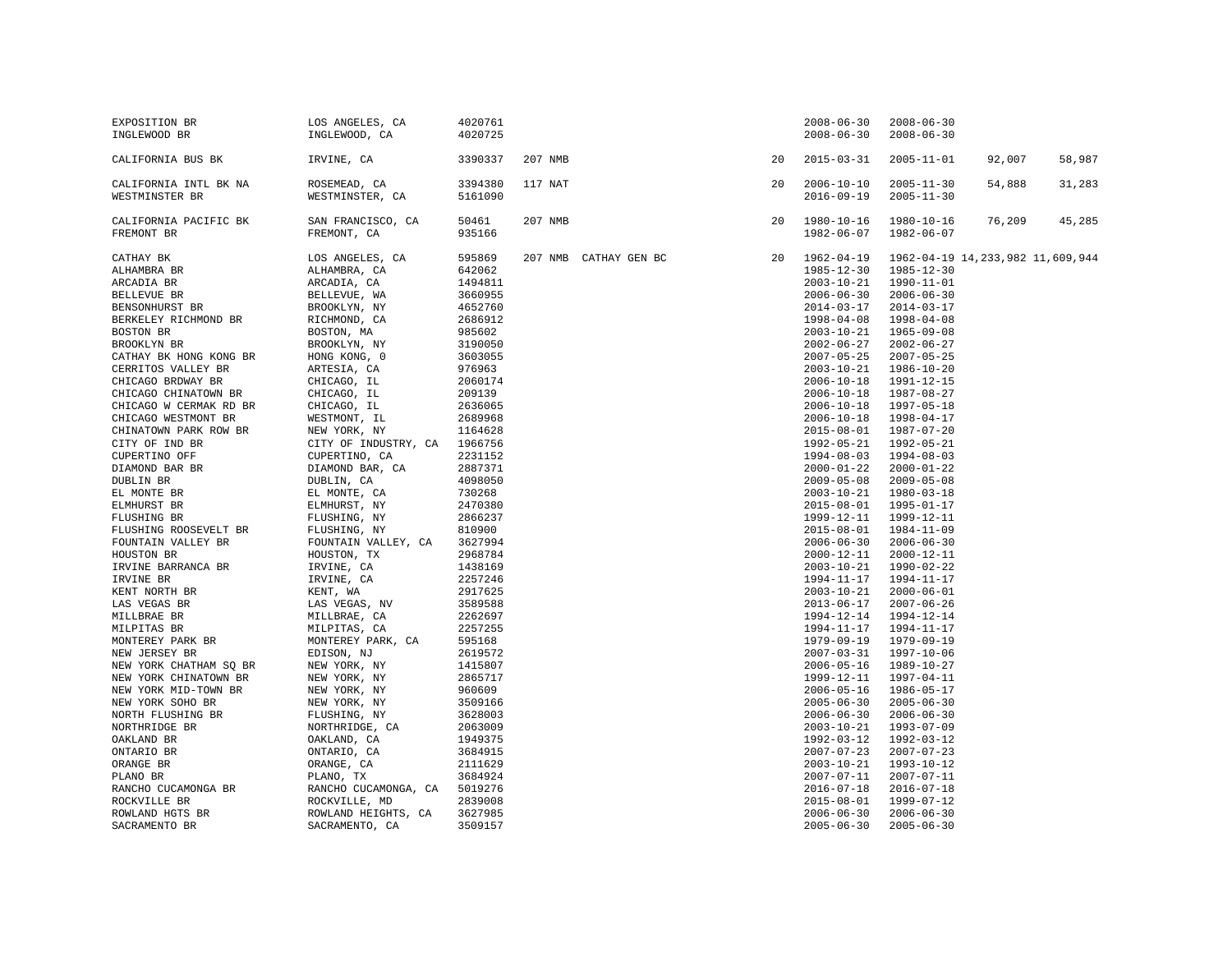| EXPOSITION BR<br>INGLEWOOD BR                                                                                                                                                                                                                                                                                                                                                                                                                                                                                                                                                                                                                                                                                                                                                                                                                                     | LOS ANGELES, CA<br>INGLEWOOD, CA                                                                                                                                                                                                                                                                                                                                                                                                                                                                                                                                                                                                                                                                                                                        | 4020761<br>4020725                                                                                                                                                                                                                                                                                                                                                                                                                                                |         |                       |    | $2008 - 06 - 30$<br>$2008 - 06 - 30$                                                                                                                                                                                                                                                                                                                                                                                                                                                                                                                                                                                                                                                                                                                                                                                                                               | $2008 - 06 - 30$<br>$2008 - 06 - 30$                                                                                                                                                                                                                                                                                                                                                                                                                                                                                                                                                                                                                                                                                   |                                      |        |
|-------------------------------------------------------------------------------------------------------------------------------------------------------------------------------------------------------------------------------------------------------------------------------------------------------------------------------------------------------------------------------------------------------------------------------------------------------------------------------------------------------------------------------------------------------------------------------------------------------------------------------------------------------------------------------------------------------------------------------------------------------------------------------------------------------------------------------------------------------------------|---------------------------------------------------------------------------------------------------------------------------------------------------------------------------------------------------------------------------------------------------------------------------------------------------------------------------------------------------------------------------------------------------------------------------------------------------------------------------------------------------------------------------------------------------------------------------------------------------------------------------------------------------------------------------------------------------------------------------------------------------------|-------------------------------------------------------------------------------------------------------------------------------------------------------------------------------------------------------------------------------------------------------------------------------------------------------------------------------------------------------------------------------------------------------------------------------------------------------------------|---------|-----------------------|----|--------------------------------------------------------------------------------------------------------------------------------------------------------------------------------------------------------------------------------------------------------------------------------------------------------------------------------------------------------------------------------------------------------------------------------------------------------------------------------------------------------------------------------------------------------------------------------------------------------------------------------------------------------------------------------------------------------------------------------------------------------------------------------------------------------------------------------------------------------------------|------------------------------------------------------------------------------------------------------------------------------------------------------------------------------------------------------------------------------------------------------------------------------------------------------------------------------------------------------------------------------------------------------------------------------------------------------------------------------------------------------------------------------------------------------------------------------------------------------------------------------------------------------------------------------------------------------------------------|--------------------------------------|--------|
| CALIFORNIA BUS BK                                                                                                                                                                                                                                                                                                                                                                                                                                                                                                                                                                                                                                                                                                                                                                                                                                                 | IRVINE, CA                                                                                                                                                                                                                                                                                                                                                                                                                                                                                                                                                                                                                                                                                                                                              | 3390337                                                                                                                                                                                                                                                                                                                                                                                                                                                           | 207 NMB |                       | 20 | $2015 - 03 - 31$                                                                                                                                                                                                                                                                                                                                                                                                                                                                                                                                                                                                                                                                                                                                                                                                                                                   | $2005 - 11 - 01$                                                                                                                                                                                                                                                                                                                                                                                                                                                                                                                                                                                                                                                                                                       | 92,007                               | 58,987 |
| CALIFORNIA INTL BK NA<br>WESTMINSTER BR                                                                                                                                                                                                                                                                                                                                                                                                                                                                                                                                                                                                                                                                                                                                                                                                                           | ROSEMEAD, CA<br>WESTMINSTER, CA                                                                                                                                                                                                                                                                                                                                                                                                                                                                                                                                                                                                                                                                                                                         | 3394380<br>5161090                                                                                                                                                                                                                                                                                                                                                                                                                                                | 117 NAT |                       | 20 | $2006 - 10 - 10$<br>$2016 - 09 - 19$                                                                                                                                                                                                                                                                                                                                                                                                                                                                                                                                                                                                                                                                                                                                                                                                                               | $2005 - 11 - 30$<br>$2005 - 11 - 30$                                                                                                                                                                                                                                                                                                                                                                                                                                                                                                                                                                                                                                                                                   | 54,888                               | 31,283 |
| CALIFORNIA PACIFIC BK<br>FREMONT BR                                                                                                                                                                                                                                                                                                                                                                                                                                                                                                                                                                                                                                                                                                                                                                                                                               | SAN FRANCISCO, CA<br>FREMONT, CA                                                                                                                                                                                                                                                                                                                                                                                                                                                                                                                                                                                                                                                                                                                        | 50461<br>935166                                                                                                                                                                                                                                                                                                                                                                                                                                                   | 207 NMB |                       | 20 | 1980-10-16<br>$1982 - 06 - 07$                                                                                                                                                                                                                                                                                                                                                                                                                                                                                                                                                                                                                                                                                                                                                                                                                                     | $1980 - 10 - 16$<br>1982-06-07                                                                                                                                                                                                                                                                                                                                                                                                                                                                                                                                                                                                                                                                                         | 76,209                               | 45,285 |
| CATHAY BK<br>ALHAMBRA BR<br>ARCADIA BR<br>BELLEVUE BR<br>BENSONHURST BR<br>BERKELEY RICHMOND BR<br>BOSTON BR<br>BROOKLYN BR<br>CATHAY BK HONG KONG BR<br>CERRITOS VALLEY BR<br>CHICAGO BRDWAY BR<br>CHICAGO CHINATOWN BR<br>CHICAGO W CERMAK RD BR<br>CHICAGO WESTMONT BR<br>CHINATOWN PARK ROW BR<br>CITY OF IND BR<br>CUPERTINO OFF<br>DIAMOND BAR BR<br>DUBLIN BR<br>EL MONTE BR<br>ELMHURST BR<br>FLUSHING BR<br>FLUSHING ROOSEVELT BR<br>FOUNTAIN VALLEY BR<br>HOUSTON BR<br>IRVINE BARRANCA BR<br>IRVINE BR<br>KENT NORTH BR<br>LAS VEGAS BR<br>MILLBRAE BR<br>MILPITAS BR<br>ILLPITT AND PARK BRACK CHINA CONTEREY BRACK CHINA SQ BRACK CHINATOWN BRACK CHINATOWN BRACK CHINATOWN BRACK CHINATOWN BRACK CHINATOWN BR<br>NEW YORK SOHO BR<br>NORTH FLUSHING BR<br>NORTHRIDGE BR<br>OAKLAND BR<br>ONTARIO BR<br>ORANGE BR<br>PLANO BR<br>RANCHO CUCAMONGA BR | LOS ANGELES, CA<br>ALHAMBRA, CA<br>ARCADIA, CA<br>BELLEVUE, WA<br>BROOKLYN, NY<br>RICHMOND, CA<br>BOSTON, MA<br>BROOKLYN, NY<br>HONG KONG, 0<br>ARTESIA, CA<br>CHICAGO, IL<br>CHICAGO, IL<br>CHICAGO, IL<br>WESTMONT, IL<br>NEW YORK, NY<br>CITY OF INDUSTRY, CA 1966756<br>CUPERTINO, CA<br>DIAMOND BAR, CA<br>DUBLIN, CA<br>EL MONTE, CA<br>ELMHURST, NY<br>FLUSHING, NY<br>FLUSHING, NY<br>FOUNTAIN VALLEY, CA<br>HOUSTON, TX<br>IRVINE, CA<br>IRVINE, CA<br>KENT, WA<br>LAS VEGAS, NV<br>MILLBRAE, CA<br>MILPITAS, CA<br>MONTEREY PARK, CA<br>EDISON, NJ<br>NEW YORK, NY<br>NEW YORK, NY<br>NEW YORK, NY<br>NEW YORK, NY<br>FLUSHING, NY<br>NORTHRIDGE, CA<br>OAKLAND, CA<br>ONTARIO, CA<br>ORANGE, CA<br>PLANO, TX<br>RANCHO CUCAMONGA, CA 5019276 | 595869<br>642062<br>1494811<br>3660955<br>4652760<br>2686912<br>985602<br>3190050<br>3603055<br>976963<br>2060174<br>209139<br>2636065<br>2689968<br>1164628<br>2231152<br>2887371<br>4098050<br>730268<br>2470380<br>2866237<br>810900<br>3627994<br>2968784<br>1438169<br>2257246<br>2917625<br>3589588<br>2262697<br>2257255<br>595168<br>2619572<br>1415807<br>2865717<br>960609<br>3509166<br>3628003<br>2063009<br>1949375<br>3684915<br>2111629<br>3684924 |         | 207 NMB CATHAY GEN BC | 20 | $1962 - 04 - 19$<br>$1985 - 12 - 30$<br>$2003 - 10 - 21$<br>$2006 - 06 - 30$<br>$2014 - 03 - 17$<br>$1998 - 04 - 08$<br>$2003 - 10 - 21$<br>$2002 - 06 - 27$<br>$2007 - 05 - 25$<br>$2003 - 10 - 21$<br>$2006 - 10 - 18$<br>$2006 - 10 - 18$<br>$2006 - 10 - 18$<br>$2006 - 10 - 18$<br>$2015 - 08 - 01$<br>1992-05-21<br>$1994 - 08 - 03$<br>$2000 - 01 - 22$<br>$2009 - 05 - 08$<br>$2003 - 10 - 21$<br>$2015 - 08 - 01$<br>1999-12-11<br>$2015 - 08 - 01$<br>$2006 - 06 - 30$<br>$2000 - 12 - 11$<br>$2003 - 10 - 21$<br>1994-11-17<br>$2003 - 10 - 21$<br>$2013 - 06 - 17$<br>1994-12-14<br>1994-11-17<br>$1979 - 09 - 19$<br>$2007 - 03 - 31$<br>$2006 - 05 - 16$<br>1999-12-11<br>$2006 - 05 - 16$<br>$2005 - 06 - 30$<br>$2006 - 06 - 30$<br>$2003 - 10 - 21$<br>1992-03-12<br>$2007 - 07 - 23$<br>$2003 - 10 - 21$<br>$2007 - 07 - 11$<br>$2016 - 07 - 18$ | 1985-12-30<br>1990-11-01<br>$2006 - 06 - 30$<br>$2014 - 03 - 17$<br>1998-04-08<br>1965-09-08<br>$2002 - 06 - 27$<br>$2007 - 05 - 25$<br>$1986 - 10 - 20$<br>1991-12-15<br>1987-08-27<br>$1997 - 05 - 18$<br>1998-04-17<br>1987-07-20<br>1992-05-21<br>1994-08-03<br>$2000 - 01 - 22$<br>$2009 - 05 - 08$<br>1980-03-18<br>$1995 - 01 - 17$<br>1999-12-11<br>1984-11-09<br>$2006 - 06 - 30$<br>2000-12-11<br>1990-02-22<br>1994-11-17<br>$2000 - 06 - 01$<br>$2007 - 06 - 26$<br>1994-12-14<br>1994-11-17<br>1979-09-19<br>1997-10-06<br>1989-10-27<br>1997-04-11<br>1986-05-17<br>$2005 - 06 - 30$<br>$2006 - 06 - 30$<br>1993-07-09<br>1992-03-12<br>$2007 - 07 - 23$<br>1993-10-12<br>2007-07-11<br>$2016 - 07 - 18$ | 1962-04-19 14, 233, 982 11, 609, 944 |        |
| ROCKVILLE BR<br>ROWLAND HGTS BR<br>SACRAMENTO BR                                                                                                                                                                                                                                                                                                                                                                                                                                                                                                                                                                                                                                                                                                                                                                                                                  | ROCKVILLE, MD<br>ROWLAND HEIGHTS, CA<br>SACRAMENTO, CA                                                                                                                                                                                                                                                                                                                                                                                                                                                                                                                                                                                                                                                                                                  | 2839008<br>3627985<br>3509157                                                                                                                                                                                                                                                                                                                                                                                                                                     |         |                       |    | $2015 - 08 - 01$<br>$2006 - 06 - 30$<br>$2005 - 06 - 30$                                                                                                                                                                                                                                                                                                                                                                                                                                                                                                                                                                                                                                                                                                                                                                                                           | 1999-07-12<br>$2006 - 06 - 30$<br>$2005 - 06 - 30$                                                                                                                                                                                                                                                                                                                                                                                                                                                                                                                                                                                                                                                                     |                                      |        |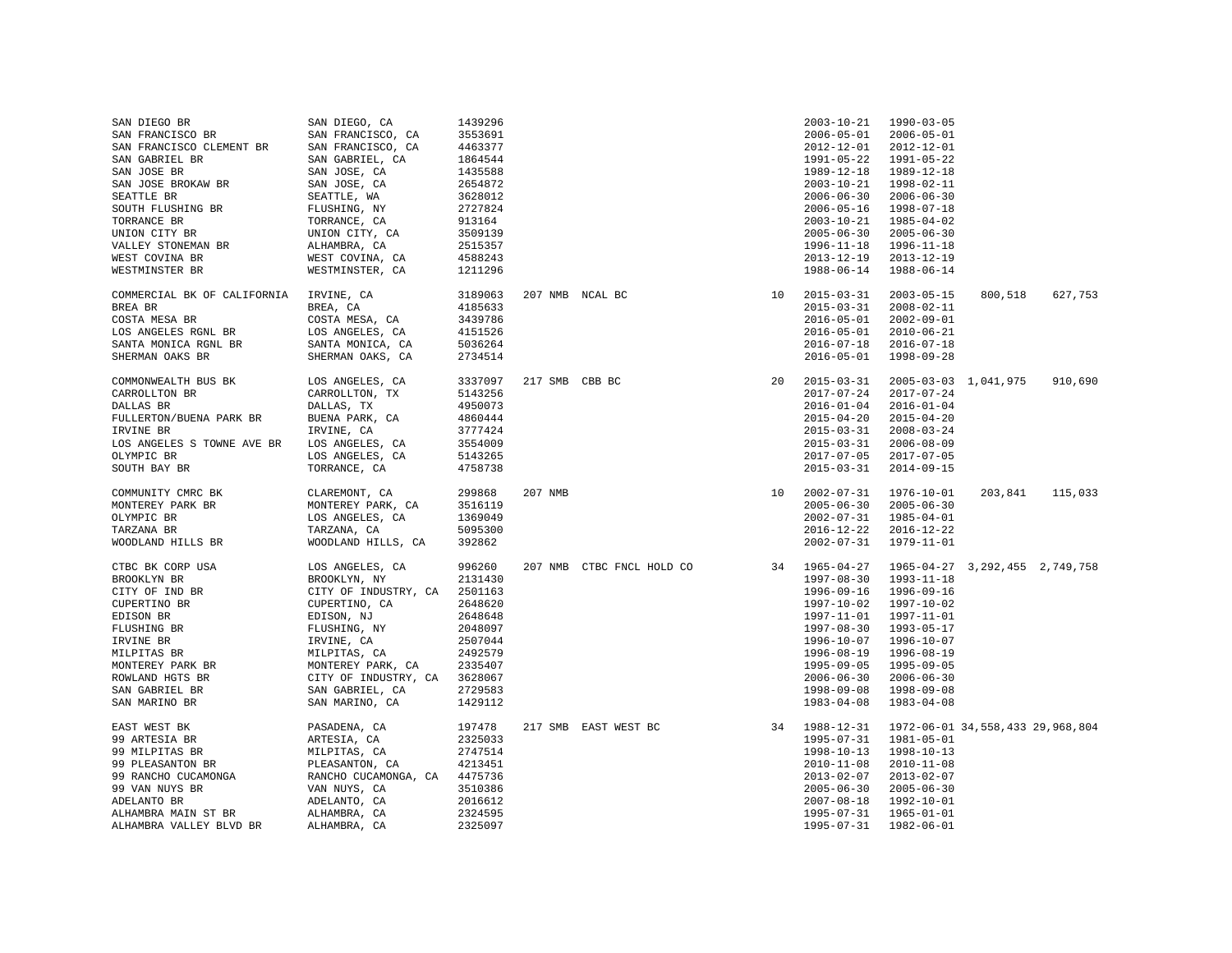| SAN DIEGO BR                | SAN DIEGO, CA                | 1439296 |                 |                           |    | $2003 - 10 - 21$ | 1990-03-05                       |                      |         |
|-----------------------------|------------------------------|---------|-----------------|---------------------------|----|------------------|----------------------------------|----------------------|---------|
| SAN FRANCISCO BR            | SAN FRANCISCO, CA            | 3553691 |                 |                           |    | $2006 - 05 - 01$ | $2006 - 05 - 01$                 |                      |         |
| SAN FRANCISCO CLEMENT BR    | SAN FRANCISCO, CA            | 4463377 |                 |                           |    | $2012 - 12 - 01$ | $2012 - 12 - 01$                 |                      |         |
| SAN GABRIEL BR              | SAN GABRIEL, CA              | 1864544 |                 |                           |    | $1991 - 05 - 22$ | 1991-05-22                       |                      |         |
| SAN JOSE BR                 | SAN JOSE, CA                 | 1435588 |                 |                           |    | 1989-12-18       | 1989-12-18                       |                      |         |
| SAN JOSE BROKAW BR          | SAN JOSE, CA                 | 2654872 |                 |                           |    | $2003 - 10 - 21$ | 1998-02-11                       |                      |         |
| SEATTLE BR                  | SEATTLE, WA                  | 3628012 |                 |                           |    | $2006 - 06 - 30$ | $2006 - 06 - 30$                 |                      |         |
| SOUTH FLUSHING BR           | FLUSHING, NY                 | 2727824 |                 |                           |    | $2006 - 05 - 16$ | 1998-07-18                       |                      |         |
|                             |                              |         |                 |                           |    |                  |                                  |                      |         |
| TORRANCE BR                 | TORRANCE, CA                 | 913164  |                 |                           |    | $2003 - 10 - 21$ | 1985-04-02                       |                      |         |
| UNION CITY BR               | UNION CITY, CA               | 3509139 |                 |                           |    | $2005 - 06 - 30$ | $2005 - 06 - 30$                 |                      |         |
| VALLEY STONEMAN BR          | ALHAMBRA, CA                 | 2515357 |                 |                           |    | $1996 - 11 - 18$ | 1996-11-18                       |                      |         |
| WEST COVINA BR              | WEST COVINA, CA              | 4588243 |                 |                           |    | $2013 - 12 - 19$ | $2013 - 12 - 19$                 |                      |         |
| WESTMINSTER BR              | WESTMINSTER, CA              | 1211296 |                 |                           |    | $1988 - 06 - 14$ | 1988-06-14                       |                      |         |
| COMMERCIAL BK OF CALIFORNIA | IRVINE, CA                   | 3189063 | 207 NMB NCAL BC |                           | 10 | $2015 - 03 - 31$ | $2003 - 05 - 15$                 | 800,518              | 627,753 |
| BREA BR                     | BREA, CA                     | 4185633 |                 |                           |    | $2015 - 03 - 31$ | $2008 - 02 - 11$                 |                      |         |
| COSTA MESA BR               | COSTA MESA, CA               | 3439786 |                 |                           |    | $2016 - 05 - 01$ | $2002 - 09 - 01$                 |                      |         |
| LOS ANGELES RGNL BR         | LOS ANGELES, CA              | 4151526 |                 |                           |    | $2016 - 05 - 01$ | $2010 - 06 - 21$                 |                      |         |
|                             |                              |         |                 |                           |    |                  |                                  |                      |         |
| SANTA MONICA RGNL BR        | SANTA MONICA, CA             | 5036264 |                 |                           |    | $2016 - 07 - 18$ | $2016 - 07 - 18$                 |                      |         |
| SHERMAN OAKS BR             | SHERMAN OAKS, CA             | 2734514 |                 |                           |    | $2016 - 05 - 01$ | 1998-09-28                       |                      |         |
| COMMONWEALTH BUS BK         | LOS ANGELES, CA              | 3337097 | 217 SMB CBB BC  |                           | 20 | $2015 - 03 - 31$ |                                  | 2005-03-03 1,041,975 | 910,690 |
| CARROLLTON BR               | CARROLLTON, TX               | 5143256 |                 |                           |    | $2017 - 07 - 24$ | $2017 - 07 - 24$                 |                      |         |
| DALLAS BR                   | DALLAS, TX                   | 4950073 |                 |                           |    | $2016 - 01 - 04$ | $2016 - 01 - 04$                 |                      |         |
| FULLERTON/BUENA PARK BR     | BUENA PARK, CA               | 4860444 |                 |                           |    | $2015 - 04 - 20$ | $2015 - 04 - 20$                 |                      |         |
| IRVINE BR                   | IRVINE, CA                   | 3777424 |                 |                           |    | $2015 - 03 - 31$ | $2008 - 03 - 24$                 |                      |         |
| LOS ANGELES S TOWNE AVE BR  |                              | 3554009 |                 |                           |    | $2015 - 03 - 31$ | $2006 - 08 - 09$                 |                      |         |
|                             | LOS ANGELES, CA              |         |                 |                           |    |                  |                                  |                      |         |
| OLYMPIC BR                  | LOS ANGELES, CA              | 5143265 |                 |                           |    | $2017 - 07 - 05$ | 2017-07-05                       |                      |         |
| SOUTH BAY BR                | TORRANCE, CA                 | 4758738 |                 |                           |    | $2015 - 03 - 31$ | $2014 - 09 - 15$                 |                      |         |
| COMMUNITY CMRC BK           | CLAREMONT, CA                | 299868  | 207 NMB         |                           | 10 | 2002-07-31       | 1976-10-01                       | 203,841              | 115,033 |
| MONTEREY PARK BR            | MONTEREY PARK, CA            | 3516119 |                 |                           |    | $2005 - 06 - 30$ | $2005 - 06 - 30$                 |                      |         |
| OLYMPIC BR                  | LOS ANGELES, CA              | 1369049 |                 |                           |    | $2002 - 07 - 31$ | 1985-04-01                       |                      |         |
| TARZANA BR                  | TARZANA, CA                  | 5095300 |                 |                           |    | $2016 - 12 - 22$ | 2016-12-22                       |                      |         |
| WOODLAND HILLS BR           | WOODLAND HILLS, CA           | 392862  |                 |                           |    | $2002 - 07 - 31$ | 1979-11-01                       |                      |         |
|                             |                              |         |                 |                           |    |                  |                                  |                      |         |
| CTBC BK CORP USA            | LOS ANGELES, CA              | 996260  |                 | 207 NMB CTBC FNCL HOLD CO |    | 34 1965-04-27    | 1965-04-27 3,292,455 2,749,758   |                      |         |
| BROOKLYN BR                 | BROOKLYN, NY                 | 2131430 |                 |                           |    | $1997 - 08 - 30$ | $1993 - 11 - 18$                 |                      |         |
| CITY OF IND BR              | CITY OF INDUSTRY, CA         | 2501163 |                 |                           |    | 1996-09-16       | 1996-09-16                       |                      |         |
| CUPERTINO BR                | CUPERTINO, CA                | 2648620 |                 |                           |    | $1997 - 10 - 02$ | 1997-10-02                       |                      |         |
| EDISON BR                   | EDISON, NJ                   | 2648648 |                 |                           |    | 1997-11-01       | 1997-11-01                       |                      |         |
| FLUSHING BR                 | FLUSHING, NY                 | 2048097 |                 |                           |    | $1997 - 08 - 30$ | 1993-05-17                       |                      |         |
| IRVINE BR                   | IRVINE, CA                   | 2507044 |                 |                           |    | 1996-10-07       | 1996-10-07                       |                      |         |
| MILPITAS BR                 | MILPITAS, CA                 | 2492579 |                 |                           |    | 1996-08-19       | 1996-08-19                       |                      |         |
| MONTEREY PARK BR            | MONTEREY PARK, CA            | 2335407 |                 |                           |    | 1995-09-05       | 1995-09-05                       |                      |         |
| ROWLAND HGTS BR             | CITY OF INDUSTRY, CA 3628067 |         |                 |                           |    | $2006 - 06 - 30$ | $2006 - 06 - 30$                 |                      |         |
| SAN GABRIEL BR              | SAN GABRIEL, CA              | 2729583 |                 |                           |    | 1998-09-08       | 1998-09-08                       |                      |         |
| SAN MARINO BR               | SAN MARINO, CA               | 1429112 |                 |                           |    | $1983 - 04 - 08$ | $1983 - 04 - 08$                 |                      |         |
|                             |                              |         |                 |                           |    |                  |                                  |                      |         |
| EAST WEST BK                | PASADENA, CA                 | 197478  |                 | 217 SMB EAST WEST BC      |    | 34 1988-12-31    | 1972-06-01 34,558,433 29,968,804 |                      |         |
| 99 ARTESIA BR               | ARTESIA, CA                  | 2325033 |                 |                           |    | $1995 - 07 - 31$ | 1981-05-01                       |                      |         |
| 99 MILPITAS BR              | MILPITAS, CA                 | 2747514 |                 |                           |    | $1998 - 10 - 13$ | $1998 - 10 - 13$                 |                      |         |
| 99 PLEASANTON BR            | PLEASANTON, CA               | 4213451 |                 |                           |    | $2010 - 11 - 08$ | $2010 - 11 - 08$                 |                      |         |
| 99 RANCHO CUCAMONGA         | RANCHO CUCAMONGA, CA 4475736 |         |                 |                           |    | $2013 - 02 - 07$ | $2013 - 02 - 07$                 |                      |         |
| 99 VAN NUYS BR              | VAN NUYS, CA                 | 3510386 |                 |                           |    | $2005 - 06 - 30$ | $2005 - 06 - 30$                 |                      |         |
| ADELANTO BR                 | ADELANTO, CA                 | 2016612 |                 |                           |    | $2007 - 08 - 18$ | 1992-10-01                       |                      |         |
| ALHAMBRA MAIN ST BR         | ALHAMBRA, CA                 | 2324595 |                 |                           |    | $1995 - 07 - 31$ | $1965 - 01 - 01$                 |                      |         |
| ALHAMBRA VALLEY BLVD BR     | ALHAMBRA, CA                 | 2325097 |                 |                           |    | $1995 - 07 - 31$ | 1982-06-01                       |                      |         |
|                             |                              |         |                 |                           |    |                  |                                  |                      |         |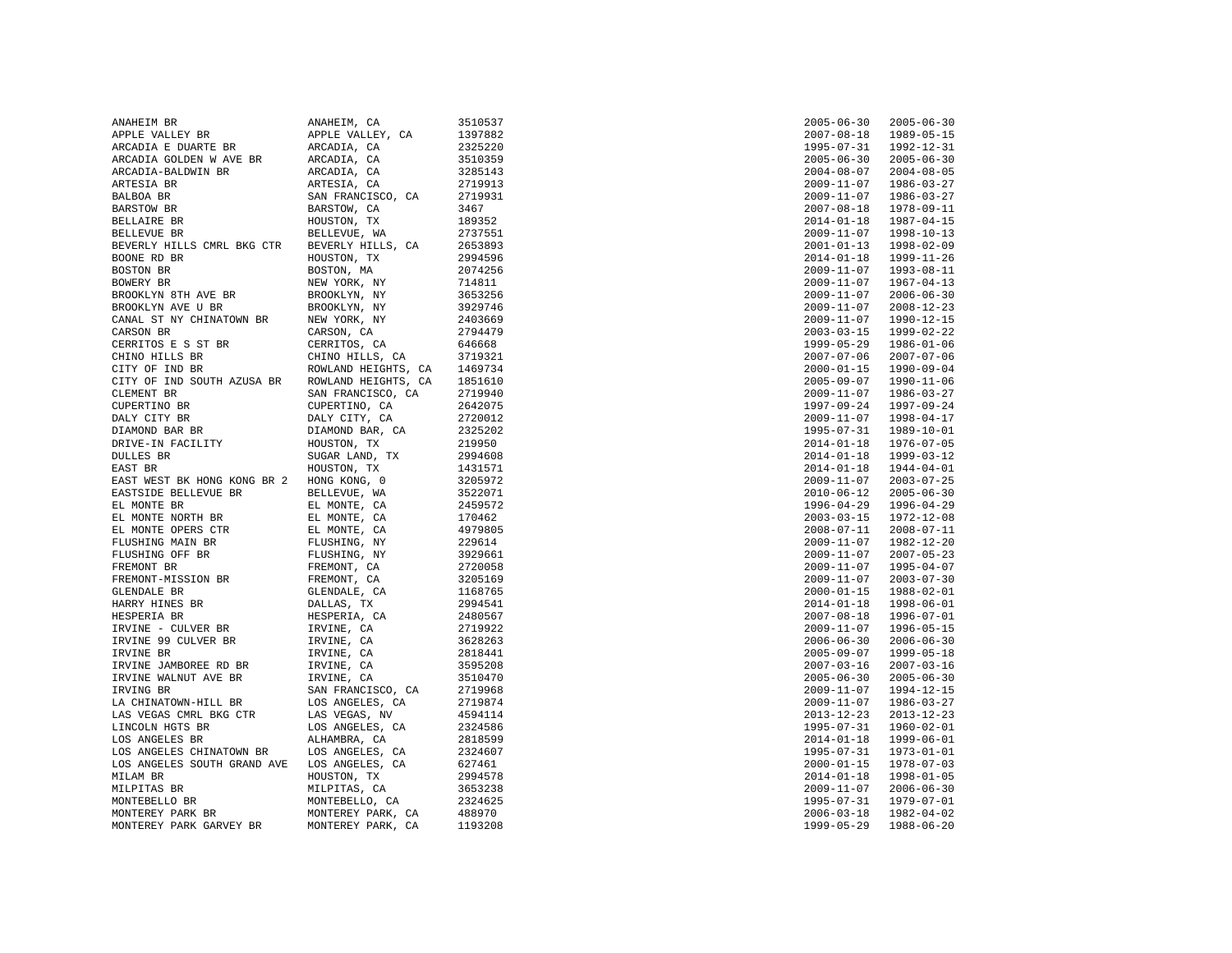| ANAHEIM BR                               | ANAHEIM, CA                                                                                               | 3510537 | $2005 - 06 - 30$ | $2005 - 06 - 30$ |
|------------------------------------------|-----------------------------------------------------------------------------------------------------------|---------|------------------|------------------|
| APPLE VALLEY BR                          | APPLE VALLEY, CA                                                                                          | 1397882 | $2007 - 08 - 18$ | 1989-05-15       |
| ARCADIA E DUARTE BR                      | ARCADIA, CA                                                                                               | 2325220 | $1995 - 07 - 31$ | 1992-12-31       |
| ARCADIA GOLDEN W AVE BR                  | ARCADIA, CA                                                                                               | 3510359 | $2005 - 06 - 30$ | $2005 - 06 - 30$ |
| ARCADIA-BALDWIN BR                       | ARCADIA, CA                                                                                               | 3285143 | $2004 - 08 - 07$ | $2004 - 08 - 05$ |
| ARTESIA BR                               | ARTESIA, CA                                                                                               | 2719913 | $2009 - 11 - 07$ | 1986-03-27       |
| BALBOA BR                                | SAN FRANCISCO, CA                                                                                         | 2719931 | $2009 - 11 - 07$ | 1986-03-27       |
| BARSTOW BR                               | BARSTOW, CA                                                                                               | 3467    | $2007 - 08 - 18$ | 1978-09-11       |
| BELLAIRE BR                              | HOUSTON, TX                                                                                               | 189352  | $2014 - 01 - 18$ | 1987-04-15       |
| BELLEVUE BR                              | BELLEVUE, WA                                                                                              | 2737551 | $2009 - 11 - 07$ | 1998-10-13       |
| BEVERLY HILLS CMRL BKG CTR               | BEVERLY HILLS, CA                                                                                         | 2653893 | $2001 - 01 - 13$ | 1998-02-09       |
| BOONE RD BR                              | HOUSTON, TX                                                                                               | 2994596 | $2014 - 01 - 18$ | 1999-11-26       |
| BOSTON BR                                | BOSTON, MA                                                                                                | 2074256 | $2009 - 11 - 07$ | 1993-08-11       |
| BOWERY BR                                | NEW YORK, NY                                                                                              | 714811  | $2009 - 11 - 07$ | $1967 - 04 - 13$ |
| BROOKLYN 8TH AVE BR                      | BROOKLYN, NY                                                                                              | 3653256 | $2009 - 11 - 07$ | $2006 - 06 - 30$ |
| BROOKLYN AVE U BR                        | BROOKLYN, NY                                                                                              | 3929746 | $2009 - 11 - 07$ | $2008 - 12 - 23$ |
| CANAL ST NY CHINATOWN BR                 | NEW YORK, NY                                                                                              | 2403669 | $2009 - 11 - 07$ | 1990-12-15       |
| CARSON BR                                | CARSON, CA                                                                                                | 2794479 | $2003 - 03 - 15$ | 1999-02-22       |
| CERRITOS E S ST BR                       | CERRITOS, CA                                                                                              | 646668  | $1999 - 05 - 29$ | $1986 - 01 - 06$ |
| CHINO HILLS BR                           | CHINO HILLS, CA                                                                                           | 3719321 | $2007 - 07 - 06$ | $2007 - 07 - 06$ |
| CITY OF IND BR                           | ROWLAND HEIGHTS, CA                                                                                       | 1469734 | $2000 - 01 - 15$ | 1990-09-04       |
| CITY OF IND SOUTH AZUSA BR               | ROWLAND HEIGHTS, CA                                                                                       | 1851610 | $2005 - 09 - 07$ | 1990-11-06       |
| CLEMENT BR                               |                                                                                                           | 2719940 |                  | 1986-03-27       |
|                                          | SAN FRANCISCO, CA                                                                                         |         | $2009 - 11 - 07$ |                  |
| CUPERTINO BR                             | CUPERTINO, CA                                                                                             | 2642075 | $1997 - 09 - 24$ | 1997-09-24       |
| DALY CITY BR                             | DALY CITY, CA                                                                                             | 2720012 | $2009 - 11 - 07$ | 1998-04-17       |
| DIAMOND BAR BR                           | DIAMOND BAR, CA                                                                                           | 2325202 | $1995 - 07 - 31$ | 1989-10-01       |
| DRIVE-IN FACILITY                        | HOUSTON, TX                                                                                               | 219950  | $2014 - 01 - 18$ | 1976-07-05       |
| DULLES BR                                | SUGAR LAND, TX                                                                                            | 2994608 | $2014 - 01 - 18$ | 1999-03-12       |
| EAST BR                                  | HOUSTON, TX                                                                                               | 1431571 | $2014 - 01 - 18$ | 1944-04-01       |
| EAST WEST BK HONG KONG BR 2 HONG KONG, 0 |                                                                                                           | 3205972 | $2009 - 11 - 07$ | $2003 - 07 - 25$ |
| EASTSIDE BELLEVUE BR                     | BELLEVUE, WA                                                                                              | 3522071 | $2010 - 06 - 12$ | $2005 - 06 - 30$ |
| EL MONTE BR                              | EL MONTE, CA<br>EL MONTE, CA                                                                              | 2459572 | 1996-04-29       | 1996-04-29       |
| EL MONTE NORTH BR                        |                                                                                                           | 170462  | $2003 - 03 - 15$ | 1972-12-08       |
| EL MONTE OPERS CTR                       | EL MONTE, CA                                                                                              | 4979805 | $2008 - 07 - 11$ | $2008 - 07 - 11$ |
| FLUSHING MAIN BR                         | FLUSHING, NY<br>FLUSHING, NY<br>FLUSHING, NY<br>FREMONT, CA<br>GLENDALE, CA<br>CLENDALE, CA<br>DALLAS, TX | 229614  | $2009 - 11 - 07$ | 1982-12-20       |
| FLUSHING OFF BR                          |                                                                                                           | 3929661 | $2009 - 11 - 07$ | $2007 - 05 - 23$ |
| FREMONT BR                               |                                                                                                           | 2720058 | $2009 - 11 - 07$ | $1995 - 04 - 07$ |
| FREMONT-MISSION BR                       |                                                                                                           | 3205169 | 2009-11-07       | $2003 - 07 - 30$ |
| GLENDALE BR                              |                                                                                                           | 1168765 | $2000 - 01 - 15$ | 1988-02-01       |
| HARRY HINES BR                           |                                                                                                           | 2994541 | $2014 - 01 - 18$ | 1998-06-01       |
| HESPERIA BR                              | HESPERIA, CA                                                                                              | 2480567 | $2007 - 08 - 18$ | 1996-07-01       |
| IRVINE - CULVER BR                       | IRVINE, CA                                                                                                | 2719922 | $2009 - 11 - 07$ | 1996-05-15       |
| IRVINE 99 CULVER BR                      | IRVINE, CA                                                                                                | 3628263 | $2006 - 06 - 30$ | $2006 - 06 - 30$ |
| IRVINE BR                                | IRVINE, CA                                                                                                | 2818441 | $2005 - 09 - 07$ | 1999-05-18       |
| IRVINE JAMBOREE RD BR                    | IRVINE, CA                                                                                                | 3595208 | $2007 - 03 - 16$ | $2007 - 03 - 16$ |
| IRVINE WALNUT AVE BR                     | IRVINE, CA                                                                                                | 3510470 | $2005 - 06 - 30$ | $2005 - 06 - 30$ |
| IRVING BR                                | SAN FRANCISCO, CA                                                                                         | 2719968 | $2009 - 11 - 07$ | 1994-12-15       |
| LA CHINATOWN-HILL BR                     | LOS ANGELES, CA                                                                                           | 2719874 | $2009 - 11 - 07$ | 1986-03-27       |
| LAS VEGAS CMRL BKG CTR                   | LAS VEGAS, NV                                                                                             | 4594114 | $2013 - 12 - 23$ | $2013 - 12 - 23$ |
| LINCOLN HGTS BR                          | LOS ANGELES, CA                                                                                           | 2324586 | $1995 - 07 - 31$ | $1960 - 02 - 01$ |
| LOS ANGELES BR                           | ALHAMBRA, CA                                                                                              | 2818599 | $2014 - 01 - 18$ | 1999-06-01       |
| LOS ANGELES CHINATOWN BR                 |                                                                                                           | 2324607 | $1995 - 07 - 31$ | 1973-01-01       |
|                                          | LOS ANGELES, CA                                                                                           |         |                  | $1978 - 07 - 03$ |
| LOS ANGELES SOUTH GRAND AVE              | LOS ANGELES, CA                                                                                           | 627461  | $2000 - 01 - 15$ |                  |
| MILAM BR                                 | HOUSTON, TX                                                                                               | 2994578 | $2014 - 01 - 18$ | 1998-01-05       |
| MILPITAS BR                              | MILPITAS, CA                                                                                              | 3653238 | $2009 - 11 - 07$ | $2006 - 06 - 30$ |
| MONTEBELLO BR                            | MONTEBELLO, CA                                                                                            | 2324625 | $1995 - 07 - 31$ | 1979-07-01       |
| MONTEREY PARK BR                         | MONTEREY PARK, CA                                                                                         | 488970  | $2006 - 03 - 18$ | 1982-04-02       |
| MONTEREY PARK GARVEY BR                  | MONTEREY PARK, CA                                                                                         | 1193208 | 1999-05-29       | 1988-06-20       |
|                                          |                                                                                                           |         |                  |                  |

| 2005-06-30                           | 2005-06-30               |
|--------------------------------------|--------------------------|
|                                      |                          |
| 2007-08-18<br>1995-07-31             | 1989-05-15<br>1992-12-31 |
| $2005 - 06 - 30$                     | $2005 - 06 - 30$         |
| $2004 - 08 - 07$                     | $2004 - 08 - 05$         |
| $2009 - 11 - 07$                     | $1986 - 03 - 27$         |
|                                      |                          |
| $2009 - 11 - 07$                     | $1986 - 03 - 27$         |
| $2007 - 08 - 18$                     | $1978 - 09 - 11$         |
| $2014 - 01 - 18$                     | $1987 - 04 - 15$         |
|                                      |                          |
| 2009-11-07<br>2001-01-13             | 1998-10-13<br>1998-02-09 |
| $2014 - 01 - 18$                     | $1999 - 11 - 26$         |
| $2009 - 11 - 07$                     |                          |
|                                      | $1993 - 08 - 11$         |
| $2009 - 11 - 07$<br>$2009 - 11 - 07$ | 1967-04-13<br>2006-06-30 |
|                                      |                          |
| $2009 - 11 - 07$                     | $2008 - 12 - 23$         |
| $2009 - 11 - 07$                     | $1990 - 12 - 15$         |
| $2003 - 03 - 15$                     | $1999 - 02 - 22$         |
| $1999 - 05 - 29$                     | $1986 - 01 - 06$         |
|                                      |                          |
| $2007 - 07 - 06$                     | $2007 - 07 - 06$         |
| $2000 - 01 - 15$                     | $1990 - 09 - 04$         |
| $2005 - 09 - 07$                     | $1990 - 11 - 06$         |
| $2009 - 11 - 07$                     | $1986 - 03 - 27$         |
| $1997 - 09 - 24$                     | $1997 - 09 - 24$         |
| $2009 - 11 - 07$                     | $1998 - 04 - 17$         |
| $1995 - 07 - 31$                     | $1989 - 10 - 01$         |
| $2014 - 01 - 18$                     | $1976 - 07 - 05$         |
|                                      |                          |
| $2014 - 01 - 18$                     | $1999 - 03 - 12$         |
| $2014 - 01 - 18$                     | $1944 - 04 - 01$         |
| $2009 - 11 - 07$                     | $2003 - 07 - 25$         |
| $2010 - 06 - 12$                     | $2005 - 06 - 30$         |
| $1996 - 04 - 29$                     | $1996 - 04 - 29$         |
| $2003 - 03 - 15$                     | $1972 - 12 - 08$         |
| $2008 - 07 - 11$                     | $2008 - 07 - 11$         |
| $2009 - 11 - 07$                     | $1982 - 12 - 20$         |
|                                      |                          |
| $2009 - 11 - 07$                     | $2007 - 05 - 23$         |
| $2009 - 11 - 07$                     | $1995 - 04 - 07$         |
| $2009 - 11 - 07$                     | $2003 - 07 - 30$         |
| $2000 - 01 - 15$                     | $1988 - 02 - 01$         |
| $2014 - 01 - 18$                     | $1998 - 06 - 01$         |
|                                      | $1996 - 07 - 01$         |
| $2007 - 08 - 18$<br>$2009 - 11 - 07$ | $1996 - 05 - 15$         |
| $2006 - 06 - 30$                     | $2006 - 06 - 30$         |
|                                      |                          |
| $2005 - 09 - 07$                     | 1999-05-18               |
| $2007 - 03 - 16$                     | $2007 - 03 - 16$         |
| $2005 - 06 - 30$                     | $2005 - 06 - 30$         |
| $2009 - 11 - 07$                     | $1994 - 12 - 15$         |
| $2009 - 11 - 07$                     | $1986 - 03 - 27$         |
| $2013 - 12 - 23$                     | $2013 - 12 - 23$         |
| $1995 - 07 - 31$                     | $1960 - 02 - 01$         |
| $2014 - 01 - 18$                     | $1999 - 06 - 01$         |
| $1995 - 07 - 31$                     | $1973 - 01 - 01$         |
|                                      |                          |
| $2000 - 01 - 15$                     | $1978 - 07 - 03$         |
| $2014 - 01 - 18$                     | $1998 - 01 - 05$         |
| $2009 - 11 - 07$                     | $2006 - 06 - 30$         |
| $1995 - 07 - 31$                     | $1979 - 07 - 01$         |
| $2006 - 03 - 18$                     | $1982 - 04 - 02$         |
| $1999 - 05 - 29$                     | $1988 - 06 - 20$         |
|                                      |                          |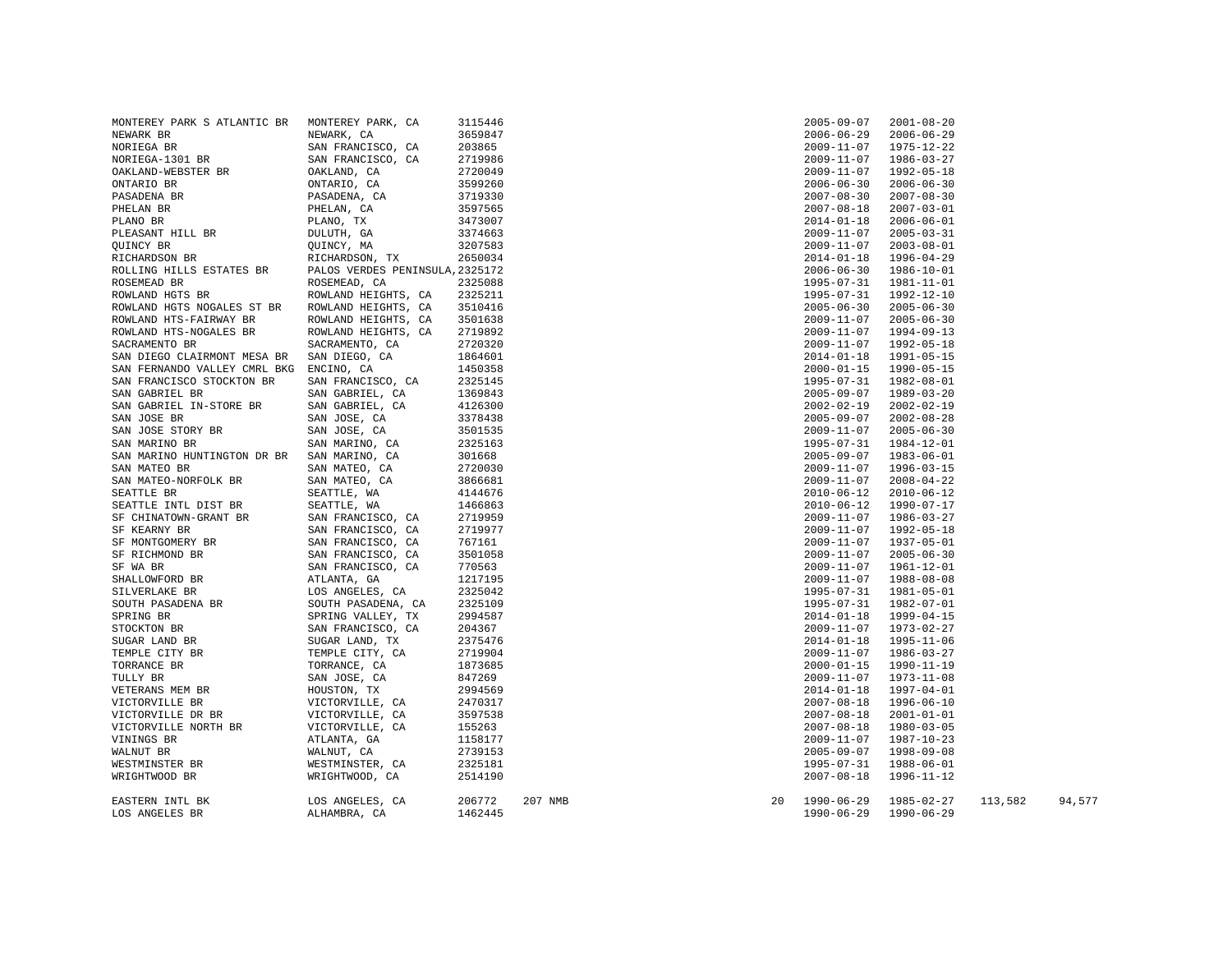| MONTEREY PARK S ATLANTIC BR                | MONTEREY PARK, CA               | 3115446 |         |    | $2005 - 09 - 07$ | $2001 - 08 - 20$ |         |        |
|--------------------------------------------|---------------------------------|---------|---------|----|------------------|------------------|---------|--------|
| NEWARK BR                                  | NEWARK, CA                      | 3659847 |         |    | $2006 - 06 - 29$ | $2006 - 06 - 29$ |         |        |
| NORIEGA BR                                 | SAN FRANCISCO, CA               | 203865  |         |    | 2009-11-07       | 1975-12-22       |         |        |
| NORIEGA-1301 BR                            | SAN FRANCISCO, CA               | 2719986 |         |    | $2009 - 11 - 07$ | $1986 - 03 - 27$ |         |        |
| OAKLAND-WEBSTER BR                         | OAKLAND, CA                     | 2720049 |         |    | $2009 - 11 - 07$ | 1992-05-18       |         |        |
| ONTARIO BR                                 | ONTARIO, CA                     | 3599260 |         |    | $2006 - 06 - 30$ | $2006 - 06 - 30$ |         |        |
| PASADENA BR                                | PASADENA, CA                    | 3719330 |         |    | $2007 - 08 - 30$ | $2007 - 08 - 30$ |         |        |
| PHELAN BR                                  | PHELAN, CA                      | 3597565 |         |    | $2007 - 08 - 18$ | $2007 - 03 - 01$ |         |        |
| PLANO BR                                   | PLANO, TX                       | 3473007 |         |    | $2014 - 01 - 18$ | $2006 - 06 - 01$ |         |        |
| PLEASANT HILL BR                           | DULUTH, GA                      | 3374663 |         |    | 2009-11-07       | $2005 - 03 - 31$ |         |        |
| QUINCY BR                                  | QUINCY, MA                      | 3207583 |         |    | $2009 - 11 - 07$ | $2003 - 08 - 01$ |         |        |
| RICHARDSON BR                              | RICHARDSON, TX                  | 2650034 |         |    | $2014 - 01 - 18$ | 1996-04-29       |         |        |
| ROLLING HILLS ESTATES BR                   | PALOS VERDES PENINSULA, 2325172 |         |         |    | $2006 - 06 - 30$ | 1986-10-01       |         |        |
| ROSEMEAD BR                                | ROSEMEAD, CA                    | 2325088 |         |    | 1995-07-31       | 1981-11-01       |         |        |
| ROWLAND HGTS BR                            | ROWLAND HEIGHTS, CA             | 2325211 |         |    | 1995-07-31       | 1992-12-10       |         |        |
| ROWLAND HGTS NOGALES ST BR                 | ROWLAND HEIGHTS, CA             | 3510416 |         |    | $2005 - 06 - 30$ | $2005 - 06 - 30$ |         |        |
| ROWLAND HTS-FAIRWAY BR                     | ROWLAND HEIGHTS, CA             | 3501638 |         |    | $2009 - 11 - 07$ | $2005 - 06 - 30$ |         |        |
| ROWLAND HTS-NOGALES BR                     | ROWLAND HEIGHTS, CA             | 2719892 |         |    | $2009 - 11 - 07$ | 1994-09-13       |         |        |
| SACRAMENTO BR                              | SACRAMENTO, CA                  | 2720320 |         |    | $2009 - 11 - 07$ | 1992-05-18       |         |        |
| SAN DIEGO CLAIRMONT MESA BR                | SAN DIEGO, CA                   | 1864601 |         |    | $2014 - 01 - 18$ | 1991-05-15       |         |        |
| SAN FERNANDO VALLEY CMRL BKG ENCINO, CA    |                                 | 1450358 |         |    | $2000 - 01 - 15$ | 1990-05-15       |         |        |
|                                            |                                 |         |         |    |                  |                  |         |        |
| SAN FRANCISCO STOCKTON BR                  | SAN FRANCISCO, CA               | 2325145 |         |    | 1995-07-31       | 1982-08-01       |         |        |
| SAN GABRIEL BR                             | SAN GABRIEL, CA                 | 1369843 |         |    | $2005 - 09 - 07$ | 1989-03-20       |         |        |
| SAN GABRIEL IN-STORE BR                    | SAN GABRIEL, CA                 | 4126300 |         |    | $2002 - 02 - 19$ | 2002-02-19       |         |        |
| SAN JOSE BR                                | SAN JOSE, CA                    | 3378438 |         |    | $2005 - 09 - 07$ | $2002 - 08 - 28$ |         |        |
| SAN JOSE STORY BR                          | SAN JOSE, CA                    | 3501535 |         |    | $2009 - 11 - 07$ | $2005 - 06 - 30$ |         |        |
| SAN MARINO BR                              | SAN MARINO, CA                  | 2325163 |         |    | $1995 - 07 - 31$ | 1984-12-01       |         |        |
| SAN MARINO HUNTINGTON DR BR SAN MARINO, CA |                                 | 301668  |         |    | $2005 - 09 - 07$ | 1983-06-01       |         |        |
| SAN MATEO BR                               | SAN MATEO, CA                   | 2720030 |         |    | $2009 - 11 - 07$ | 1996-03-15       |         |        |
| SAN MATEO-NORFOLK BR                       | SAN MATEO, CA                   | 3866681 |         |    | 2009-11-07       | $2008 - 04 - 22$ |         |        |
| SEATTLE BR                                 | SEATTLE, WA                     | 4144676 |         |    | $2010 - 06 - 12$ | $2010 - 06 - 12$ |         |        |
| SEATTLE INTL DIST BR                       | SEATTLE, WA                     | 1466863 |         |    | $2010 - 06 - 12$ | 1990-07-17       |         |        |
| SF CHINATOWN-GRANT BR                      | SAN FRANCISCO, CA               | 2719959 |         |    | $2009 - 11 - 07$ | 1986-03-27       |         |        |
| SF KEARNY BR                               | SAN FRANCISCO, CA               | 2719977 |         |    | $2009 - 11 - 07$ | 1992-05-18       |         |        |
| SF MONTGOMERY BR                           | SAN FRANCISCO, CA               | 767161  |         |    | $2009 - 11 - 07$ | 1937-05-01       |         |        |
| SF RICHMOND BR                             | SAN FRANCISCO, CA               | 3501058 |         |    | $2009 - 11 - 07$ | $2005 - 06 - 30$ |         |        |
| SF WA BR                                   | SAN FRANCISCO, CA               | 770563  |         |    | 2009-11-07       | 1961-12-01       |         |        |
| SHALLOWFORD BR                             | ATLANTA, GA                     | 1217195 |         |    | 2009-11-07       | 1988-08-08       |         |        |
| SILVERLAKE BR                              | LOS ANGELES, CA                 | 2325042 |         |    | 1995-07-31       | 1981-05-01       |         |        |
| SOUTH PASADENA BR                          | SOUTH PASADENA, CA              | 2325109 |         |    | 1995-07-31       | 1982-07-01       |         |        |
| SPRING BR                                  | SPRING VALLEY, TX               | 2994587 |         |    | $2014 - 01 - 18$ | 1999-04-15       |         |        |
| STOCKTON BR                                | SAN FRANCISCO, CA               | 204367  |         |    | 2009-11-07       | 1973-02-27       |         |        |
| SUGAR LAND BR                              | SUGAR LAND, TX                  | 2375476 |         |    | $2014 - 01 - 18$ | 1995-11-06       |         |        |
| TEMPLE CITY BR                             | TEMPLE CITY, CA                 | 2719904 |         |    | $2009 - 11 - 07$ | 1986-03-27       |         |        |
| TORRANCE BR                                | TORRANCE, CA                    | 1873685 |         |    | $2000 - 01 - 15$ | 1990-11-19       |         |        |
| TULLY BR                                   | SAN JOSE, CA                    | 847269  |         |    | $2009 - 11 - 07$ | 1973-11-08       |         |        |
| VETERANS MEM BR                            | HOUSTON, TX                     | 2994569 |         |    | $2014 - 01 - 18$ | 1997-04-01       |         |        |
| VICTORVILLE BR                             | VICTORVILLE, CA                 | 2470317 |         |    | $2007 - 08 - 18$ | 1996-06-10       |         |        |
| VICTORVILLE DR BR                          | VICTORVILLE, CA                 | 3597538 |         |    | $2007 - 08 - 18$ | $2001 - 01 - 01$ |         |        |
| VICTORVILLE NORTH BR                       | VICTORVILLE, CA                 | 155263  |         |    | $2007 - 08 - 18$ | $1980 - 03 - 05$ |         |        |
| VININGS BR                                 | ATLANTA, GA                     | 1158177 |         |    | 2009-11-07       | 1987-10-23       |         |        |
| WALNUT BR                                  | WALNUT, CA                      | 2739153 |         |    | $2005 - 09 - 07$ | 1998-09-08       |         |        |
| WESTMINSTER BR                             | WESTMINSTER, CA                 | 2325181 |         |    | 1995-07-31       | 1988-06-01       |         |        |
| WRIGHTWOOD BR                              | WRIGHTWOOD, CA                  | 2514190 |         |    | $2007 - 08 - 18$ | 1996-11-12       |         |        |
| EASTERN INTL BK                            | LOS ANGELES, CA                 | 206772  | 207 NMB | 20 | 1990-06-29       | $1985 - 02 - 27$ | 113,582 | 94,577 |
| LOS ANGELES BR                             | ALHAMBRA, CA                    | 1462445 |         |    | $1990 - 06 - 29$ | $1990 - 06 - 29$ |         |        |

| 2005-09-07                           | 2001-08-20                           |         |
|--------------------------------------|--------------------------------------|---------|
| $2006 - 06 - 29$                     | $2006 - 06 - 29$<br>$1975 - 12 - 22$ |         |
| $2009 - 11 - 07$<br>$2009 - 11 - 07$ | $1986 - 03 - 27$                     |         |
| $2009 - 11 - 07$                     | $1992 - 05 - 18$                     |         |
| $2006 - 06 - 30$                     | $2006 - 06 - 30$                     |         |
| $2007 - 08 - 30$                     | $2007 - 08 - 30$                     |         |
| $2007 - 08 - 18$                     | $2007 - 03 - 01$                     |         |
| 2014-01-18                           | $2006 - 06 - 01$                     |         |
| 2009-11-07                           | $2005 - 03 - 31$                     |         |
| $2009 - 11 - 07$                     | $2003 - 08 - 01$                     |         |
| $2014 - 01 - 18$                     | $1996 - 04 - 29$                     |         |
| $2006 - 06 - 30$                     | 1986-10-01                           |         |
| 1995-07-31                           | 1981-11-01                           |         |
| 1995-07-31                           | 1992-12-10                           |         |
| $2005 - 06 - 30$                     | $2005 - 06 - 30$                     |         |
| $2009 - 11 - 07$                     | $2005 - 06 - 30$                     |         |
| $2009 - 11 - 07$                     | 1994-09-13                           |         |
| $2009 - 11 - 07$                     | $1992 - 05 - 18$                     |         |
| $2014 - 01 - 18$                     | 1991-05-15                           |         |
| $2000 - 01 - 15$                     | $1990 - 05 - 15$                     |         |
| $1995 - 07 - 31$                     | 1982-08-01                           |         |
| $2005 - 09 - 07$<br>2002-02-19       | 1989-03-20<br>2002-02-19             |         |
| $2005 - 09 - 07$                     | $2002 - 08 - 28$                     |         |
| $2009 - 11 - 07$                     | $2005 - 06 - 30$                     |         |
| 1995-07-31                           | 1984-12-01                           |         |
| 2005-09-07                           | 1983-06-01                           |         |
| $2009 - 11 - 07$                     | 1996-03-15                           |         |
| 2009-11-07                           | $2008 - 04 - 22$                     |         |
| $2010 - 06 - 12$                     | $2010 - 06 - 12$                     |         |
| $2010 - 06 - 12$                     | $1990 - 07 - 17$                     |         |
| $2009 - 11 - 07$                     | $1986 - 03 - 27$                     |         |
| $2009 - 11 - 07$                     | $1992 - 05 - 18$                     |         |
| $2009 - 11 - 07$                     | 1937-05-01                           |         |
| 2009-11-07<br>2009-11-07             | $2005 - 06 - 30$<br>1961-12-01       |         |
| 2009-11-07                           | 1988-08-08                           |         |
| 1995-07-31                           | 1981-05-01                           |         |
| 1995-07-31                           | 1982-07-01                           |         |
| $2014 - 01 - 18$                     | $1999 - 04 - 15$                     |         |
| 2009-11-07                           | $1973 - 02 - 27$                     |         |
| 2014-01-18                           | 1995-11-06                           |         |
| $2009 - 11 - 07$                     | $1986 - 03 - 27$                     |         |
| $2000 - 01 - 15$                     | 1990-11-19                           |         |
| $2009 - 11 - 07$                     | 1973-11-08                           |         |
| $2014 - 01 - 18$                     | $1997 - 04 - 01$                     |         |
| $2007 - 08 - 18$                     | $1996 - 06 - 10$                     |         |
| $2007 - 08 - 18$<br>$2007 - 08 - 18$ | $2001 - 01 - 01$<br>1980-03-05       |         |
| $2009 - 11 - 07$                     | 1987-10-23                           |         |
| $2005 - 09 - 07$                     | 1998-09-08                           |         |
| 1995-07-31                           | 1988-06-01                           |         |
| $2007 - 08 - 18$                     | 1996–11–12                           |         |
|                                      |                                      |         |
| 1990-06-29                           | 1985-02-27                           | 113,582 |
| 1990-06-29                           | 1990-06-29                           |         |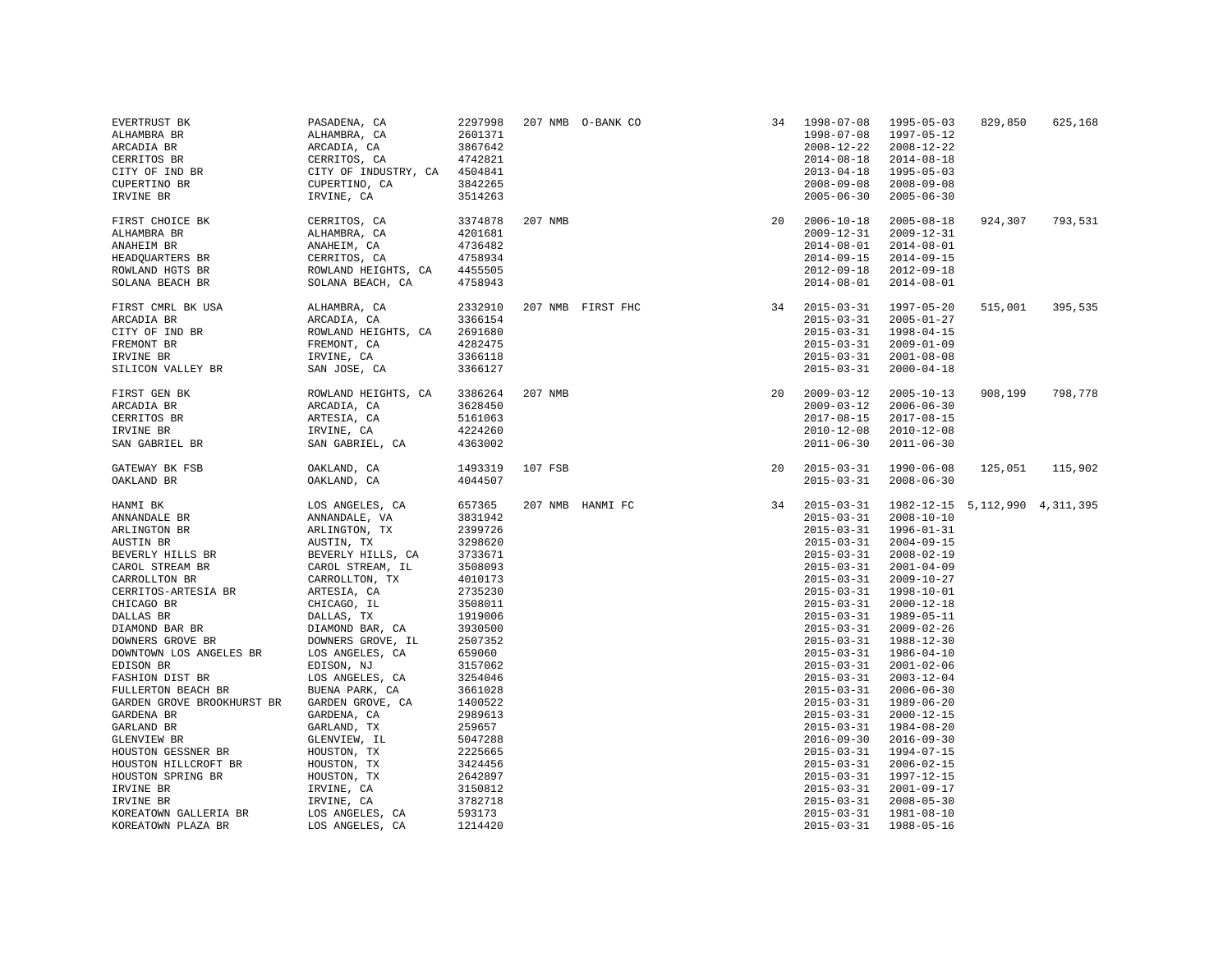| EVERTRUST BK<br>ALHAMBRA BR<br>ARCADIA BR<br>CERRITOS BR<br>CITY OF IND BR<br>CUPERTINO BR<br>IRVINE BR                                                                                                                                                                                                                                                                                                                                                                                                     | PASADENA, CA<br>ALHAMBRA, CA<br>ARCADIA, CA<br>CERRITOS, CA<br>CITY OF INDUSTRY, CA 4504841<br>CUPERTINO, CA<br>IRVINE, CA                                                                                                                                                                                                                                                                                                                                            | 2297998<br>2601371<br>3867642<br>4742821<br>3842265<br>3514263                                                                                                                                                                                                                                    |         | 207 NMB 0-BANK CO                          | 34 | 1998-07-08<br>1998-07-08<br>$2008 - 12 - 22$<br>$2014 - 08 - 18$<br>$2013 - 04 - 18$<br>$2008 - 09 - 08$<br>$2005 - 06 - 30$                                                                                                                                                                                                                                                                                                                                                                                                                             | 1995-05-03<br>1997-05-12<br>$2008 - 12 - 22$<br>$2014 - 08 - 18$<br>$1995 - 05 - 03$<br>$2008 - 09 - 08$<br>$2005 - 06 - 30$                                                                                                                                                                                                                                                                                                                                                                                               | 829,850 | 625,168 |
|-------------------------------------------------------------------------------------------------------------------------------------------------------------------------------------------------------------------------------------------------------------------------------------------------------------------------------------------------------------------------------------------------------------------------------------------------------------------------------------------------------------|-----------------------------------------------------------------------------------------------------------------------------------------------------------------------------------------------------------------------------------------------------------------------------------------------------------------------------------------------------------------------------------------------------------------------------------------------------------------------|---------------------------------------------------------------------------------------------------------------------------------------------------------------------------------------------------------------------------------------------------------------------------------------------------|---------|--------------------------------------------|----|----------------------------------------------------------------------------------------------------------------------------------------------------------------------------------------------------------------------------------------------------------------------------------------------------------------------------------------------------------------------------------------------------------------------------------------------------------------------------------------------------------------------------------------------------------|----------------------------------------------------------------------------------------------------------------------------------------------------------------------------------------------------------------------------------------------------------------------------------------------------------------------------------------------------------------------------------------------------------------------------------------------------------------------------------------------------------------------------|---------|---------|
| FIRST CHOICE BK<br>ALHAMBRA BR<br>ANAHEIM BR<br>HEADQUARTERS BR<br>ROWLAND HGTS BR<br>SOLANA BEACH BR                                                                                                                                                                                                                                                                                                                                                                                                       | CERRITOS, CA<br>ALHAMBRA, CA<br>ANAHEIM, CA<br>CERRITOS, CA<br>ROWLAND HEIGHTS, CA<br>SOLANA BEACH, CA                                                                                                                                                                                                                                                                                                                                                                | 3374878<br>4201681<br>4736482<br>4758934<br>4455505<br>4758943                                                                                                                                                                                                                                    | 207 NMB |                                            | 20 | $2006 - 10 - 18$<br>$2009 - 12 - 31$<br>$2014 - 08 - 01$<br>$2014 - 09 - 15$<br>$2012 - 09 - 18$<br>$2014 - 08 - 01$                                                                                                                                                                                                                                                                                                                                                                                                                                     | $2005 - 08 - 18$<br>$2009 - 12 - 31$<br>$2014 - 08 - 01$<br>$2014 - 09 - 15$<br>$2012 - 09 - 18$<br>$2014 - 08 - 01$                                                                                                                                                                                                                                                                                                                                                                                                       | 924,307 | 793,531 |
| FIRST CMRL BK USA<br>ARCADIA BR<br>CITY OF IND BR<br>FREMONT BR<br>IRVINE BR<br>SILICON VALLEY BR                                                                                                                                                                                                                                                                                                                                                                                                           | ALHAMBRA, CA<br>ARCADIA, CA<br>ROWLAND HEIGHTS, CA<br>FREMONT, CA<br>IRVINE, CA<br>SAN JOSE, CA                                                                                                                                                                                                                                                                                                                                                                       | 2332910<br>3366154<br>2691680<br>4282475<br>3366118<br>3366127                                                                                                                                                                                                                                    |         | $34$ $2015 - 03 - 31$<br>207 NMB FIRST FHC |    | $2015 - 03 - 31$<br>$2015 - 03 - 31$<br>$2015 - 03 - 31$<br>$2015 - 03 - 31$<br>$2015 - 03 - 31$                                                                                                                                                                                                                                                                                                                                                                                                                                                         | 1997-05-20<br>$2005 - 01 - 27$<br>$1998 - 04 - 15$<br>$2009 - 01 - 09$<br>$2001 - 08 - 08$<br>$2000 - 04 - 18$                                                                                                                                                                                                                                                                                                                                                                                                             | 515,001 | 395,535 |
| FIRST GEN BK<br>ARCADIA BR<br>CERRITOS BR<br>IRVINE BR<br>SAN GABRIEL BR                                                                                                                                                                                                                                                                                                                                                                                                                                    | ROWLAND HEIGHTS, CA<br>ARCADIA, CA<br>ARTESIA, CA<br>IRVINE, CA<br>SAN GABRIEL, CA                                                                                                                                                                                                                                                                                                                                                                                    | 3386264<br>3628450<br>5161063<br>4224260<br>4363002                                                                                                                                                                                                                                               | 207 NMB |                                            | 20 | $2009 - 03 - 12$<br>$2009 - 03 - 12$<br>$2017 - 08 - 15$<br>$2010 - 12 - 08$<br>$2011 - 06 - 30$                                                                                                                                                                                                                                                                                                                                                                                                                                                         | $2005 - 10 - 13$<br>$2006 - 06 - 30$<br>$2017 - 08 - 15$<br>$2010 - 12 - 08$<br>$2011 - 06 - 30$                                                                                                                                                                                                                                                                                                                                                                                                                           | 908,199 | 798,778 |
| GATEWAY BK FSB<br>OAKLAND BR                                                                                                                                                                                                                                                                                                                                                                                                                                                                                | OAKLAND, CA<br>OAKLAND, CA                                                                                                                                                                                                                                                                                                                                                                                                                                            | 1493319<br>4044507                                                                                                                                                                                                                                                                                | 107 FSB | $\frac{20}{34}$                            |    | $2015 - 03 - 31$<br>$2015 - 03 - 31$                                                                                                                                                                                                                                                                                                                                                                                                                                                                                                                     | 1990-06-08<br>$2008 - 06 - 30$                                                                                                                                                                                                                                                                                                                                                                                                                                                                                             | 125,051 | 115,902 |
| HANMI BK<br>ANNANDALE BR<br>ARLINGTON BR<br>AUSTIN BR<br>BEVERLY HILLS BR<br>CAROL STREAM BR<br>CARROLLTON BR<br>CERRITOS-ARTESIA BR<br>CHICAGO BR<br>DALLAS BR<br>DIAMOND BAR BR<br>DOWNERS GROVE BR<br>DOWNTOWN LOS ANGELES BR<br>EDISON BR<br>FASHION DIST BR<br>FULLERTON BEACH BR<br>GARDEN GROVE BROOKHURST BR<br>GARDENA BR<br>GARLAND BR<br>GLENVIEW BR<br>HOUSTON GESSNER BR<br>HOUSTON HILLCROFT BR<br>HOUSTON SPRING BR<br>IRVINE BR<br>IRVINE BR<br>KOREATOWN GALLERIA BR<br>KOREATOWN PLAZA BR | LOS ANGELES, CA<br>ANNANDALE, VA<br>ARLINGTON, TX<br>AUSTIN, TX<br>BEVERLY HILLS, CA<br>CAROL STREAM, IL<br>CARROLLTON, TX<br>ARTESIA, CA<br>CHICAGO, IL<br>DALLAS, TX<br>DIAMOND BAR, CA<br>DOWNERS GROVE, IL<br>LOS ANGELES, CA<br>EDISON, NJ<br>LOS ANGELES, CA<br>BUENA PARK, CA<br>GARDEN GROVE, CA<br>GARDENA, CA<br>GARLAND, TX<br>GLENVIEW, IL<br>HOUSTON, TX<br>HOUSTON, TX<br>HOUSTON, TX<br>IRVINE, CA<br>IRVINE, CA<br>LOS ANGELES, CA<br>LOS ANGELES, CA | 657365<br>3831942<br>2399726<br>3298620<br>3733671<br>3508093<br>4010173<br>2735230<br>3508011<br>1919006<br>3930500<br>2507352<br>659060<br>3157062<br>3254046<br>3661028<br>1400522<br>2989613<br>259657<br>5047288<br>2225665<br>3424456<br>2642897<br>3150812<br>3782718<br>593173<br>1214420 |         | 207 NMB HANMI FC                           |    | $2015 - 03 - 31$<br>$2015 - 03 - 31$<br>$2015 - 03 - 31$<br>$2015 - 03 - 31$<br>$2015 - 03 - 31$<br>$2015 - 03 - 31$<br>$2015 - 03 - 31$<br>$2015 - 03 - 31$<br>$2015 - 03 - 31$<br>$2015 - 03 - 31$<br>$2015 - 03 - 31$<br>$2015 - 03 - 31$<br>$2015 - 03 - 31$<br>$2015 - 03 - 31$<br>$2015 - 03 - 31$<br>$2015 - 03 - 31$<br>$2015 - 03 - 31$<br>$2015 - 03 - 31$<br>$2015 - 03 - 31$<br>$2016 - 09 - 30$<br>$2015 - 03 - 31$<br>$2015 - 03 - 31$<br>$2015 - 03 - 31$<br>$2015 - 03 - 31$<br>$2015 - 03 - 31$<br>$2015 - 03 - 31$<br>$2015 - 03 - 31$ | 1982-12-15 5, 112, 990 4, 311, 395<br>$2008 - 10 - 10$<br>$1996 - 01 - 31$<br>$2004 - 09 - 15$<br>$2008 - 02 - 19$<br>$2001 - 04 - 09$<br>$2009 - 10 - 27$<br>$1998 - 10 - 01$<br>$2000 - 12 - 18$<br>1989-05-11<br>$2009 - 02 - 26$<br>1988-12-30<br>1986-04-10<br>$2001 - 02 - 06$<br>$2003 - 12 - 04$<br>$2006 - 06 - 30$<br>1989-06-20<br>$2000 - 12 - 15$<br>$1984 - 08 - 20$<br>$2016 - 09 - 30$<br>1994-07-15<br>$2006 - 02 - 15$<br>1997-12-15<br>$2001 - 09 - 17$<br>$2008 - 05 - 30$<br>1981-08-10<br>1988-05-16 |         |         |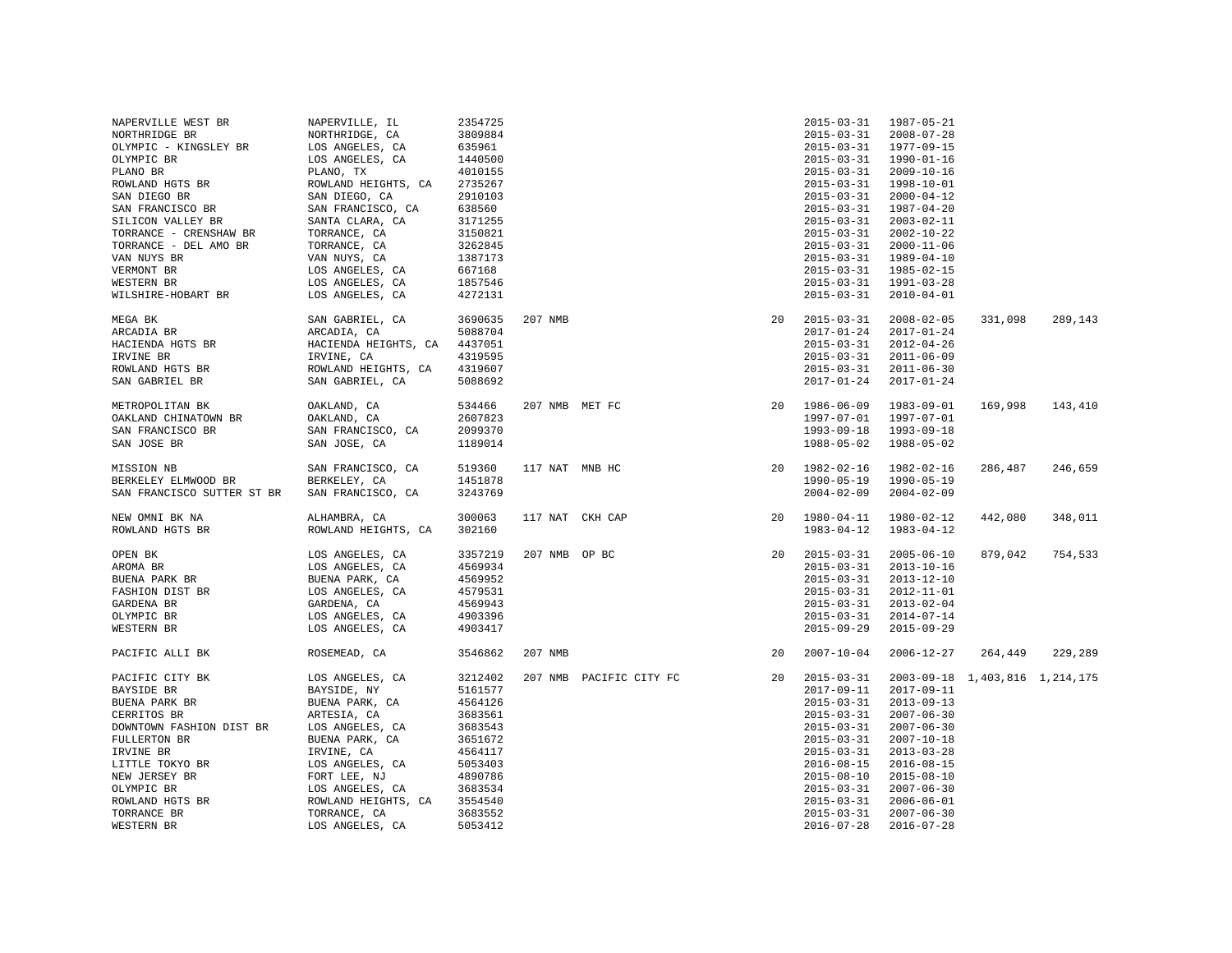| NAPERVILLE WEST BR         | NAPERVILLE, IL       | 2354725            |                 |                         |    | $2015 - 03 - 31$ | 1987-05-21                     |         |         |
|----------------------------|----------------------|--------------------|-----------------|-------------------------|----|------------------|--------------------------------|---------|---------|
| NORTHRIDGE BR              | NORTHRIDGE, CA       | 3809884            |                 |                         |    | $2015 - 03 - 31$ | $2008 - 07 - 28$               |         |         |
| OLYMPIC - KINGSLEY BR      | LOS ANGELES, CA      | 635961             |                 |                         |    | $2015 - 03 - 31$ | 1977-09-15                     |         |         |
| OLYMPIC BR                 | LOS ANGELES, CA      | 1440500            |                 |                         |    | $2015 - 03 - 31$ | $1990 - 01 - 16$               |         |         |
| PLANO BR                   | PLANO, TX            | 4010155            |                 |                         |    | $2015 - 03 - 31$ | $2009 - 10 - 16$               |         |         |
| ROWLAND HGTS BR            | ROWLAND HEIGHTS, CA  | 2735267            |                 |                         |    | $2015 - 03 - 31$ | 1998-10-01                     |         |         |
| SAN DIEGO BR               | SAN DIEGO, CA        | 2910103            |                 |                         |    | $2015 - 03 - 31$ | $2000 - 04 - 12$               |         |         |
| SAN FRANCISCO BR           | SAN FRANCISCO, CA    | 638560             |                 |                         |    | $2015 - 03 - 31$ | 1987-04-20                     |         |         |
| SILICON VALLEY BR          | SANTA CLARA, CA      | 3171255            |                 |                         |    | $2015 - 03 - 31$ | 2003-02-11                     |         |         |
| TORRANCE - CRENSHAW BR     | TORRANCE, CA         | 3150821            |                 |                         |    | $2015 - 03 - 31$ | $2002 - 10 - 22$               |         |         |
| TORRANCE - DEL AMO BR      | TORRANCE, CA         | 3262845            |                 |                         |    | $2015 - 03 - 31$ | $2000 - 11 - 06$               |         |         |
| VAN NUYS BR                | VAN NUYS, CA         | 1387173            |                 |                         |    | $2015 - 03 - 31$ | 1989-04-10                     |         |         |
| VERMONT BR                 | LOS ANGELES, CA      | 667168             |                 |                         |    | $2015 - 03 - 31$ | 1985-02-15                     |         |         |
| WESTERN BR                 | LOS ANGELES, CA      | 1857546            |                 |                         |    | $2015 - 03 - 31$ | 1991-03-28                     |         |         |
|                            |                      |                    |                 |                         |    |                  |                                |         |         |
| WILSHIRE-HOBART BR         | LOS ANGELES, CA      | 4272131            |                 |                         |    | $2015 - 03 - 31$ | $2010 - 04 - 01$               |         |         |
| MEGA BK                    | SAN GABRIEL, CA      | 3690635            | 207 NMB         |                         | 20 | $2015 - 03 - 31$ | $2008 - 02 - 05$               | 331,098 | 289,143 |
| ARCADIA BR                 | ARCADIA, CA          | 5088704            |                 |                         |    | $2017 - 01 - 24$ | $2017 - 01 - 24$               |         |         |
| HACIENDA HGTS BR           | HACIENDA HEIGHTS, CA | 4437051            |                 |                         |    | $2015 - 03 - 31$ | $2012 - 04 - 26$               |         |         |
| IRVINE BR                  | IRVINE, CA           | 4319595            |                 |                         |    | $2015 - 03 - 31$ | $2011 - 06 - 09$               |         |         |
|                            |                      |                    |                 |                         |    |                  |                                |         |         |
| ROWLAND HGTS BR            | ROWLAND HEIGHTS, CA  | 4319607            |                 |                         |    | $2015 - 03 - 31$ | $2011 - 06 - 30$               |         |         |
| SAN GABRIEL BR             | SAN GABRIEL, CA      | 5088692            |                 |                         |    | $2017 - 01 - 24$ | $2017 - 01 - 24$               |         |         |
| METROPOLITAN BK            | OAKLAND, CA          | 534466             | 207 NMB MET FC  |                         |    | 20 1986-06-09    | $1983 - 09 - 01$               | 169,998 | 143,410 |
| OAKLAND CHINATOWN BR       | OAKLAND, CA          | 2607823            |                 |                         |    | 1997-07-01       | 1997-07-01                     |         |         |
| SAN FRANCISCO BR           | SAN FRANCISCO, CA    | 2099370            |                 |                         |    | $1993 - 09 - 18$ | 1993-09-18                     |         |         |
| SAN JOSE BR                | SAN JOSE, CA         | 1189014            |                 |                         |    | 1988-05-02       | 1988-05-02                     |         |         |
|                            |                      |                    |                 |                         |    |                  |                                |         |         |
| MISSION NB                 | SAN FRANCISCO, CA    | 519360             | 117 NAT MNB HC  |                         |    | 20 1982-02-16    | 1982-02-16                     | 286,487 | 246,659 |
| BERKELEY ELMWOOD BR        | BERKELEY, CA         | 1451878            |                 |                         |    | $1990 - 05 - 19$ | $1990 - 05 - 19$               |         |         |
| SAN FRANCISCO SUTTER ST BR | SAN FRANCISCO, CA    | 3243769            |                 |                         |    | $2004 - 02 - 09$ | $2004 - 02 - 09$               |         |         |
|                            |                      |                    |                 |                         |    |                  |                                |         |         |
| NEW OMNI BK NA             | ALHAMBRA, CA         | 300063             | 117 NAT CKH CAP |                         | 20 | 1980-04-11       | 1980-02-12                     | 442,080 | 348,011 |
| ROWLAND HGTS BR            | ROWLAND HEIGHTS, CA  | 302160             |                 |                         |    | $1983 - 04 - 12$ | 1983-04-12                     |         |         |
|                            |                      |                    |                 |                         |    |                  |                                |         |         |
| OPEN BK                    | LOS ANGELES, CA      | 3357219            | 207 NMB OP BC   |                         | 20 | $2015 - 03 - 31$ | $2005 - 06 - 10$               | 879,042 | 754,533 |
| AROMA BR                   | LOS ANGELES, CA      | 4569934            |                 |                         |    | $2015 - 03 - 31$ | $2013 - 10 - 16$               |         |         |
| BUENA PARK BR              | BUENA PARK, CA       | 4569952            |                 |                         |    | $2015 - 03 - 31$ | $2013 - 12 - 10$               |         |         |
| FASHION DIST BR            | LOS ANGELES, CA      | 4579531            |                 |                         |    | $2015 - 03 - 31$ | $2012 - 11 - 01$               |         |         |
| GARDENA BR                 | GARDENA, CA          | 4569943            |                 |                         |    | $2015 - 03 - 31$ | $2013 - 02 - 04$               |         |         |
| OLYMPIC BR                 | LOS ANGELES, CA      | 4903396            |                 |                         |    | $2015 - 03 - 31$ | $2014 - 07 - 14$               |         |         |
| WESTERN BR                 | LOS ANGELES, CA      | 4903417            |                 |                         |    | $2015 - 09 - 29$ | $2015 - 09 - 29$               |         |         |
| PACIFIC ALLI BK            | ROSEMEAD, CA         | 3546862            | 207 NMB         |                         | 20 | $2007 - 10 - 04$ | $2006 - 12 - 27$               | 264,449 | 229,289 |
|                            |                      |                    |                 |                         |    |                  |                                |         |         |
| PACIFIC CITY BK            | LOS ANGELES, CA      | 3212402<br>5161577 |                 | 207 NMB PACIFIC CITY FC | 20 | $2015 - 03 - 31$ | 2003-09-18 1,403,816 1,214,175 |         |         |
| BAYSIDE BR                 | BAYSIDE, NY          |                    |                 |                         |    | $2017 - 09 - 11$ | 2017-09-11                     |         |         |
| BUENA PARK BR              | BUENA PARK, CA       | 4564126            |                 |                         |    | $2015 - 03 - 31$ | $2013 - 09 - 13$               |         |         |
| CERRITOS BR                | ARTESIA, CA          | 3683561            |                 |                         |    | $2015 - 03 - 31$ | $2007 - 06 - 30$               |         |         |
| DOWNTOWN FASHION DIST BR   | LOS ANGELES, CA      | 3683543            |                 |                         |    | $2015 - 03 - 31$ | $2007 - 06 - 30$               |         |         |
| FULLERTON BR               | BUENA PARK, CA       | 3651672            |                 |                         |    | $2015 - 03 - 31$ | $2007 - 10 - 18$               |         |         |
| IRVINE BR                  | IRVINE, CA           | 4564117            |                 |                         |    | $2015 - 03 - 31$ | $2013 - 03 - 28$               |         |         |
| LITTLE TOKYO BR            | LOS ANGELES, CA      | 5053403            |                 |                         |    | $2016 - 08 - 15$ | $2016 - 08 - 15$               |         |         |
| NEW JERSEY BR              | FORT LEE, NJ         | 4890786            |                 |                         |    | $2015 - 08 - 10$ | $2015 - 08 - 10$               |         |         |
| OLYMPIC BR                 | LOS ANGELES, CA      | 3683534            |                 |                         |    | $2015 - 03 - 31$ | $2007 - 06 - 30$               |         |         |
| ROWLAND HGTS BR            | ROWLAND HEIGHTS, CA  | 3554540            |                 |                         |    | $2015 - 03 - 31$ | $2006 - 06 - 01$               |         |         |
| TORRANCE BR                | TORRANCE, CA         | 3683552            |                 |                         |    | $2015 - 03 - 31$ | $2007 - 06 - 30$               |         |         |
| WESTERN BR                 | LOS ANGELES, CA      | 5053412            |                 |                         |    | $2016 - 07 - 28$ | $2016 - 07 - 28$               |         |         |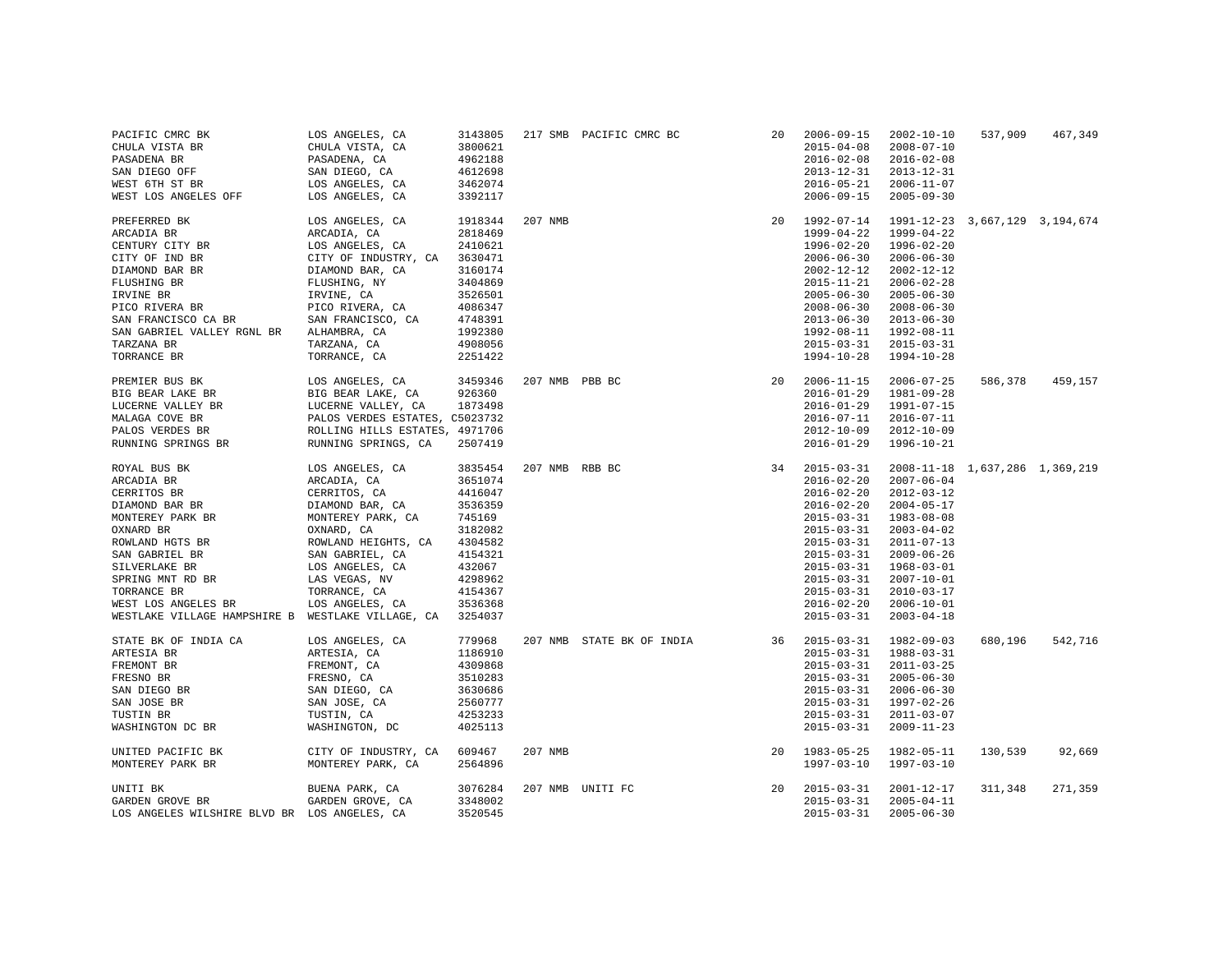| PACIFIC CMRC BK<br>CHULA VISTA BR<br>PASADENA BR<br>SAN DIEGO OFF<br>WEST 6TH ST BR<br>WEST LOS ANGELES OFF                                                                                                                                                                                                    | LOS ANGELES, CA<br>CHULA VISTA, CA<br>CHULA VISTA, C<br>PASADENA, CA<br>SAN DIEGO, CA<br>LOS ANGELES, CA<br>LOS ANGELES, CA                                                                                | 3143805<br>3800621<br>4962188<br>4612698<br>3462074<br>3392117                                                                 |                | 217 SMB PACIFIC CMRC BC                                                                                                                                                                                                                                                                                                                                                | 20 | $2006 - 09 - 15$<br>$2015 - 04 - 08$<br>$2016 - 02 - 08$<br>$2013 - 12 - 31$<br>$2016 - 05 - 21$<br>$2006 - 09 - 15$                                                                                                       | $2002 - 10 - 10$<br>$2008 - 07 - 10$<br>$2016 - 02 - 08$<br>$2013 - 12 - 31$<br>$2006 - 11 - 07$<br>$2005 - 09 - 30$                                                                                                                                                           | 537,909 | 467,349 |
|----------------------------------------------------------------------------------------------------------------------------------------------------------------------------------------------------------------------------------------------------------------------------------------------------------------|------------------------------------------------------------------------------------------------------------------------------------------------------------------------------------------------------------|--------------------------------------------------------------------------------------------------------------------------------|----------------|------------------------------------------------------------------------------------------------------------------------------------------------------------------------------------------------------------------------------------------------------------------------------------------------------------------------------------------------------------------------|----|----------------------------------------------------------------------------------------------------------------------------------------------------------------------------------------------------------------------------|--------------------------------------------------------------------------------------------------------------------------------------------------------------------------------------------------------------------------------------------------------------------------------|---------|---------|
| PREFERRED BK<br>ARCADIA BR<br>CENTURY CITY BR<br>CITY OF IND BR<br>DIAMOND BAR BR<br>FLUSHING BR<br>IRVINE BR<br>TRAINIS BRANCISCO RIVERA ER PICO RIVERA, CA<br>PICO RIVERA BRANCISCO CA BRANCISCO SAN FRANCISCO CA BR<br>SAN GABRIEL VALLEY RGNL BR ALHAMBRA, CA<br>TARZANA BR<br>TORRANCE BR                 | LOS ANGELES, CA<br>ARCADIA, CA<br>LOS ANGELES, CA<br>CITY OF INDUSTRY, CA 3630471<br>DIAMOND BAR, CA<br>FLUSHING, NY<br>IRVINE, CA<br>TARZANA, CA<br>TORRANCE, CA                                          | 1918344<br>2818469<br>2410621<br>3160174<br>3404869<br>3526501<br>4086347<br>4748391<br>1992380<br>4908056<br>2251422          | 207 NMB        |                                                                                                                                                                                                                                                                                                                                                                        | 20 | 1992-07-14<br>$1999 - 04 - 22$<br>$1996 - 02 - 20$<br>$2006 - 06 - 30$<br>$2002 - 12 - 12$<br>$2015 - 11 - 21$<br>$2005 - 06 - 30$<br>$2008 - 06 - 30$<br>$2013 - 06 - 30$<br>1992-08-11<br>$2015 - 03 - 31$<br>1994-10-28 | 1991-12-23 3,667,129 3,194,674<br>1999-04-22<br>$1996 - 02 - 20$<br>$2006 - 06 - 30$<br>$2002 - 12 - 12$<br>$2006 - 02 - 28$<br>$2005 - 06 - 30$<br>$2008 - 06 - 30$<br>$2013 - 06 - 30$<br>1992-08-11<br>$2015 - 03 - 31$<br>$1994 - 10 - 28$                                 |         |         |
| PREMIER BUS BK<br>BIG BEAR LAKE BR<br>LUCERNE VALLEY BR<br>MALAGA COVE BR<br>PALOS VERDES BR                                                                                                                                                                                                                   | LOS ANGELES, CA 3459346<br>BIG BEAR LAKE, CA<br>LUCERNE VALLEY, CA<br>LUCERNE VALLEY, CA     1873498<br>PALOS VERDES ESTATES, C5023732<br>ROLLING HILLS ESTATES, 4971706<br>ROLLING HILLS ESTATES, 4971706 | 926360<br>2507419                                                                                                              | 207 NMB PBB BC | NMB PBB BC                                                                                                                                                                                                                                                                                                                                                             | 20 | $2006 - 11 - 15$<br>$2016 - 01 - 29$<br>$2016 - 01 - 29$<br>$2016 - 07 - 11$<br>$2012 - 10 - 09$<br>$2016 - 01 - 29$                                                                                                       | $2006 - 07 - 25$<br>1981-09-28<br>1991-07-15<br>$2016 - 07 - 11$<br>$2012 - 10 - 09$<br>1996-10-21                                                                                                                                                                             | 586,378 | 459,157 |
| RESS .<br>SERENGS B.<br>SERENGS B.<br>LENGER AND BAR RESS .<br>MONTEREY PARK BR DIAMOND BAR RESS PARK PARK PARK PARK MONTEREY PARK .<br>MONTEREY PARK RESS .<br>NONTERE MONTER .<br>NO NARD CANARD CANARD AT .<br>NO NOTEL BR SAN GABRIEL, CA<br><br>WESTLAKE VILLAGE HAMPSHIRE B WESTLAKE VILLAGE, CA 3254037 |                                                                                                                                                                                                            | 3835454<br>3651074<br>4416047<br>3536359<br>745169<br>3182082<br>4304582<br>4154321<br>432067<br>4298962<br>4154367<br>3536368 | 207 NMB RBB BC | $\begin{array}{ll} \text{NMB} & \text{RBB BC} & \text{34} & \text{2015--03--31} \\ & \text{2016--02--20} \\ & \text{2016--02--20} \\ & \text{2016--02--20} \\ & \text{2015--03--31} \\ & \text{2015--03--31} \\ & \text{2015--03--31} \\ & \text{2015--03--31} \\ & \text{2015--03--31} \\ & \text{2015--03--31} \\ & \text{2015--03--31} \\ & \text{2015--03--31} \\$ |    |                                                                                                                                                                                                                            | 2008-11-18 1,637,286 1,369,219<br>$2007 - 06 - 04$<br>$2012 - 03 - 12$<br>$2004 - 05 - 17$<br>$1983 - 08 - 08$<br>$2003 - 04 - 02$<br>$2011 - 07 - 13$<br>$2009 - 06 - 26$<br>$1968 - 03 - 01$<br>$2007 - 10 - 01$<br>$2010 - 03 - 17$<br>$2006 - 10 - 01$<br>$2003 - 04 - 18$ |         |         |
| STATE BK OF INDIA CA<br>ARTESIA BR<br>FREMONT BR<br>FRESNO BR<br>SAN DIEGO BR<br>SAN JOSE BR<br>TUSTIN BR<br>WASHINGTON DC BR                                                                                                                                                                                  | LOS ANGELES, CA<br>ARTESIA, CA<br>FREMONT, CA<br>FRESNO, CA<br>SAN DIEGO, CA<br>SAN JOSE, CA<br>TUSTIN, CA<br>WASHINGTON, DC                                                                               | 779968<br>1186910<br>4309868<br>3510283<br>3630686<br>2560777<br>4253233<br>4025113                                            |                | 207 NMB STATE BK OF INDIA $36$ 2015-03-31                                                                                                                                                                                                                                                                                                                              |    | $2015 - 03 - 31$<br>$2015 - 03 - 31$<br>$2015 - 03 - 31$<br>$2015 - 03 - 31$<br>$2015 - 03 - 31$<br>$2015 - 03 - 31$<br>$2015 - 03 - 31$                                                                                   | 1982-09-03<br>1988-03-31<br>$2011 - 03 - 25$<br>$2005 - 06 - 30$<br>$2006 - 06 - 30$<br>1997-02-26<br>$2011 - 03 - 07$<br>$2009 - 11 - 23$                                                                                                                                     | 680,196 | 542,716 |
| UNITED PACIFIC BK<br>MONTEREY PARK BR                                                                                                                                                                                                                                                                          | CITY OF INDUSTRY, CA 609467<br>MONTEREY PARK, CA                                                                                                                                                           | 2564896                                                                                                                        | 207 NMB        |                                                                                                                                                                                                                                                                                                                                                                        |    | 20 1983-05-25<br>$1997 - 03 - 10$                                                                                                                                                                                          | 1982-05-11<br>1997-03-10                                                                                                                                                                                                                                                       | 130,539 | 92,669  |
| UNITI BK<br>GARDEN GROVE BR<br>LOS ANGELES WILSHIRE BLVD BR LOS ANGELES, CA                                                                                                                                                                                                                                    | BUENA PARK, CA<br>GARDEN GROVE, CA                                                                                                                                                                         | 3076284<br>3348002<br>3520545                                                                                                  |                | 207 NMB UNITI FC                                                                                                                                                                                                                                                                                                                                                       |    | 20 2015-03-31<br>$2015 - 03 - 31$<br>$2015 - 03 - 31$                                                                                                                                                                      | $2001 - 12 - 17$<br>$2005 - 04 - 11$<br>$2005 - 06 - 30$                                                                                                                                                                                                                       | 311,348 | 271,359 |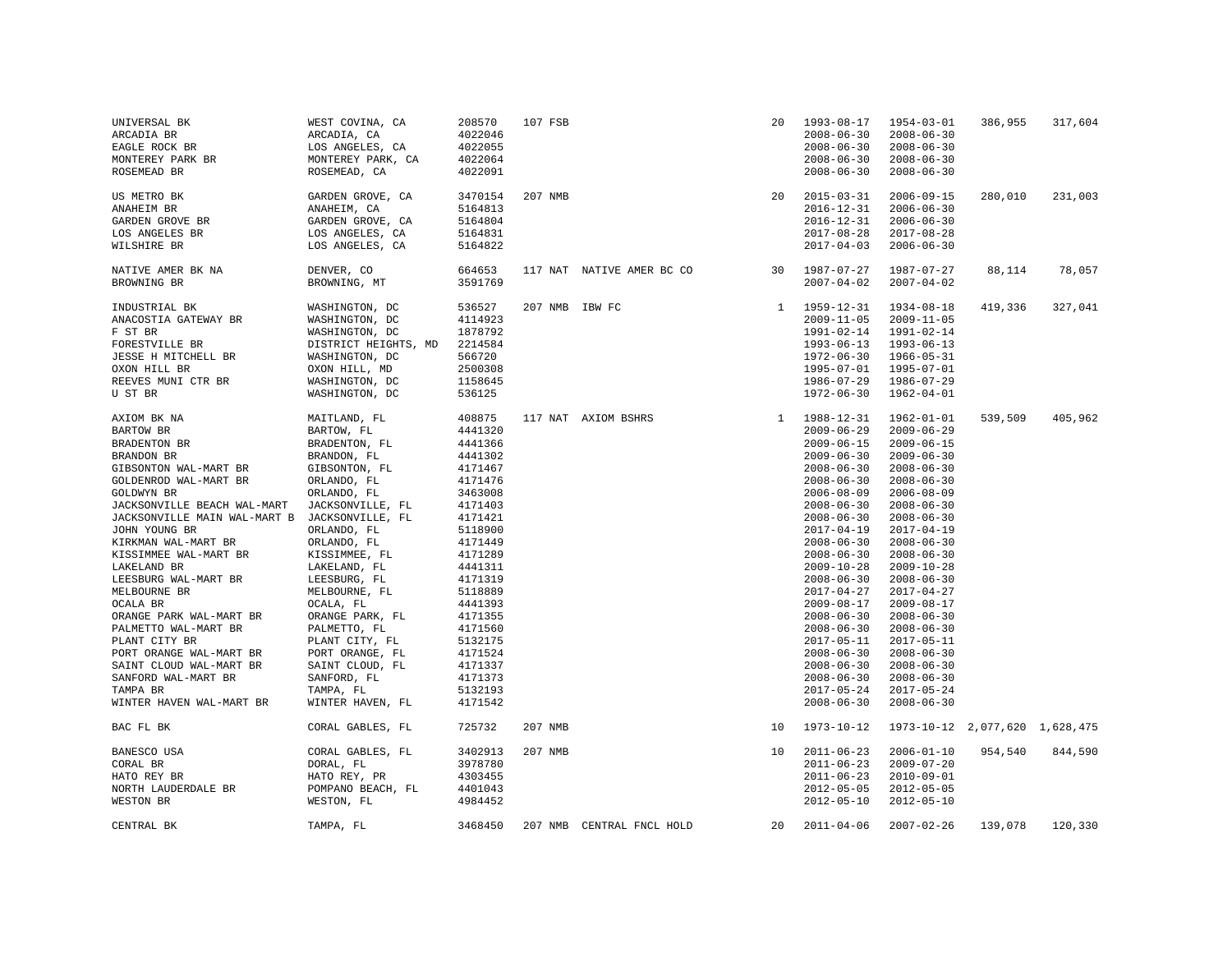| UNIVERSAL BK<br>ARCADIA BR<br>EAGLE ROCK BR<br>MONTEREY PARK BR<br>ROSEMEAD BR                                                                                                                                                                                                                                                                                                                                                                                                                                            | WEST COVINA, CA<br>ARCADIA, CA<br>LOS ANGELES, CA<br>MONTEREY PARK, CA<br>ROSEMEAD, CA                                                                                                                                                                                                                                                                                                                    | 208570<br>4022046<br>4022055<br>4022064<br>4022091                                                                                                                                                                                                                  | 107 FSB            |                           | 20       | 1993-08-17<br>$2008 - 06 - 30$<br>$2008 - 06 - 30$<br>$2008 - 06 - 30$<br>$2008 - 06 - 30$                                                                                                                                                                                                                                                                                                                                                                                               | $1954 - 03 - 01$<br>$2008 - 06 - 30$<br>$2008 - 06 - 30$<br>$2008 - 06 - 30$<br>$2008 - 06 - 30$                                                                                                                                                                                                                                                                                                                                                                                       | 386,955 | 317,604 |
|---------------------------------------------------------------------------------------------------------------------------------------------------------------------------------------------------------------------------------------------------------------------------------------------------------------------------------------------------------------------------------------------------------------------------------------------------------------------------------------------------------------------------|-----------------------------------------------------------------------------------------------------------------------------------------------------------------------------------------------------------------------------------------------------------------------------------------------------------------------------------------------------------------------------------------------------------|---------------------------------------------------------------------------------------------------------------------------------------------------------------------------------------------------------------------------------------------------------------------|--------------------|---------------------------|----------|------------------------------------------------------------------------------------------------------------------------------------------------------------------------------------------------------------------------------------------------------------------------------------------------------------------------------------------------------------------------------------------------------------------------------------------------------------------------------------------|----------------------------------------------------------------------------------------------------------------------------------------------------------------------------------------------------------------------------------------------------------------------------------------------------------------------------------------------------------------------------------------------------------------------------------------------------------------------------------------|---------|---------|
| US METRO BK<br>ANAHEIM BR<br>GARDEN GROVE BR<br>LOS ANGELES BR<br>WILSHIRE BR                                                                                                                                                                                                                                                                                                                                                                                                                                             | GARDEN GROVE, CA<br>ANAHEIM, CA<br>GARDEN GROVE, CA<br>LOS ANGELES, CA<br>LOS ANGELES, CA                                                                                                                                                                                                                                                                                                                 | 3470154<br>5164813<br>5164804<br>5164831<br>5164822                                                                                                                                                                                                                 | 207 NMB            |                           | 20       | $2015 - 03 - 31$<br>$2016 - 12 - 31$<br>$2016 - 12 - 31$<br>$2017 - 08 - 28$<br>$2017 - 04 - 03$                                                                                                                                                                                                                                                                                                                                                                                         | $2006 - 09 - 15$<br>$2006 - 06 - 30$<br>$2006 - 06 - 30$<br>$2017 - 08 - 28$<br>$2006 - 06 - 30$                                                                                                                                                                                                                                                                                                                                                                                       | 280,010 | 231,003 |
| NATIVE AMER BK NA<br>BROWNING BR                                                                                                                                                                                                                                                                                                                                                                                                                                                                                          | DENVER, CO<br>BROWNING, MT                                                                                                                                                                                                                                                                                                                                                                                | 664653<br>3591769                                                                                                                                                                                                                                                   |                    | 117 NAT NATIVE AMER BC CO | 30       | 1987-07-27<br>$2007 - 04 - 02$                                                                                                                                                                                                                                                                                                                                                                                                                                                           | 1987-07-27<br>$2007 - 04 - 02$                                                                                                                                                                                                                                                                                                                                                                                                                                                         | 88,114  | 78,057  |
| INDUSTRIAL BK<br>ANACOSTIA GATEWAY BR<br>F ST BR<br>FORESTVILLE BR<br>JESSE H MITCHELL BR<br>OXON HILL BR<br>REEVES MUNI CTR BR<br>U ST BR                                                                                                                                                                                                                                                                                                                                                                                | WASHINGTON, DC<br>WASHINGTON, DC<br>WASHINGTON, DC<br>DISTRICT HEIGHTS, MD<br>WASHINGTON, DC<br>OXON HILL, MD<br>WASHINGTON, DC<br>WASHINGTON, DC                                                                                                                                                                                                                                                         | 536527<br>4114923<br>1878792<br>2214584<br>566720<br>2500308<br>1158645<br>536125                                                                                                                                                                                   | 207 NMB IBW FC     |                           |          | $1 1959 - 12 - 31$<br>$2009 - 11 - 05$<br>1991-02-14<br>$1993 - 06 - 13$<br>$1972 - 06 - 30$<br>1995-07-01<br>1986-07-29<br>$1972 - 06 - 30$                                                                                                                                                                                                                                                                                                                                             | 1934-08-18<br>$2009 - 11 - 05$<br>1991-02-14<br>1993-06-13<br>$1966 - 05 - 31$<br>1995-07-01<br>1986-07-29<br>$1962 - 04 - 01$                                                                                                                                                                                                                                                                                                                                                         | 419,336 | 327,041 |
| AXIOM BK NA<br><b>BARTOW BR</b><br>BRADENTON BR<br>BRANDON BR<br>GIBSONTON WAL-MART BR<br>GOLDENROD WAL-MART BR<br>GOLDWYN BR<br>JACKSONVILLE BEACH WAL-MART<br>JACKSONVILLE MAIN WAL-MART B<br>JOHN YOUNG BR<br>KIRKMAN WAL-MART BR<br>KISSIMMEE WAL-MART BR<br>LAKELAND BR<br>LEESBURG WAL-MART BR<br>MELBOURNE BR<br>OCALA BR<br>ORANGE PARK WAL-MART BR<br>PALMETTO WAL-MART BR<br>PLANT CITY BR<br>PORT ORANGE WAL-MART BR<br>SAINT CLOUD WAL-MART BR<br>SANFORD WAL-MART BR<br>TAMPA BR<br>WINTER HAVEN WAL-MART BR | MAITLAND, FL<br>BARTOW, FL<br>BRADENTON, FL<br>BRANDON, FL<br>GIBSONTON, FL<br>ORLANDO, FL<br>ORLANDO, FL<br>JACKSONVILLE, FL<br>JACKSONVILLE, FL<br>ORLANDO, FL<br>ORLANDO, FL<br>KISSIMMEE, FL<br>LAKELAND, FL<br>LEESBURG, FL<br>MELBOURNE, FL<br>OCALA, FL<br>ORANGE PARK, FL<br>PALMETTO, FL<br>PLANT CITY, FL<br>PORT ORANGE, FL<br>SAINT CLOUD, FL<br>SANFORD, FL<br>TAMPA, FL<br>WINTER HAVEN, FL | 408875<br>4441320<br>4441366<br>4441302<br>4171467<br>4171476<br>3463008<br>4171403<br>4171421<br>5118900<br>4171449<br>4171289<br>4441311<br>4171319<br>5118889<br>4441393<br>4171355<br>4171560<br>5132175<br>4171524<br>4171337<br>4171373<br>5132193<br>4171542 |                    | 117 NAT AXIOM BSHRS       |          | 1 1988-12-31<br>$2009 - 06 - 29$<br>$2009 - 06 - 15$<br>$2009 - 06 - 30$<br>$2008 - 06 - 30$<br>$2008 - 06 - 30$<br>$2006 - 08 - 09$<br>$2008 - 06 - 30$<br>$2008 - 06 - 30$<br>$2017 - 04 - 19$<br>$2008 - 06 - 30$<br>$2008 - 06 - 30$<br>$2009 - 10 - 28$<br>$2008 - 06 - 30$<br>$2017 - 04 - 27$<br>$2009 - 08 - 17$<br>$2008 - 06 - 30$<br>$2008 - 06 - 30$<br>$2017 - 05 - 11$<br>$2008 - 06 - 30$<br>$2008 - 06 - 30$<br>$2008 - 06 - 30$<br>$2017 - 05 - 24$<br>$2008 - 06 - 30$ | $1962 - 01 - 01$<br>$2009 - 06 - 29$<br>$2009 - 06 - 15$<br>$2009 - 06 - 30$<br>$2008 - 06 - 30$<br>$2008 - 06 - 30$<br>$2006 - 08 - 09$<br>$2008 - 06 - 30$<br>$2008 - 06 - 30$<br>$2017 - 04 - 19$<br>$2008 - 06 - 30$<br>$2008 - 06 - 30$<br>$2009 - 10 - 28$<br>$2008 - 06 - 30$<br>$2017 - 04 - 27$<br>$2009 - 08 - 17$<br>$2008 - 06 - 30$<br>$2008 - 06 - 30$<br>2017-05-11<br>$2008 - 06 - 30$<br>$2008 - 06 - 30$<br>$2008 - 06 - 30$<br>$2017 - 05 - 24$<br>$2008 - 06 - 30$ | 539,509 | 405,962 |
| BAC FL BK<br>BANESCO USA<br>CORAL BR                                                                                                                                                                                                                                                                                                                                                                                                                                                                                      | CORAL GABLES, FL<br>CORAL GABLES, FL<br>DORAL, FL                                                                                                                                                                                                                                                                                                                                                         | 725732<br>3402913<br>3978780                                                                                                                                                                                                                                        | 207 NMB<br>207 NMB |                           | 10<br>10 | 1973-10-12<br>$2011 - 06 - 23$<br>$2011 - 06 - 23$                                                                                                                                                                                                                                                                                                                                                                                                                                       | 1973-10-12 2,077,620 1,628,475<br>$2006 - 01 - 10$<br>$2009 - 07 - 20$                                                                                                                                                                                                                                                                                                                                                                                                                 | 954,540 | 844,590 |
| HATO REY BR<br>NORTH LAUDERDALE BR<br>WESTON BR                                                                                                                                                                                                                                                                                                                                                                                                                                                                           | HATO REY, PR<br>POMPANO BEACH, FL<br>WESTON, FL                                                                                                                                                                                                                                                                                                                                                           | 4303455<br>4401043<br>4984452                                                                                                                                                                                                                                       |                    |                           |          | $2011 - 06 - 23$<br>$2012 - 05 - 05$<br>$2012 - 05 - 10$                                                                                                                                                                                                                                                                                                                                                                                                                                 | $2010 - 09 - 01$<br>$2012 - 05 - 05$<br>$2012 - 05 - 10$                                                                                                                                                                                                                                                                                                                                                                                                                               |         |         |
| CENTRAL BK                                                                                                                                                                                                                                                                                                                                                                                                                                                                                                                | TAMPA, FL                                                                                                                                                                                                                                                                                                                                                                                                 | 3468450                                                                                                                                                                                                                                                             |                    | 207 NMB CENTRAL FNCL HOLD | 20       | $2011 - 04 - 06$                                                                                                                                                                                                                                                                                                                                                                                                                                                                         | $2007 - 02 - 26$                                                                                                                                                                                                                                                                                                                                                                                                                                                                       | 139,078 | 120,330 |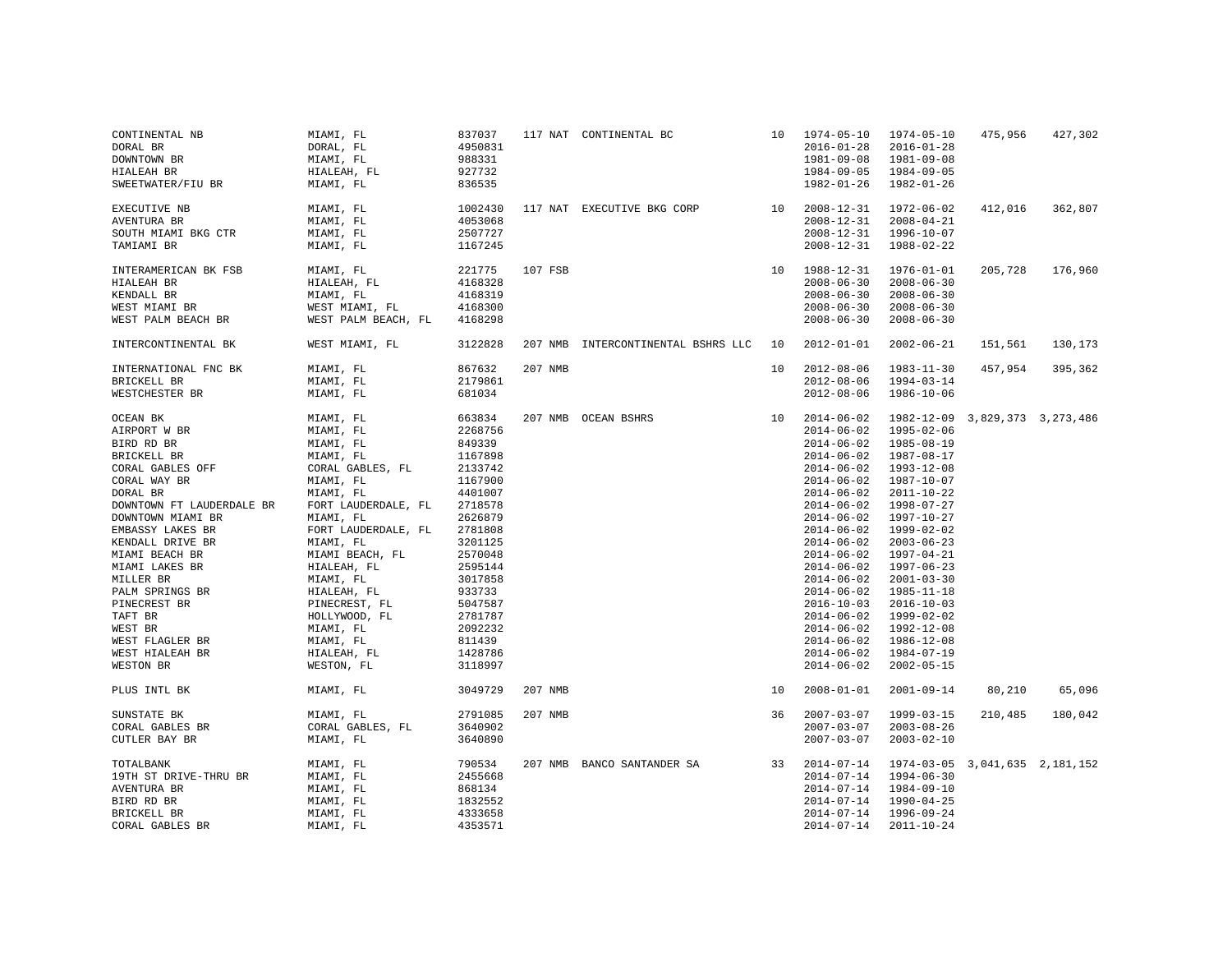| CONTINENTAL NB<br>DORAL BR<br>DOWNTOWN BR<br>HIALEAH BR<br>SWEETWATER/FIU BR                                                                                                                                                                                                                                                                                 | MIAMI, FL<br>DORAL, FL<br>MIAMI, FL<br>HIALEAH, FL<br>MIAMI, FL                                                                                                                                                                                                                                                               | 837037<br>4950831<br>988331<br>927732<br>836535                                                                                                                                                                                 |         | 117 NAT CONTINENTAL BC                   |    | $10 1974 - 05 - 10$<br>$2016 - 01 - 28$<br>$1981 - 09 - 08$<br>$1984 - 09 - 05$<br>$1982 - 01 - 26$                                                                                                                                                                                                                                                                                                                              | 1974-05-10<br>$2016 - 01 - 28$<br>1981-09-08<br>1984-09-05<br>$1982 - 01 - 26$                                                                                                                                                                                                                                                                                       | 475,956             | 427,302 |
|--------------------------------------------------------------------------------------------------------------------------------------------------------------------------------------------------------------------------------------------------------------------------------------------------------------------------------------------------------------|-------------------------------------------------------------------------------------------------------------------------------------------------------------------------------------------------------------------------------------------------------------------------------------------------------------------------------|---------------------------------------------------------------------------------------------------------------------------------------------------------------------------------------------------------------------------------|---------|------------------------------------------|----|----------------------------------------------------------------------------------------------------------------------------------------------------------------------------------------------------------------------------------------------------------------------------------------------------------------------------------------------------------------------------------------------------------------------------------|----------------------------------------------------------------------------------------------------------------------------------------------------------------------------------------------------------------------------------------------------------------------------------------------------------------------------------------------------------------------|---------------------|---------|
| EXECUTIVE NB<br>AVENTURA BR<br>SOUTH MIAMI BKG CTR<br>TAMIAMI BR                                                                                                                                                                                                                                                                                             | MIAMI, FL<br>MIAMI, FL<br>MIAMI, FL<br>MIAMI, FL                                                                                                                                                                                                                                                                              | 1002430<br>4053068<br>2507727<br>1167245                                                                                                                                                                                        |         | 117 NAT EXECUTIVE BKG CORP 10 2008-12-31 |    | $2008 - 12 - 31$<br>$2008 - 12 - 31$<br>$2008 - 12 - 31$                                                                                                                                                                                                                                                                                                                                                                         | 1972-06-02<br>$2008 - 04 - 21$<br>$1996 - 10 - 07$<br>1988-02-22                                                                                                                                                                                                                                                                                                     | 412,016             | 362,807 |
| INTERAMERICAN BK FSB<br>HIALEAH BR<br>KENDALL BR<br>WEST MIAMI BR<br>WEST PALM BEACH BR                                                                                                                                                                                                                                                                      | MIAMI, FL<br>HIALEAH, FL<br>MIAMI, FL<br>WEST MIAMI, FL<br>WEST PALM BEACH, FL                                                                                                                                                                                                                                                | 221775<br>4168328<br>4168319<br>4168300<br>4168298                                                                                                                                                                              | 107 FSB |                                          | 10 | 1988-12-31<br>$2008 - 06 - 30$<br>$2008 - 06 - 30$<br>$2008 - 06 - 30$<br>$2008 - 06 - 30$                                                                                                                                                                                                                                                                                                                                       | $1976 - 01 - 01$<br>$2008 - 06 - 30$<br>$2008 - 06 - 30$<br>$2008 - 06 - 30$<br>$2008 - 06 - 30$                                                                                                                                                                                                                                                                     | 205,728             | 176,960 |
| INTERCONTINENTAL BK                                                                                                                                                                                                                                                                                                                                          | WEST MIAMI, FL                                                                                                                                                                                                                                                                                                                | 3122828                                                                                                                                                                                                                         |         | 207 NMB INTERCONTINENTAL BSHRS LLC       | 10 | $2012 - 01 - 01$                                                                                                                                                                                                                                                                                                                                                                                                                 | $2002 - 06 - 21$                                                                                                                                                                                                                                                                                                                                                     | 151,561             | 130,173 |
| INTERNATIONAL FNC BK<br>BRICKELL BR<br>WESTCHESTER BR                                                                                                                                                                                                                                                                                                        | MIAMI, FL<br>MIAMI, FL<br>MIAMI, FL                                                                                                                                                                                                                                                                                           | 867632<br>2179861<br>681034                                                                                                                                                                                                     | 207 NMB |                                          | 10 | $2012 - 08 - 06$<br>$2012 - 08 - 06$<br>$2012 - 08 - 06$                                                                                                                                                                                                                                                                                                                                                                         | $1983 - 11 - 30$<br>$1994 - 03 - 14$<br>$1986 - 10 - 06$                                                                                                                                                                                                                                                                                                             | 457,954             | 395,362 |
| OCEAN BK<br>AIRPORT W BR<br>BIRD RD BR<br>BRICKELL BR<br>CORAL GABLES OFF<br>CORAL WAY BR<br>DORAL BR<br>DOWNTOWN FT LAUDERDALE BR<br>DOWNTOWN MIAMI BR<br>EMBASSY LAKES BR<br>KENDALL DRIVE BR<br>MIAMI BEACH BR<br>MIAMI LAKES BR<br>MILLER BR<br>PALM SPRINGS BR<br>PINECREST BR<br>TAFT BR<br>WEST BR<br>WEST FLAGLER BR<br>WEST HIALEAH BR<br>WESTON BR | MIAMI, FL<br>MIAMI, FL<br>MIAMI, FL<br>MIAMI, FL<br>CORAL GABLES, FL<br>MIAMI, FL<br>MIAMI, FL<br>FORT LAUDERDALE, FL<br>MIAMI, FL<br>FORT LAUDERDALE, FL<br>MIAMI, FL<br>MIAMI BEACH, FL<br>HIALEAH, FL<br>MIAMI, FL<br>HIALEAH, FL<br>PINECREST, FL<br>HOLLYWOOD, FL<br>MIAMI, FL<br>MIAMI, FL<br>HIALEAH, FL<br>WESTON, FL | 663834<br>2268756<br>849339<br>1167898<br>2133742<br>1167900<br>4401007<br>2718578<br>2626879<br>2781808<br>3201125<br>2570048<br>2595144<br>3017858<br>933733<br>5047587<br>2781787<br>2092232<br>811439<br>1428786<br>3118997 |         | 207 NMB OCEAN BSHRS<br>10                |    | $2014 - 06 - 02$<br>$2014 - 06 - 02$<br>$2014 - 06 - 02$<br>$2014 - 06 - 02$<br>$2014 - 06 - 02$<br>$2014 - 06 - 02$<br>$2014 - 06 - 02$<br>$2014 - 06 - 02$<br>$2014 - 06 - 02$<br>$2014 - 06 - 02$<br>$2014 - 06 - 02$<br>$2014 - 06 - 02$<br>$2014 - 06 - 02$<br>$2014 - 06 - 02$<br>$2014 - 06 - 02$<br>$2016 - 10 - 03$<br>$2014 - 06 - 02$<br>$2014 - 06 - 02$<br>$2014 - 06 - 02$<br>$2014 - 06 - 02$<br>$2014 - 06 - 02$ | 1982-12-09<br>$1995 - 02 - 06$<br>$1985 - 08 - 19$<br>1987-08-17<br>1993-12-08<br>1987-10-07<br>$2011 - 10 - 22$<br>1998-07-27<br>1997-10-27<br>1999-02-02<br>$2003 - 06 - 23$<br>$1997 - 04 - 21$<br>$1997 - 06 - 23$<br>$2001 - 03 - 30$<br>$1985 - 11 - 18$<br>$2016 - 10 - 03$<br>1999-02-02<br>1992-12-08<br>$1986 - 12 - 08$<br>1984-07-19<br>$2002 - 05 - 15$ | 3,829,373 3,273,486 |         |
| PLUS INTL BK                                                                                                                                                                                                                                                                                                                                                 | MIAMI, FL                                                                                                                                                                                                                                                                                                                     | 3049729                                                                                                                                                                                                                         | 207 NMB |                                          | 10 | $2008 - 01 - 01$                                                                                                                                                                                                                                                                                                                                                                                                                 | $2001 - 09 - 14$                                                                                                                                                                                                                                                                                                                                                     | 80,210              | 65,096  |
| SUNSTATE BK<br>CORAL GABLES BR<br>CUTLER BAY BR                                                                                                                                                                                                                                                                                                              | MIAMI, FL<br>CORAL GABLES, FL<br>MIAMI, FL                                                                                                                                                                                                                                                                                    | 2791085<br>3640902<br>3640890                                                                                                                                                                                                   | 207 NMB |                                          | 36 | $2007 - 03 - 07$<br>$2007 - 03 - 07$<br>$2007 - 03 - 07$                                                                                                                                                                                                                                                                                                                                                                         | 1999-03-15<br>$2003 - 08 - 26$<br>$2003 - 02 - 10$                                                                                                                                                                                                                                                                                                                   | 210,485             | 180,042 |
| <b>TOTALBANK</b><br>19TH ST DRIVE-THRU BR<br>AVENTURA BR<br>BIRD RD BR<br>BRICKELL BR<br>CORAL GABLES BR                                                                                                                                                                                                                                                     | MIAMI, FL<br>MIAMI, FL<br>MIAMI, FL<br>MIAMI, FL<br>MIAMI, FL<br>MIAMI, FL                                                                                                                                                                                                                                                    | 790534<br>2455668<br>868134<br>1832552<br>4333658<br>4353571                                                                                                                                                                    |         | 207 NMB BANCO SANTANDER SA               | 33 | $2014 - 07 - 14$<br>$2014 - 07 - 14$<br>$2014 - 07 - 14$<br>$2014 - 07 - 14$<br>$2014 - 07 - 14$<br>$2014 - 07 - 14$                                                                                                                                                                                                                                                                                                             | 1974-03-05 3,041,635 2,181,152<br>1994-06-30<br>1984-09-10<br>$1990 - 04 - 25$<br>1996-09-24<br>$2011 - 10 - 24$                                                                                                                                                                                                                                                     |                     |         |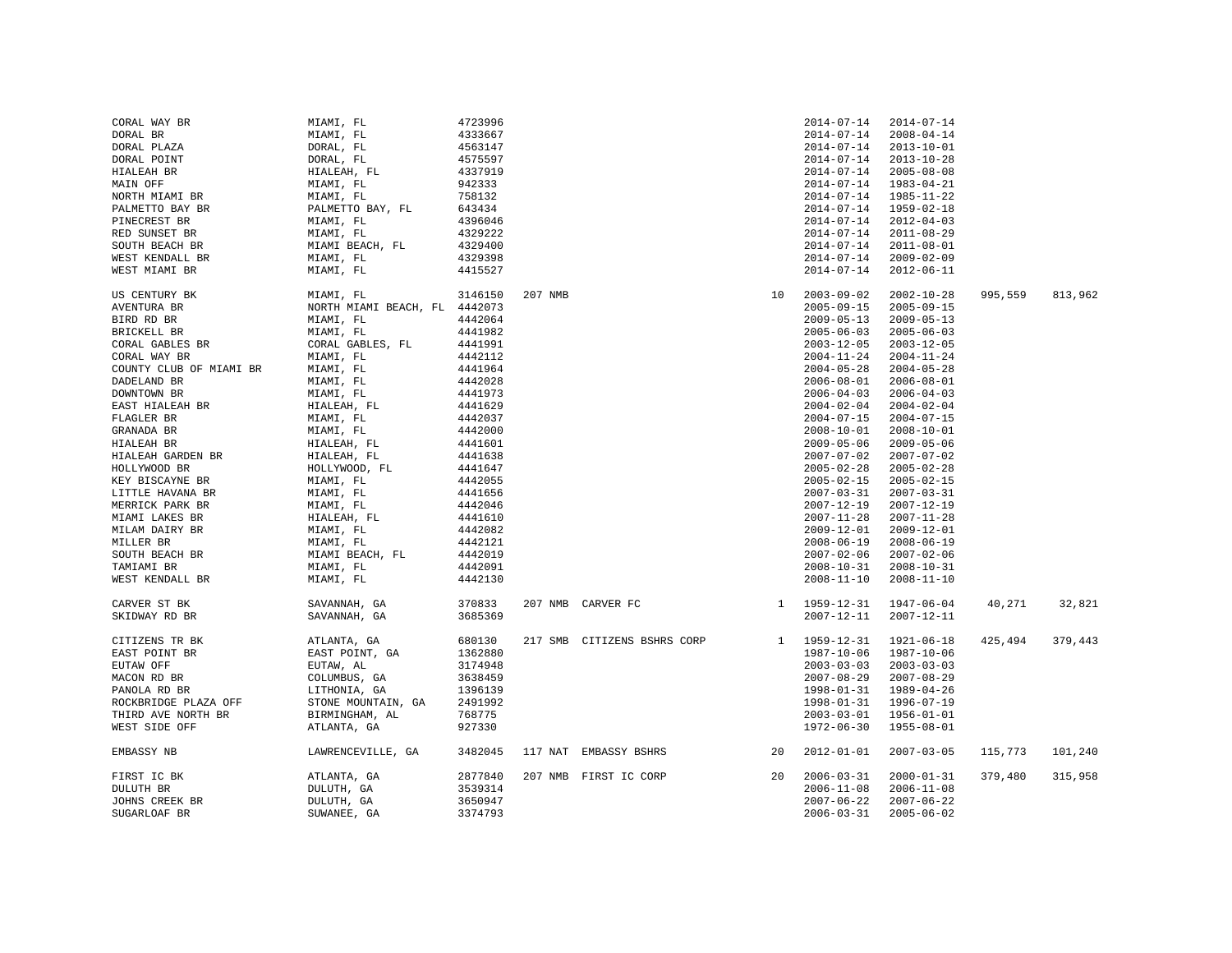| CORAL WAY BR            | MIAMI, FL                     | 4723996 |         |                             |    | $2014 - 07 - 14$   | $2014 - 07 - 14$ |         |         |
|-------------------------|-------------------------------|---------|---------|-----------------------------|----|--------------------|------------------|---------|---------|
| DORAL BR                | MIAMI, FL                     | 4333667 |         |                             |    | $2014 - 07 - 14$   | $2008 - 04 - 14$ |         |         |
| DORAL PLAZA             |                               | 4563147 |         |                             |    | $2014 - 07 - 14$   | $2013 - 10 - 01$ |         |         |
| DORAL POINT             | DORAL, FL<br>DORAL, FL        | 4575597 |         |                             |    | $2014 - 07 - 14$   | $2013 - 10 - 28$ |         |         |
| HIALEAH BR              | HIALEAH, FL                   | 4337919 |         |                             |    | $2014 - 07 - 14$   | $2005 - 08 - 08$ |         |         |
| MAIN OFF                | MIAMI, FL                     | 942333  |         |                             |    | $2014 - 07 - 14$   | $1983 - 04 - 21$ |         |         |
| NORTH MIAMI BR          | MIAMI, FL                     | 758132  |         |                             |    | $2014 - 07 - 14$   | $1985 - 11 - 22$ |         |         |
|                         |                               |         |         |                             |    |                    |                  |         |         |
| PALMETTO BAY BR         | PALMETTO BAY, FL              | 643434  |         |                             |    | $2014 - 07 - 14$   | 1959-02-18       |         |         |
| PINECREST BR            | MIAMI, FL                     | 4396046 |         |                             |    | $2014 - 07 - 14$   | $2012 - 04 - 03$ |         |         |
| RED SUNSET BR           | MIAMI, FL                     | 4329222 |         |                             |    | $2014 - 07 - 14$   | $2011 - 08 - 29$ |         |         |
| SOUTH BEACH BR          | MIAMI BEACH, FL               | 4329400 |         |                             |    | $2014 - 07 - 14$   | $2011 - 08 - 01$ |         |         |
| WEST KENDALL BR         | MIAMI, FL                     | 4329398 |         |                             |    | $2014 - 07 - 14$   | $2009 - 02 - 09$ |         |         |
| WEST MIAMI BR           | MIAMI, FL                     | 4415527 |         |                             |    | $2014 - 07 - 14$   | $2012 - 06 - 11$ |         |         |
|                         |                               |         |         |                             |    |                    |                  |         |         |
| US CENTURY BK           | MIAMI, FL                     | 3146150 | 207 NMB |                             | 10 | $2003 - 09 - 02$   | $2002 - 10 - 28$ | 995,559 | 813,962 |
| AVENTURA BR             | NORTH MIAMI BEACH, FL 4442073 |         |         |                             |    | $2005 - 09 - 15$   | $2005 - 09 - 15$ |         |         |
| BIRD RD BR              | MIAMI, FL                     | 4442064 |         |                             |    | $2009 - 05 - 13$   | $2009 - 05 - 13$ |         |         |
| BRICKELL BR             | MIAMI, FL                     | 4441982 |         |                             |    | $2005 - 06 - 03$   | $2005 - 06 - 03$ |         |         |
| CORAL GABLES BR         | CORAL GABLES, FL              | 4441991 |         |                             |    | $2003 - 12 - 05$   | $2003 - 12 - 05$ |         |         |
| CORAL WAY BR            | MIAMI, FL                     | 4442112 |         |                             |    | $2004 - 11 - 24$   | $2004 - 11 - 24$ |         |         |
| COUNTY CLUB OF MIAMI BR | MIAMI, FL                     | 4441964 |         |                             |    | $2004 - 05 - 28$   | $2004 - 05 - 28$ |         |         |
| DADELAND BR             | MIAMI, FL                     | 4442028 |         |                             |    | $2006 - 08 - 01$   | $2006 - 08 - 01$ |         |         |
| DOWNTOWN BR             | MIAMI, FL                     | 4441973 |         |                             |    | $2006 - 04 - 03$   | $2006 - 04 - 03$ |         |         |
|                         |                               | 4441629 |         |                             |    | $2004 - 02 - 04$   | $2004 - 02 - 04$ |         |         |
| EAST HIALEAH BR         | HIALEAH, FL                   |         |         |                             |    |                    |                  |         |         |
| FLAGLER BR              | MIAMI, FL                     | 4442037 |         |                             |    | $2004 - 07 - 15$   | $2004 - 07 - 15$ |         |         |
| GRANADA BR              | MIAMI, FL                     | 4442000 |         |                             |    | $2008 - 10 - 01$   | $2008 - 10 - 01$ |         |         |
| HIALEAH BR              | HIALEAH, FL                   | 4441601 |         |                             |    | $2009 - 05 - 06$   | $2009 - 05 - 06$ |         |         |
| HIALEAH GARDEN BR       | HIALEAH, FL                   | 4441638 |         |                             |    | $2007 - 07 - 02$   | $2007 - 07 - 02$ |         |         |
| HOLLYWOOD BR            | HOLLYWOOD, FL                 | 4441647 |         |                             |    | $2005 - 02 - 28$   | $2005 - 02 - 28$ |         |         |
| KEY BISCAYNE BR         | MIAMI, FL                     | 4442055 |         |                             |    | $2005 - 02 - 15$   | $2005 - 02 - 15$ |         |         |
| LITTLE HAVANA BR        | MIAMI, FL                     | 4441656 |         |                             |    | $2007 - 03 - 31$   | $2007 - 03 - 31$ |         |         |
| MERRICK PARK BR         | MIAMI, FL                     | 4442046 |         |                             |    | $2007 - 12 - 19$   | $2007 - 12 - 19$ |         |         |
| MIAMI LAKES BR          | HIALEAH, FL                   | 4441610 |         |                             |    | $2007 - 11 - 28$   | $2007 - 11 - 28$ |         |         |
| MILAM DAIRY BR          | MIAMI, FL                     | 4442082 |         |                             |    | $2009 - 12 - 01$   | $2009 - 12 - 01$ |         |         |
| MILLER BR               | MIAMI, FL                     | 4442121 |         |                             |    | $2008 - 06 - 19$   | $2008 - 06 - 19$ |         |         |
| SOUTH BEACH BR          | MIAMI BEACH, FL               | 4442019 |         |                             |    | $2007 - 02 - 06$   | $2007 - 02 - 06$ |         |         |
| TAMIAMI BR              | MIAMI, FL                     | 4442091 |         |                             |    | $2008 - 10 - 31$   | $2008 - 10 - 31$ |         |         |
| WEST KENDALL BR         | MIAMI, FL                     | 4442130 |         |                             |    | $2008 - 11 - 10$   | $2008 - 11 - 10$ |         |         |
|                         |                               |         |         |                             |    |                    |                  |         |         |
| CARVER ST BK            | SAVANNAH, GA                  | 370833  |         | 207 NMB CARVER FC           |    | 1 1959-12-31       | 1947-06-04       | 40,271  | 32,821  |
| SKIDWAY RD BR           | SAVANNAH, GA                  | 3685369 |         |                             |    | $2007 - 12 - 11$   | 2007-12-11       |         |         |
|                         |                               |         |         |                             |    |                    |                  |         |         |
| CITIZENS TR BK          | ATLANTA, GA                   | 680130  |         | 217 SMB CITIZENS BSHRS CORP |    | $1 1959 - 12 - 31$ | $1921 - 06 - 18$ | 425,494 | 379,443 |
| EAST POINT BR           | EAST POINT, GA                | 1362880 |         |                             |    | $1987 - 10 - 06$   | $1987 - 10 - 06$ |         |         |
| EUTAW OFF               | EUTAW, AL                     | 3174948 |         |                             |    | $2003 - 03 - 03$   | $2003 - 03 - 03$ |         |         |
| MACON RD BR             | COLUMBUS, GA                  | 3638459 |         |                             |    | $2007 - 08 - 29$   | $2007 - 08 - 29$ |         |         |
|                         |                               | 1396139 |         |                             |    | $1998 - 01 - 31$   |                  |         |         |
| PANOLA RD BR            | LITHONIA, GA                  |         |         |                             |    |                    | 1989-04-26       |         |         |
| ROCKBRIDGE PLAZA OFF    | STONE MOUNTAIN, GA            | 2491992 |         |                             |    | $1998 - 01 - 31$   | 1996-07-19       |         |         |
| THIRD AVE NORTH BR      | BIRMINGHAM, AL                | 768775  |         |                             |    | $2003 - 03 - 01$   | $1956 - 01 - 01$ |         |         |
| WEST SIDE OFF           | ATLANTA, GA                   | 927330  |         |                             |    | $1972 - 06 - 30$   | $1955 - 08 - 01$ |         |         |
| EMBASSY NB              | LAWRENCEVILLE, GA             | 3482045 |         | 117 NAT EMBASSY BSHRS       | 20 | $2012 - 01 - 01$   | $2007 - 03 - 05$ | 115,773 | 101,240 |
| FIRST IC BK             | ATLANTA, GA                   | 2877840 |         | 207 NMB FIRST IC CORP       | 20 | $2006 - 03 - 31$   | $2000 - 01 - 31$ | 379,480 | 315,958 |
| DULUTH BR               | DULUTH, GA                    | 3539314 |         |                             |    | $2006 - 11 - 08$   | $2006 - 11 - 08$ |         |         |
| JOHNS CREEK BR          | DULUTH, GA                    | 3650947 |         |                             |    | $2007 - 06 - 22$   | $2007 - 06 - 22$ |         |         |
| SUGARLOAF BR            | SUWANEE, GA                   | 3374793 |         |                             |    | $2006 - 03 - 31$   | $2005 - 06 - 02$ |         |         |
|                         |                               |         |         |                             |    |                    |                  |         |         |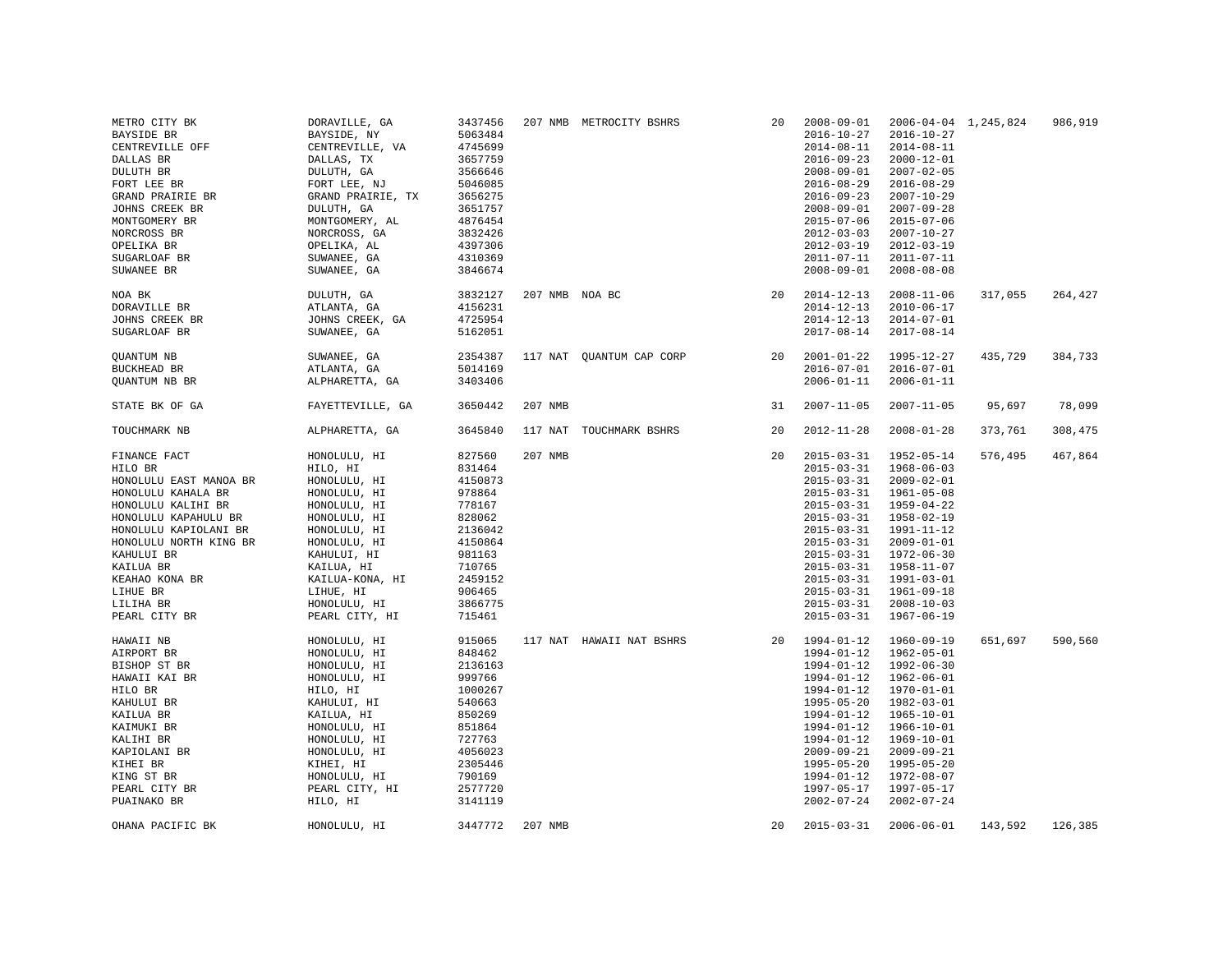| METRO CITY BK<br>BAYSIDE BR<br>CENTREVILLE OFF<br>DALLAS BR<br>DULUTH BR<br>FORT LEE BR<br>GRAND PRAIRIE BR<br>JOHNS CREEK BR<br>MONTGOMERY BR<br>NORCROSS BR<br>OPELIKA BR<br>SUGARLOAF BR<br>SUWANEE BR                                                       | DORAVILLE, GA<br>BAYSIDE, NY<br>CENTREVILLE, VA<br>DALLAS, TX<br>DULUTH, GA<br>FORT LEE, NJ<br>GRAND PRAIRIE, TX<br>DULUTH, GA<br>MONTGOMERY, AL<br>NORCROSS, GA<br>OPELIKA, AL<br>SUWANEE, GA<br>SUWANEE, GA           | 3437456<br>5063484<br>4745699<br>3657759<br>3566646<br>5046085<br>3656275<br>3651757<br>4876454<br>3832426<br>4397306<br>4310369<br>3846674    |                | 207 NMB METROCITY BSHRS  | 20 | $2008 - 09 - 01$<br>$2016 - 10 - 27$<br>$2014 - 08 - 11$<br>$2016 - 09 - 23$<br>$2008 - 09 - 01$<br>$2016 - 08 - 29$<br>$2016 - 09 - 23$<br>$2008 - 09 - 01$<br>$2015 - 07 - 06$<br>$2012 - 03 - 03$<br>$2012 - 03 - 19$<br>$2011 - 07 - 11$<br>$2008 - 09 - 01$                     | $2006 - 04 - 04$ 1, 245, 824<br>$2016 - 10 - 27$<br>$2014 - 08 - 11$<br>$2000 - 12 - 01$<br>$2007 - 02 - 05$<br>$2016 - 08 - 29$<br>$2007 - 10 - 29$<br>$2007 - 09 - 28$<br>$2015 - 07 - 06$<br>$2007 - 10 - 27$<br>$2012 - 03 - 19$<br>$2011 - 07 - 11$<br>$2008 - 08 - 08$ |         | 986,919 |
|-----------------------------------------------------------------------------------------------------------------------------------------------------------------------------------------------------------------------------------------------------------------|-------------------------------------------------------------------------------------------------------------------------------------------------------------------------------------------------------------------------|------------------------------------------------------------------------------------------------------------------------------------------------|----------------|--------------------------|----|--------------------------------------------------------------------------------------------------------------------------------------------------------------------------------------------------------------------------------------------------------------------------------------|------------------------------------------------------------------------------------------------------------------------------------------------------------------------------------------------------------------------------------------------------------------------------|---------|---------|
| NOA BK<br>DORAVILLE BR<br>JOHNS CREEK BR<br>SUGARLOAF BR                                                                                                                                                                                                        | DULUTH, GA<br>ATLANTA, GA<br>JOHNS CREEK, GA<br>SUWANEE, GA                                                                                                                                                             | 3832127<br>4156231<br>4725954<br>5162051                                                                                                       | 207 NMB NOA BC |                          | 20 | $2014 - 12 - 13$<br>$2014 - 12 - 13$<br>$2014 - 12 - 13$<br>$2017 - 08 - 14$                                                                                                                                                                                                         | $2008 - 11 - 06$<br>$2010 - 06 - 17$<br>$2014 - 07 - 01$<br>$2017 - 08 - 14$                                                                                                                                                                                                 | 317,055 | 264,427 |
| <b>OUANTUM NB</b><br>BUCKHEAD BR<br>QUANTUM NB BR                                                                                                                                                                                                               | SUWANEE, GA<br>ATLANTA, GA<br>ALPHARETTA, GA                                                                                                                                                                            | 2354387<br>5014169<br>3403406                                                                                                                  |                | 117 NAT OUANTUM CAP CORP | 20 | $2001 - 01 - 22$<br>$2016 - 07 - 01$<br>$2006 - 01 - 11$                                                                                                                                                                                                                             | 1995-12-27<br>$2016 - 07 - 01$<br>$2006 - 01 - 11$                                                                                                                                                                                                                           | 435,729 | 384,733 |
| STATE BK OF GA                                                                                                                                                                                                                                                  | FAYETTEVILLE, GA                                                                                                                                                                                                        | 3650442                                                                                                                                        | 207 NMB        |                          | 31 | $2007 - 11 - 05$                                                                                                                                                                                                                                                                     | $2007 - 11 - 05$                                                                                                                                                                                                                                                             | 95,697  | 78,099  |
| TOUCHMARK NB                                                                                                                                                                                                                                                    | ALPHARETTA, GA                                                                                                                                                                                                          | 3645840                                                                                                                                        |                | 117 NAT TOUCHMARK BSHRS  | 20 | $2012 - 11 - 28$                                                                                                                                                                                                                                                                     | $2008 - 01 - 28$                                                                                                                                                                                                                                                             | 373,761 | 308,475 |
| FINANCE FACT<br>HILO BR<br>HONOLULU EAST MANOA BR<br>HONOLULU KAHALA BR<br>HONOLULU KALIHI BR<br>HONOLULU KAPAHULU BR<br>HONOLULU KAPIOLANI BR<br>HONOLULU NORTH KING BR<br>KAHULUI BR<br>KAILUA BR<br>KEAHAO KONA BR<br>LIHUE BR<br>LILIHA BR<br>PEARL CITY BR | HONOLULU, HI<br>HILO, HI<br>HONOLULU, HI<br>HONOLULU, HI<br>HONOLULU, HI<br>HONOLULU, HI<br>HONOLULU, HI<br>HONOLULU, HI<br>KAHULUI, HI<br>KAILUA, HI<br>KAILUA-KONA, HI<br>LIHUE, HI<br>HONOLULU, HI<br>PEARL CITY, HI | 827560<br>831464<br>4150873<br>978864<br>778167<br>828062<br>2136042<br>4150864<br>981163<br>710765<br>2459152<br>906465<br>3866775<br>715461  | 207 NMB        |                          | 20 | $2015 - 03 - 31$<br>$2015 - 03 - 31$<br>$2015 - 03 - 31$<br>$2015 - 03 - 31$<br>$2015 - 03 - 31$<br>$2015 - 03 - 31$<br>$2015 - 03 - 31$<br>$2015 - 03 - 31$<br>$2015 - 03 - 31$<br>$2015 - 03 - 31$<br>$2015 - 03 - 31$<br>$2015 - 03 - 31$<br>$2015 - 03 - 31$<br>$2015 - 03 - 31$ | 1952-05-14<br>$1968 - 06 - 03$<br>$2009 - 02 - 01$<br>1961-05-08<br>1959-04-22<br>$1958 - 02 - 19$<br>1991-11-12<br>$2009 - 01 - 01$<br>1972-06-30<br>1958-11-07<br>1991-03-01<br>1961-09-18<br>$2008 - 10 - 03$<br>$1967 - 06 - 19$                                         | 576,495 | 467,864 |
| HAWAII NB<br>AIRPORT BR<br>BISHOP ST BR<br>HAWAII KAI BR<br>HILO BR<br>KAHULUI BR<br>KAILUA BR<br>KAIMUKI BR<br>KALIHI BR<br>KAPIOLANI BR<br>KIHEI BR<br>KING ST BR<br>PEARL CITY BR<br>PUAINAKO BR                                                             | HONOLULU, HI<br>HONOLULU, HI<br>HONOLULU, HI<br>HONOLULU, HI<br>HILO, HI<br>KAHULUI, HI<br>KAILUA, HI<br>HONOLULU, HI<br>HONOLULU, HI<br>HONOLULU, HI<br>KIHEI, HI<br>HONOLULU, HI<br>PEARL CITY, HI<br>HILO, HI        | 915065<br>848462<br>2136163<br>999766<br>1000267<br>540663<br>850269<br>851864<br>727763<br>4056023<br>2305446<br>790169<br>2577720<br>3141119 |                | 117 NAT HAWAII NAT BSHRS |    | 20 1994-01-12<br>1994-01-12<br>1994-01-12<br>1994-01-12<br>$1994 - 01 - 12$<br>1995-05-20<br>$1994 - 01 - 12$<br>1994-01-12<br>1994-01-12<br>$2009 - 09 - 21$<br>$1995 - 05 - 20$<br>1994-01-12<br>1997-05-17<br>$2002 - 07 - 24$                                                    | 1960-09-19<br>$1962 - 05 - 01$<br>1992-06-30<br>$1962 - 06 - 01$<br>1970-01-01<br>1982-03-01<br>$1965 - 10 - 01$<br>1966-10-01<br>1969-10-01<br>$2009 - 09 - 21$<br>$1995 - 05 - 20$<br>1972-08-07<br>$1997 - 05 - 17$<br>$2002 - 07 - 24$                                   | 651,697 | 590,560 |
| OHANA PACIFIC BK                                                                                                                                                                                                                                                | HONOLULU, HI                                                                                                                                                                                                            | 3447772                                                                                                                                        | 207 NMB        |                          | 20 | $2015 - 03 - 31$                                                                                                                                                                                                                                                                     | $2006 - 06 - 01$                                                                                                                                                                                                                                                             | 143,592 | 126,385 |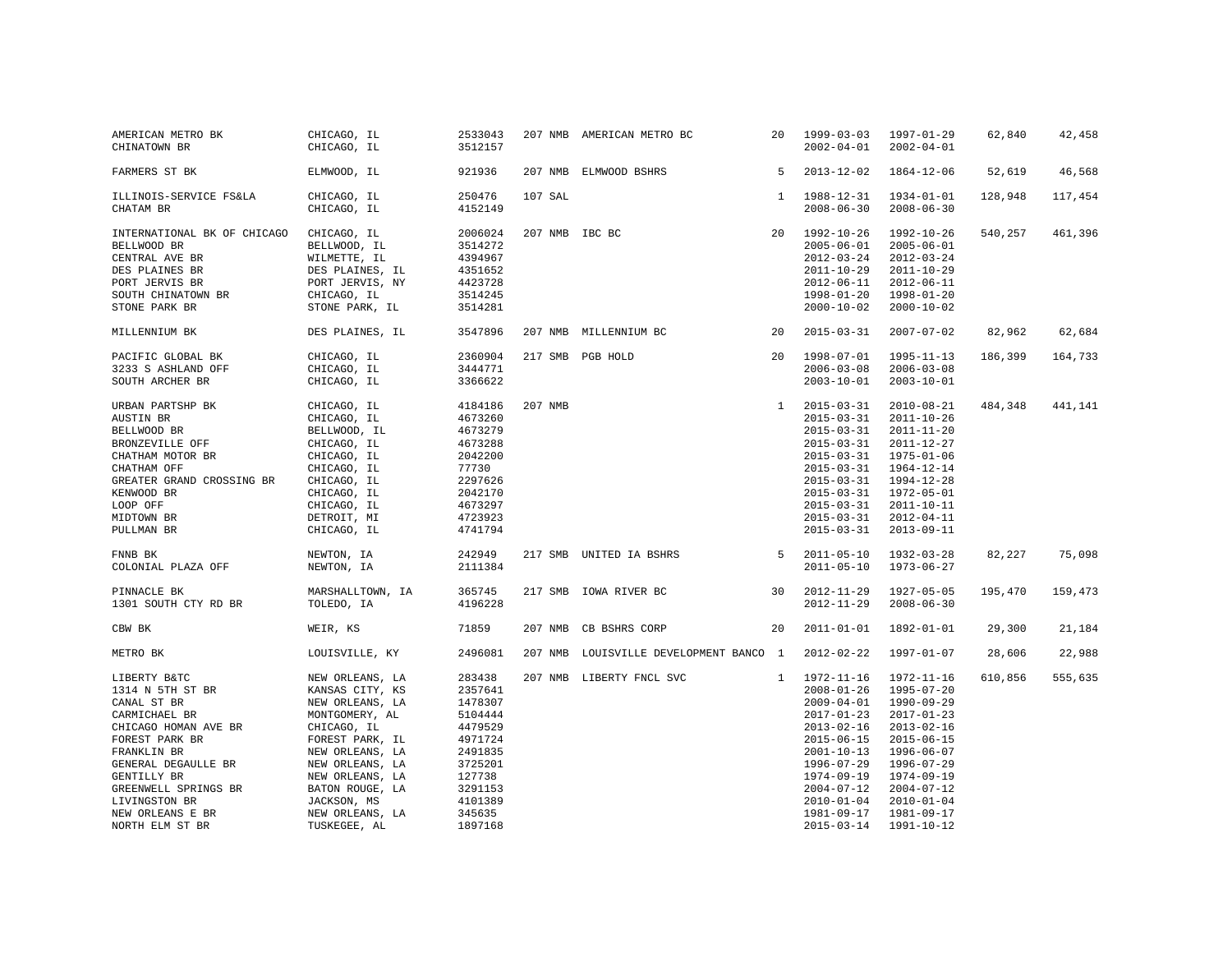| AMERICAN METRO BK<br>CHINATOWN BR | CHICAGO, IL<br>CHICAGO, IL | 2533043<br>3512157 |                | 207 NMB AMERICAN METRO BC      |              | 20 1999-03-03<br>$2002 - 04 - 01$ | 1997-01-29<br>$2002 - 04 - 01$ | 62,840  | 42,458  |
|-----------------------------------|----------------------------|--------------------|----------------|--------------------------------|--------------|-----------------------------------|--------------------------------|---------|---------|
| FARMERS ST BK                     | ELMWOOD, IL                | 921936             | 207 NMB        | ELMWOOD BSHRS                  | 5            | $2013 - 12 - 02$                  | $1864 - 12 - 06$               | 52,619  | 46,568  |
| ILLINOIS-SERVICE FS&LA            | CHICAGO, IL                | 250476             | 107 SAL        |                                | $\mathbf{1}$ | 1988-12-31                        | $1934 - 01 - 01$               | 128,948 | 117,454 |
| CHATAM BR                         | CHICAGO, IL                | 4152149            |                |                                |              | $2008 - 06 - 30$                  | $2008 - 06 - 30$               |         |         |
| INTERNATIONAL BK OF CHICAGO       | CHICAGO, IL                | 2006024            | 207 NMB IBC BC |                                | 20           | 1992-10-26                        | $1992 - 10 - 26$               | 540,257 | 461,396 |
| BELLWOOD BR                       | BELLWOOD, IL               | 3514272            |                |                                |              | $2005 - 06 - 01$                  | $2005 - 06 - 01$               |         |         |
| CENTRAL AVE BR                    | WILMETTE, IL               | 4394967            |                |                                |              | $2012 - 03 - 24$                  | $2012 - 03 - 24$               |         |         |
| DES PLAINES BR                    | DES PLAINES, IL            | 4351652            |                |                                |              | $2011 - 10 - 29$                  | $2011 - 10 - 29$               |         |         |
| PORT JERVIS BR                    | PORT JERVIS, NY            | 4423728            |                |                                |              | $2012 - 06 - 11$                  | $2012 - 06 - 11$               |         |         |
| SOUTH CHINATOWN BR                | CHICAGO, IL                | 3514245            |                |                                |              | $1998 - 01 - 20$                  | $1998 - 01 - 20$               |         |         |
| STONE PARK BR                     | STONE PARK, IL             | 3514281            |                |                                |              | $2000 - 10 - 02$                  | $2000 - 10 - 02$               |         |         |
| MILLENNIUM BK                     | DES PLAINES, IL            | 3547896            |                | 207 NMB MILLENNIUM BC          | 20           | $2015 - 03 - 31$                  | $2007 - 07 - 02$               | 82,962  | 62,684  |
| PACIFIC GLOBAL BK                 | CHICAGO, IL                | 2360904            |                | 217 SMB PGB HOLD               | 20           | 1998-07-01                        | $1995 - 11 - 13$               | 186,399 | 164,733 |
| 3233 S ASHLAND OFF                | CHICAGO, IL                | 3444771            |                |                                |              | $2006 - 03 - 08$                  | $2006 - 03 - 08$               |         |         |
| SOUTH ARCHER BR                   | CHICAGO, IL                | 3366622            |                |                                |              | $2003 - 10 - 01$                  | $2003 - 10 - 01$               |         |         |
| URBAN PARTSHP BK                  | CHICAGO, IL                | 4184186            | 207 NMB        |                                | 1            | $2015 - 03 - 31$                  | $2010 - 08 - 21$               | 484,348 | 441,141 |
| AUSTIN BR                         | CHICAGO, IL                | 4673260            |                |                                |              | $2015 - 03 - 31$                  | $2011 - 10 - 26$               |         |         |
| BELLWOOD BR                       | BELLWOOD, IL               | 4673279            |                |                                |              | $2015 - 03 - 31$                  | $2011 - 11 - 20$               |         |         |
| BRONZEVILLE OFF                   | CHICAGO, IL                | 4673288            |                |                                |              | $2015 - 03 - 31$                  | $2011 - 12 - 27$               |         |         |
| CHATHAM MOTOR BR                  | CHICAGO, IL                | 2042200            |                |                                |              | $2015 - 03 - 31$                  | $1975 - 01 - 06$               |         |         |
| CHATHAM OFF                       | CHICAGO, IL                | 77730              |                |                                |              | $2015 - 03 - 31$                  | $1964 - 12 - 14$               |         |         |
| GREATER GRAND CROSSING BR         | CHICAGO, IL                | 2297626            |                |                                |              | $2015 - 03 - 31$                  | 1994-12-28                     |         |         |
| KENWOOD BR                        | CHICAGO, IL                | 2042170            |                |                                |              | $2015 - 03 - 31$                  | $1972 - 05 - 01$               |         |         |
| LOOP OFF                          | CHICAGO, IL                | 4673297            |                |                                |              | $2015 - 03 - 31$                  | $2011 - 10 - 11$               |         |         |
| MIDTOWN BR                        | DETROIT, MI                | 4723923            |                |                                |              | $2015 - 03 - 31$                  | $2012 - 04 - 11$               |         |         |
| PULLMAN BR                        | CHICAGO, IL                | 4741794            |                |                                |              | $2015 - 03 - 31$                  | $2013 - 09 - 11$               |         |         |
| FNNB BK                           | NEWTON, IA                 | 242949             |                | 217 SMB UNITED IA BSHRS        | 5            | $2011 - 05 - 10$                  | $1932 - 03 - 28$               | 82,227  | 75,098  |
| COLONIAL PLAZA OFF                | NEWTON, IA                 | 2111384            |                |                                |              | $2011 - 05 - 10$                  | $1973 - 06 - 27$               |         |         |
| PINNACLE BK                       | MARSHALLTOWN, IA           | 365745             |                | 217 SMB IOWA RIVER BC          | 30           | $2012 - 11 - 29$                  | $1927 - 05 - 05$               | 195,470 | 159,473 |
| 1301 SOUTH CTY RD BR              | TOLEDO, IA                 | 4196228            |                |                                |              | $2012 - 11 - 29$                  | $2008 - 06 - 30$               |         |         |
| CBW BK                            | WEIR, KS                   | 71859              | 207 NMB        | CB BSHRS CORP                  | 20           | $2011 - 01 - 01$                  | 1892-01-01                     | 29,300  | 21,184  |
| METRO BK                          | LOUISVILLE, KY             | 2496081            | 207 NMB        | LOUISVILLE DEVELOPMENT BANCO 1 |              | $2012 - 02 - 22$                  | 1997-01-07                     | 28,606  | 22,988  |
| LIBERTY B&TC                      | NEW ORLEANS, LA            | 283438             |                | 207 NMB LIBERTY FNCL SVC       |              | $1 1972 - 11 - 16$                | 1972-11-16                     | 610,856 | 555,635 |
| 1314 N 5TH ST BR                  | KANSAS CITY, KS            | 2357641            |                |                                |              | $2008 - 01 - 26$                  | $1995 - 07 - 20$               |         |         |
| CANAL ST BR                       | NEW ORLEANS, LA            | 1478307            |                |                                |              | $2009 - 04 - 01$                  | 1990-09-29                     |         |         |
| CARMICHAEL BR                     | MONTGOMERY, AL             | 5104444            |                |                                |              | $2017 - 01 - 23$                  | $2017 - 01 - 23$               |         |         |
| CHICAGO HOMAN AVE BR              | CHICAGO, IL                | 4479529            |                |                                |              | $2013 - 02 - 16$                  | $2013 - 02 - 16$               |         |         |
| FOREST PARK BR                    | FOREST PARK, IL            | 4971724            |                |                                |              | $2015 - 06 - 15$                  | $2015 - 06 - 15$               |         |         |
| FRANKLIN BR                       | NEW ORLEANS, LA            | 2491835            |                |                                |              | $2001 - 10 - 13$                  | 1996-06-07                     |         |         |
| GENERAL DEGAULLE BR               | NEW ORLEANS, LA            | 3725201            |                |                                |              | $1996 - 07 - 29$                  | $1996 - 07 - 29$               |         |         |
| GENTILLY BR                       | NEW ORLEANS, LA            | 127738             |                |                                |              | 1974-09-19                        | 1974-09-19                     |         |         |
| GREENWELL SPRINGS BR              | BATON ROUGE, LA            | 3291153            |                |                                |              | $2004 - 07 - 12$                  | $2004 - 07 - 12$               |         |         |
| LIVINGSTON BR                     | JACKSON, MS                | 4101389            |                |                                |              | $2010 - 01 - 04$                  | $2010 - 01 - 04$               |         |         |
| NEW ORLEANS E BR                  | NEW ORLEANS, LA            | 345635             |                |                                |              | $1981 - 09 - 17$                  | 1981-09-17                     |         |         |
| NORTH ELM ST BR                   | TUSKEGEE, AL               | 1897168            |                |                                |              | $2015 - 03 - 14$                  | 1991-10-12                     |         |         |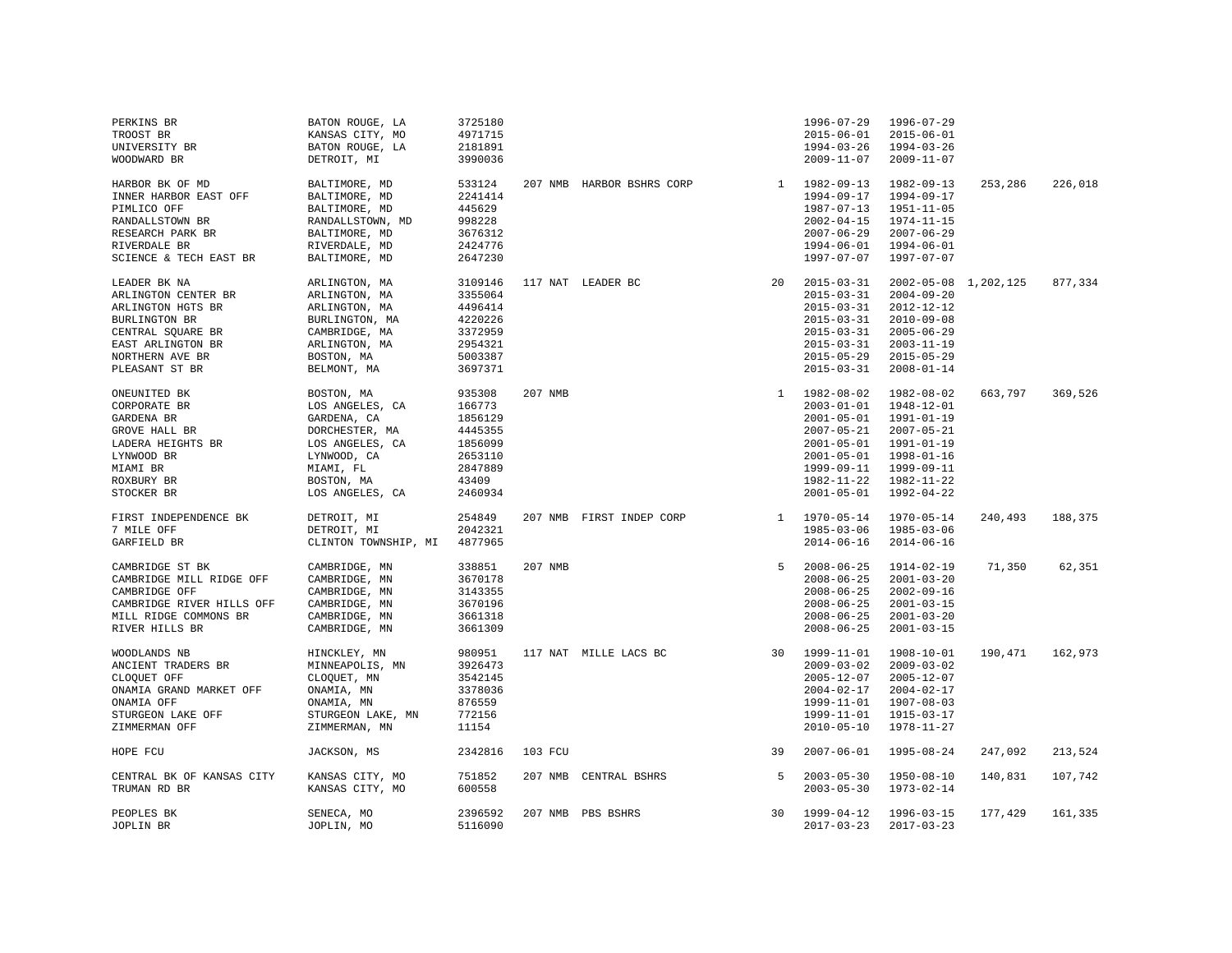| PERKINS BR                | BATON ROUGE, LA      | 3725180 |         |                           |              | 1996-07-29       | 1996-07-29           |         |         |
|---------------------------|----------------------|---------|---------|---------------------------|--------------|------------------|----------------------|---------|---------|
| TROOST BR                 | KANSAS CITY, MO      | 4971715 |         |                           |              | $2015 - 06 - 01$ | $2015 - 06 - 01$     |         |         |
| UNIVERSITY BR             | BATON ROUGE, LA      | 2181891 |         |                           |              | 1994-03-26       | 1994-03-26           |         |         |
| WOODWARD BR               | DETROIT, MI          | 3990036 |         |                           |              | $2009 - 11 - 07$ | $2009 - 11 - 07$     |         |         |
|                           |                      |         |         |                           |              |                  |                      |         |         |
| HARBOR BK OF MD           | BALTIMORE, MD        | 533124  |         | 207 NMB HARBOR BSHRS CORP |              | 1 1982-09-13     | 1982-09-13           | 253,286 | 226,018 |
| INNER HARBOR EAST OFF     | BALTIMORE, MD        | 2241414 |         |                           |              | $1994 - 09 - 17$ | 1994-09-17           |         |         |
| PIMLICO OFF               | BALTIMORE, MD        | 445629  |         |                           |              | $1987 - 07 - 13$ | 1951-11-05           |         |         |
|                           |                      | 998228  |         |                           |              | $2002 - 04 - 15$ | 1974-11-15           |         |         |
| RANDALLSTOWN BR           | RANDALLSTOWN, MD     |         |         |                           |              |                  |                      |         |         |
| RESEARCH PARK BR          | BALTIMORE, MD        | 3676312 |         |                           |              | $2007 - 06 - 29$ | $2007 - 06 - 29$     |         |         |
| RIVERDALE BR              | RIVERDALE, MD        | 2424776 |         |                           |              | $1994 - 06 - 01$ | 1994-06-01           |         |         |
| SCIENCE & TECH EAST BR    | BALTIMORE, MD        | 2647230 |         |                           |              | $1997 - 07 - 07$ | 1997-07-07           |         |         |
| LEADER BK NA              | ARLINGTON, MA        | 3109146 |         | 117 NAT LEADER BC         | 20           | $2015 - 03 - 31$ | 2002-05-08 1,202,125 |         | 877,334 |
|                           |                      | 3355064 |         |                           |              | $2015 - 03 - 31$ |                      |         |         |
| ARLINGTON CENTER BR       | ARLINGTON, MA        |         |         |                           |              |                  | $2004 - 09 - 20$     |         |         |
| ARLINGTON HGTS BR         | ARLINGTON, MA        | 4496414 |         |                           |              | $2015 - 03 - 31$ | 2012-12-12           |         |         |
| BURLINGTON BR             | BURLINGTON, MA       | 4220226 |         |                           |              | $2015 - 03 - 31$ | $2010 - 09 - 08$     |         |         |
| CENTRAL SQUARE BR         | CAMBRIDGE, MA        | 3372959 |         |                           |              | $2015 - 03 - 31$ | $2005 - 06 - 29$     |         |         |
| EAST ARLINGTON BR         | ARLINGTON, MA        | 2954321 |         |                           |              | $2015 - 03 - 31$ | $2003 - 11 - 19$     |         |         |
| NORTHERN AVE BR           | BOSTON, MA           | 5003387 |         |                           |              | $2015 - 05 - 29$ | $2015 - 05 - 29$     |         |         |
| PLEASANT ST BR            | BELMONT, MA          | 3697371 |         |                           |              | $2015 - 03 - 31$ | $2008 - 01 - 14$     |         |         |
|                           |                      |         |         |                           |              |                  |                      |         |         |
| ONEUNITED BK              | BOSTON, MA           | 935308  | 207 NMB |                           | $\mathbf{1}$ | 1982-08-02       | 1982-08-02           | 663,797 | 369,526 |
| CORPORATE BR              | LOS ANGELES, CA      | 166773  |         |                           |              | $2003 - 01 - 01$ | $1948 - 12 - 01$     |         |         |
| GARDENA BR                | GARDENA, CA          | 1856129 |         |                           |              | $2001 - 05 - 01$ | 1991-01-19           |         |         |
| GROVE HALL BR             | DORCHESTER, MA       | 4445355 |         |                           |              | $2007 - 05 - 21$ | $2007 - 05 - 21$     |         |         |
| LADERA HEIGHTS BR         | LOS ANGELES, CA      | 1856099 |         |                           |              | $2001 - 05 - 01$ | 1991-01-19           |         |         |
| LYNWOOD BR                | LYNWOOD, CA          | 2653110 |         |                           |              | $2001 - 05 - 01$ | 1998-01-16           |         |         |
| MIAMI BR                  | MIAMI, FL            | 2847889 |         |                           |              | 1999-09-11       | 1999-09-11           |         |         |
|                           |                      | 43409   |         |                           |              |                  | 1982-11-22           |         |         |
| ROXBURY BR                | BOSTON, MA           |         |         |                           |              | 1982-11-22       |                      |         |         |
| STOCKER BR                | LOS ANGELES, CA      | 2460934 |         |                           |              | $2001 - 05 - 01$ | 1992-04-22           |         |         |
| FIRST INDEPENDENCE BK     | DETROIT, MI          | 254849  |         | 207 NMB FIRST INDEP CORP  |              | 1 1970-05-14     | 1970-05-14           | 240,493 | 188,375 |
| 7 MILE OFF                | DETROIT, MI          | 2042321 |         |                           |              | $1985 - 03 - 06$ | 1985-03-06           |         |         |
| GARFIELD BR               | CLINTON TOWNSHIP, MI | 4877965 |         |                           |              | $2014 - 06 - 16$ | $2014 - 06 - 16$     |         |         |
|                           |                      |         |         |                           |              |                  |                      |         |         |
| CAMBRIDGE ST BK           | CAMBRIDGE, MN        | 338851  | 207 NMB |                           | 5            | $2008 - 06 - 25$ | 1914-02-19           | 71,350  | 62,351  |
| CAMBRIDGE MILL RIDGE OFF  | CAMBRIDGE, MN        | 3670178 |         |                           |              | $2008 - 06 - 25$ | $2001 - 03 - 20$     |         |         |
| CAMBRIDGE OFF             | CAMBRIDGE, MN        | 3143355 |         |                           |              | $2008 - 06 - 25$ | $2002 - 09 - 16$     |         |         |
| CAMBRIDGE RIVER HILLS OFF | CAMBRIDGE, MN        | 3670196 |         |                           |              | $2008 - 06 - 25$ | $2001 - 03 - 15$     |         |         |
|                           |                      |         |         |                           |              |                  |                      |         |         |
| MILL RIDGE COMMONS BR     | CAMBRIDGE, MN        | 3661318 |         |                           |              | $2008 - 06 - 25$ | $2001 - 03 - 20$     |         |         |
| RIVER HILLS BR            | CAMBRIDGE, MN        | 3661309 |         |                           |              | $2008 - 06 - 25$ | $2001 - 03 - 15$     |         |         |
| WOODLANDS NB              | HINCKLEY, MN         | 980951  |         | 117 NAT MILLE LACS BC     | 30           | $1999 - 11 - 01$ | 1908-10-01           | 190,471 | 162,973 |
| ANCIENT TRADERS BR        | MINNEAPOLIS, MN      | 3926473 |         |                           |              | $2009 - 03 - 02$ | $2009 - 03 - 02$     |         |         |
| CLOOUET OFF               | CLOOUET, MN          | 3542145 |         |                           |              | $2005 - 12 - 07$ | $2005 - 12 - 07$     |         |         |
|                           |                      |         |         |                           |              |                  |                      |         |         |
| ONAMIA GRAND MARKET OFF   | ONAMIA, MN           | 3378036 |         |                           |              | $2004 - 02 - 17$ | $2004 - 02 - 17$     |         |         |
| ONAMIA OFF                | ONAMIA, MN           | 876559  |         |                           |              | 1999-11-01       | $1907 - 08 - 03$     |         |         |
| STURGEON LAKE OFF         | STURGEON LAKE, MN    | 772156  |         |                           |              | 1999-11-01       | 1915-03-17           |         |         |
| ZIMMERMAN OFF             | ZIMMERMAN, MN        | 11154   |         |                           |              | $2010 - 05 - 10$ | 1978-11-27           |         |         |
| HOPE FCU                  | JACKSON, MS          | 2342816 | 103 FCU |                           | 39           | $2007 - 06 - 01$ | 1995-08-24           | 247,092 | 213,524 |
| CENTRAL BK OF KANSAS CITY |                      | 751852  |         | 207 NMB CENTRAL BSHRS     | -5           | $2003 - 05 - 30$ | $1950 - 08 - 10$     | 140,831 | 107,742 |
|                           | KANSAS CITY, MO      |         |         |                           |              |                  |                      |         |         |
| TRUMAN RD BR              | KANSAS CITY, MO      | 600558  |         |                           |              | $2003 - 05 - 30$ | $1973 - 02 - 14$     |         |         |
| PEOPLES BK                | SENECA, MO           | 2396592 |         | 207 NMB PBS BSHRS         | 30           | 1999-04-12       | 1996-03-15           | 177,429 | 161,335 |
| JOPLIN BR                 | JOPLIN, MO           | 5116090 |         |                           |              | $2017 - 03 - 23$ | $2017 - 03 - 23$     |         |         |
|                           |                      |         |         |                           |              |                  |                      |         |         |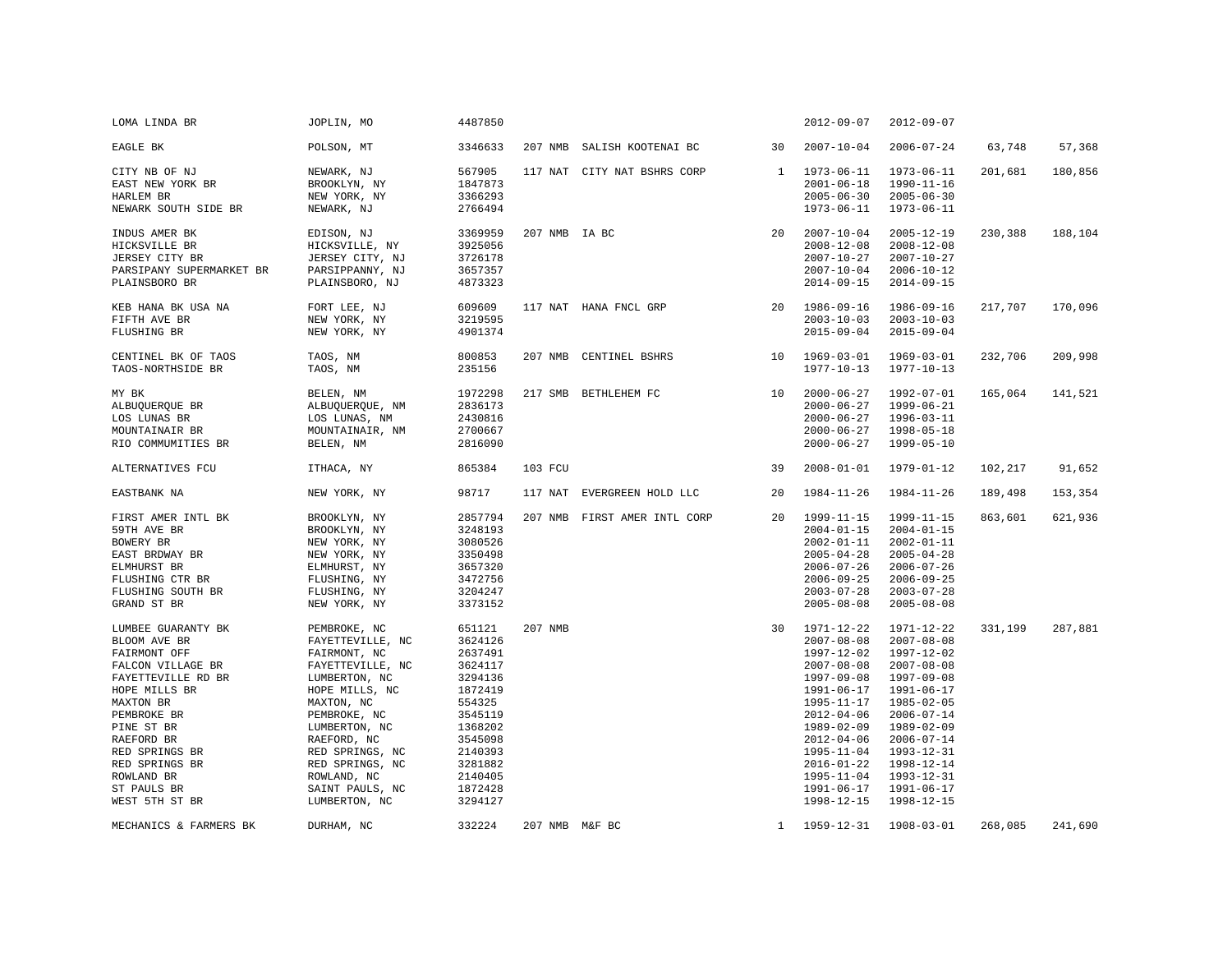| LOMA LINDA BR                                                                                                                                                                                                                                             | JOPLIN, MO                                                                                                                                                                                                                                                     | 4487850                                                                                                                                                         |                |                              |              | $2012 - 09 - 07$                                                                                                                                                                                                                                                           | $2012 - 09 - 07$                                                                                                                                                                                                                             |         |         |
|-----------------------------------------------------------------------------------------------------------------------------------------------------------------------------------------------------------------------------------------------------------|----------------------------------------------------------------------------------------------------------------------------------------------------------------------------------------------------------------------------------------------------------------|-----------------------------------------------------------------------------------------------------------------------------------------------------------------|----------------|------------------------------|--------------|----------------------------------------------------------------------------------------------------------------------------------------------------------------------------------------------------------------------------------------------------------------------------|----------------------------------------------------------------------------------------------------------------------------------------------------------------------------------------------------------------------------------------------|---------|---------|
| EAGLE BK                                                                                                                                                                                                                                                  | POLSON, MT                                                                                                                                                                                                                                                     | 3346633                                                                                                                                                         |                | 207 NMB SALISH KOOTENAI BC   | 30           | $2007 - 10 - 04$                                                                                                                                                                                                                                                           | $2006 - 07 - 24$                                                                                                                                                                                                                             | 63,748  | 57,368  |
| CITY NB OF NJ<br>EAST NEW YORK BR<br>HARLEM BR<br>NEWARK SOUTH SIDE BR                                                                                                                                                                                    | NEWARK, NJ<br>BROOKLYN, NY<br>NEW YORK, NY<br>NEWARK, NJ                                                                                                                                                                                                       | 567905<br>1847873<br>3366293<br>2766494                                                                                                                         |                | 117 NAT CITY NAT BSHRS CORP  | 1            | $1973 - 06 - 11$<br>$2001 - 06 - 18$<br>$2005 - 06 - 30$<br>$1973 - 06 - 11$                                                                                                                                                                                               | $1973 - 06 - 11$<br>1990-11-16<br>$2005 - 06 - 30$<br>$1973 - 06 - 11$                                                                                                                                                                       | 201,681 | 180,856 |
| INDUS AMER BK<br>HICKSVILLE BR<br>JERSEY CITY BR<br>PARSIPANY SUPERMARKET BR<br>PLAINSBORO BR                                                                                                                                                             | EDISON, NJ<br>HICKSVILLE, NY<br>JERSEY CITY, NJ<br>PARSIPPANNY, NJ<br>PLAINSBORO, NJ                                                                                                                                                                           | 3369959<br>3925056<br>3726178<br>3657357<br>4873323                                                                                                             | 207 NMB IA BC  |                              | 20           | $2007 - 10 - 04$<br>$2008 - 12 - 08$<br>$2007 - 10 - 27$<br>$2007 - 10 - 04$<br>$2014 - 09 - 15$                                                                                                                                                                           | $2005 - 12 - 19$<br>$2008 - 12 - 08$<br>$2007 - 10 - 27$<br>$2006 - 10 - 12$<br>$2014 - 09 - 15$                                                                                                                                             | 230,388 | 188,104 |
| KEB HANA BK USA NA<br>FIFTH AVE BR<br>FLUSHING BR                                                                                                                                                                                                         | FORT LEE, NJ<br>NEW YORK, NY<br>NEW YORK, NY                                                                                                                                                                                                                   | 609609<br>3219595<br>4901374                                                                                                                                    |                | 117 NAT HANA FNCL GRP        | 20           | 1986-09-16<br>$2003 - 10 - 03$<br>$2015 - 09 - 04$                                                                                                                                                                                                                         | 1986-09-16<br>$2003 - 10 - 03$<br>$2015 - 09 - 04$                                                                                                                                                                                           | 217,707 | 170,096 |
| CENTINEL BK OF TAOS<br>TAOS-NORTHSIDE BR                                                                                                                                                                                                                  | TAOS, NM<br>TAOS, NM                                                                                                                                                                                                                                           | 800853<br>235156                                                                                                                                                |                | 207 NMB CENTINEL BSHRS       | 10           | 1969-03-01<br>$1977 - 10 - 13$                                                                                                                                                                                                                                             | 1969-03-01<br>1977-10-13                                                                                                                                                                                                                     | 232,706 | 209,998 |
| MY BK<br>ALBUQUERQUE BR<br>LOS LUNAS BR<br>MOUNTAINAIR BR<br>RIO COMMUMITIES BR                                                                                                                                                                           | BELEN, NM<br>ALBUQUERQUE, NM<br>LOS LUNAS, NM<br>MOUNTAINAIR, NM<br>BELEN, NM                                                                                                                                                                                  | 1972298<br>2836173<br>2430816<br>2700667<br>2816090                                                                                                             |                | 217 SMB BETHLEHEM FC         | 10           | $2000 - 06 - 27$<br>$2000 - 06 - 27$<br>$2000 - 06 - 27$<br>$2000 - 06 - 27$<br>$2000 - 06 - 27$                                                                                                                                                                           | 1992-07-01<br>1999-06-21<br>$1996 - 03 - 11$<br>1998-05-18<br>1999-05-10                                                                                                                                                                     | 165,064 | 141,521 |
| ALTERNATIVES FCU                                                                                                                                                                                                                                          | ITHACA, NY                                                                                                                                                                                                                                                     | 865384                                                                                                                                                          | 103 FCU        |                              | 39           | $2008 - 01 - 01$                                                                                                                                                                                                                                                           | 1979-01-12                                                                                                                                                                                                                                   | 102,217 | 91,652  |
| EASTBANK NA                                                                                                                                                                                                                                               | NEW YORK, NY                                                                                                                                                                                                                                                   | 98717                                                                                                                                                           | 117 NAT        | EVERGREEN HOLD LLC           | 20           | $1984 - 11 - 26$                                                                                                                                                                                                                                                           | 1984-11-26                                                                                                                                                                                                                                   | 189,498 | 153,354 |
| FIRST AMER INTL BK<br>59TH AVE BR<br>BOWERY BR<br>EAST BRDWAY BR<br>ELMHURST BR<br>FLUSHING CTR BR<br>FLUSHING SOUTH BR<br>GRAND ST BR                                                                                                                    | BROOKLYN, NY<br>BROOKLYN, NY<br>NEW YORK, NY<br>NEW YORK, NY<br>ELMHURST, NY<br>FLUSHING, NY<br>FLUSHING, NY<br>NEW YORK, NY                                                                                                                                   | 2857794<br>3248193<br>3080526<br>3350498<br>3657320<br>3472756<br>3204247<br>3373152                                                                            |                | 207 NMB FIRST AMER INTL CORP | 20           | 1999-11-15<br>$2004 - 01 - 15$<br>$2002 - 01 - 11$<br>$2005 - 04 - 28$<br>$2006 - 07 - 26$<br>$2006 - 09 - 25$<br>$2003 - 07 - 28$<br>$2005 - 08 - 08$                                                                                                                     | 1999-11-15<br>$2004 - 01 - 15$<br>$2002 - 01 - 11$<br>$2005 - 04 - 28$<br>$2006 - 07 - 26$<br>$2006 - 09 - 25$<br>$2003 - 07 - 28$<br>$2005 - 08 - 08$                                                                                       | 863,601 | 621,936 |
| LUMBEE GUARANTY BK<br>BLOOM AVE BR<br>FAIRMONT OFF<br>FALCON VILLAGE BR<br>FAYETTEVILLE RD BR<br>HOPE MILLS BR<br>MAXTON BR<br>PEMBROKE BR<br>PINE ST BR<br>RAEFORD BR<br>RED SPRINGS BR<br>RED SPRINGS BR<br>ROWLAND BR<br>ST PAULS BR<br>WEST 5TH ST BR | PEMBROKE, NC<br>FAYETTEVILLE, NC<br>FAIRMONT, NC<br>FAYETTEVILLE, NC<br>LUMBERTON, NC<br>HOPE MILLS, NC<br>MAXTON, NC<br>PEMBROKE, NC<br>LUMBERTON, NC<br>RAEFORD, NC<br>RED SPRINGS, NC<br>RED SPRINGS, NC<br>ROWLAND, NC<br>SAINT PAULS, NC<br>LUMBERTON, NC | 651121<br>3624126<br>2637491<br>3624117<br>3294136<br>1872419<br>554325<br>3545119<br>1368202<br>3545098<br>2140393<br>3281882<br>2140405<br>1872428<br>3294127 | 207 NMB        |                              | 30           | 1971-12-22<br>$2007 - 08 - 08$<br>1997-12-02<br>$2007 - 08 - 08$<br>$1997 - 09 - 08$<br>$1991 - 06 - 17$<br>1995-11-17<br>$2012 - 04 - 06$<br>1989-02-09<br>$2012 - 04 - 06$<br>$1995 - 11 - 04$<br>$2016 - 01 - 22$<br>$1995 - 11 - 04$<br>$1991 - 06 - 17$<br>1998-12-15 | 1971-12-22<br>$2007 - 08 - 08$<br>1997-12-02<br>$2007 - 08 - 08$<br>1997-09-08<br>1991-06-17<br>1985-02-05<br>$2006 - 07 - 14$<br>1989-02-09<br>$2006 - 07 - 14$<br>1993-12-31<br>1998-12-14<br>1993-12-31<br>$1991 - 06 - 17$<br>1998-12-15 | 331,199 | 287,881 |
| MECHANICS & FARMERS BK                                                                                                                                                                                                                                    | DURHAM, NC                                                                                                                                                                                                                                                     | 332224                                                                                                                                                          | 207 NMB M&F BC |                              | $\mathbf{1}$ | 1959-12-31                                                                                                                                                                                                                                                                 | $1908 - 03 - 01$                                                                                                                                                                                                                             | 268,085 | 241,690 |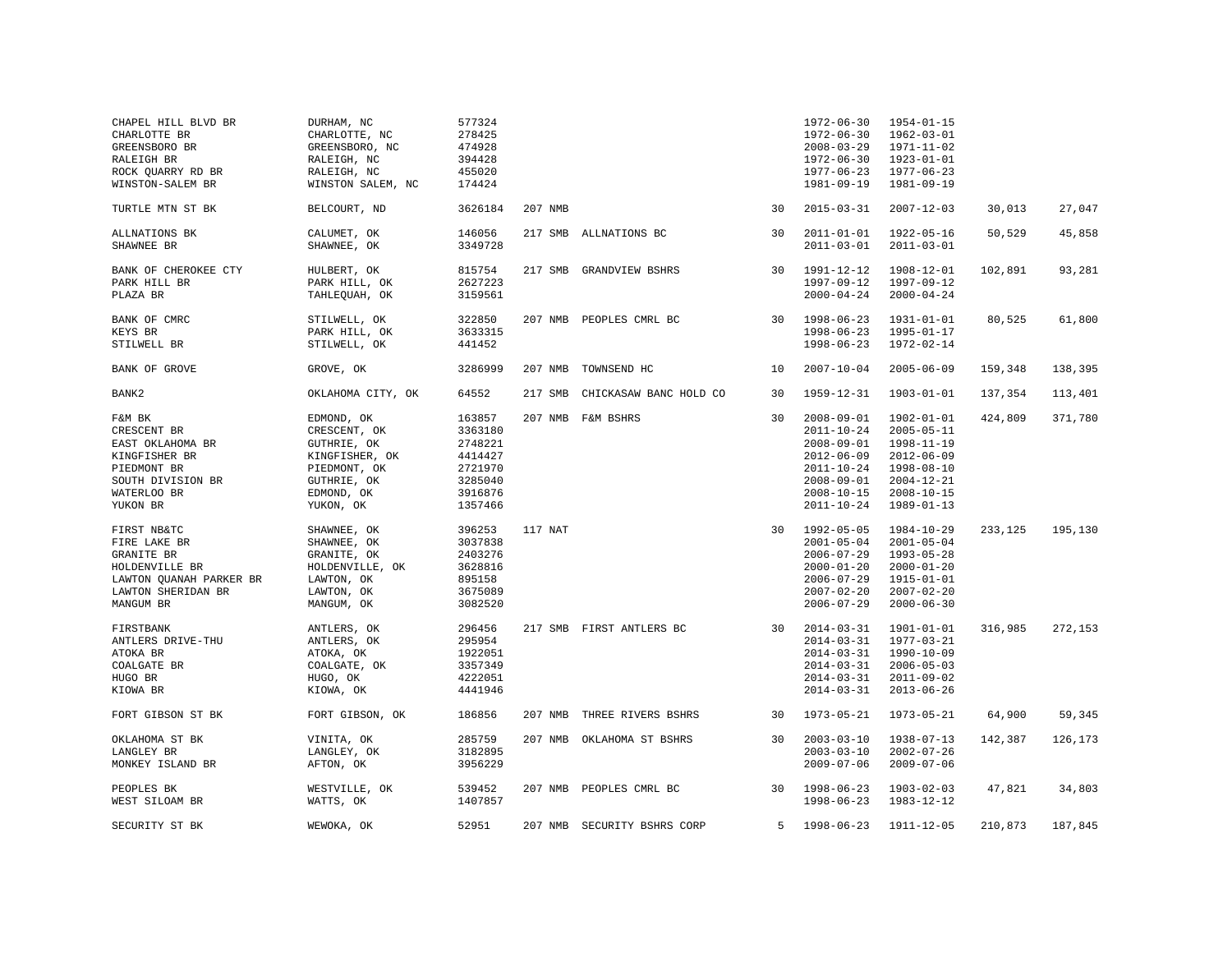| CHAPEL HILL BLVD BR<br>CHARLOTTE BR<br>GREENSBORO BR<br>RALEIGH BR<br>ROCK QUARRY RD BR<br>WINSTON-SALEM BR               | DURHAM, NC<br>CHARLOTTE, NC<br>GREENSBORO, NC<br>RALEIGH, NC<br>RALEIGH, NC<br>WINSTON SALEM, NC                      | 577324<br>278425<br>474928<br>394428<br>455020<br>174424                            |         |                             |    | $1972 - 06 - 30$<br>$1972 - 06 - 30$<br>$2008 - 03 - 29$<br>$1972 - 06 - 30$<br>$1977 - 06 - 23$<br>$1981 - 09 - 19$                                         | $1954 - 01 - 15$<br>$1962 - 03 - 01$<br>$1971 - 11 - 02$<br>$1923 - 01 - 01$<br>$1977 - 06 - 23$<br>1981-09-19                                   |         |         |
|---------------------------------------------------------------------------------------------------------------------------|-----------------------------------------------------------------------------------------------------------------------|-------------------------------------------------------------------------------------|---------|-----------------------------|----|--------------------------------------------------------------------------------------------------------------------------------------------------------------|--------------------------------------------------------------------------------------------------------------------------------------------------|---------|---------|
| TURTLE MTN ST BK                                                                                                          | BELCOURT, ND                                                                                                          | 3626184                                                                             | 207 NMB |                             | 30 | $2015 - 03 - 31$                                                                                                                                             | $2007 - 12 - 03$                                                                                                                                 | 30,013  | 27,047  |
| ALLNATIONS BK<br>SHAWNEE BR                                                                                               | CALUMET, OK<br>SHAWNEE, OK                                                                                            | 146056<br>3349728                                                                   |         | 217 SMB ALLNATIONS BC       | 30 | $2011 - 01 - 01$<br>$2011 - 03 - 01$                                                                                                                         | 1922-05-16<br>$2011 - 03 - 01$                                                                                                                   | 50,529  | 45,858  |
| BANK OF CHEROKEE CTY<br>PARK HILL BR<br>PLAZA BR                                                                          | HULBERT, OK<br>PARK HILL, OK<br>TAHLEQUAH, OK                                                                         | 815754<br>2627223<br>3159561                                                        |         | 217 SMB GRANDVIEW BSHRS     | 30 | 1991-12-12<br>$1997 - 09 - 12$<br>$2000 - 04 - 24$                                                                                                           | 1908-12-01<br>1997-09-12<br>$2000 - 04 - 24$                                                                                                     | 102,891 | 93,281  |
| BANK OF CMRC<br>KEYS BR<br>STILWELL BR                                                                                    | STILWELL, OK<br>PARK HILL, OK<br>STILWELL, OK                                                                         | 322850<br>3633315<br>441452                                                         |         | 207 NMB PEOPLES CMRL BC     | 30 | $1998 - 06 - 23$<br>$1998 - 06 - 23$<br>$1998 - 06 - 23$                                                                                                     | $1931 - 01 - 01$<br>1995-01-17<br>1972-02-14                                                                                                     | 80,525  | 61,800  |
| BANK OF GROVE                                                                                                             | GROVE, OK                                                                                                             | 3286999                                                                             | 207 NMB | TOWNSEND HC                 | 10 | $2007 - 10 - 04$                                                                                                                                             | $2005 - 06 - 09$                                                                                                                                 | 159,348 | 138,395 |
| BANK2                                                                                                                     | OKLAHOMA CITY, OK                                                                                                     | 64552                                                                               | 217 SMB | CHICKASAW BANC HOLD CO      | 30 | 1959-12-31                                                                                                                                                   | 1903-01-01                                                                                                                                       | 137,354 | 113,401 |
| F&M BK<br>CRESCENT BR<br>EAST OKLAHOMA BR<br>KINGFISHER BR<br>PIEDMONT BR<br>SOUTH DIVISION BR<br>WATERLOO BR<br>YUKON BR | EDMOND, OK<br>CRESCENT, OK<br>GUTHRIE, OK<br>KINGFISHER, OK<br>PIEDMONT, OK<br>GUTHRIE, OK<br>EDMOND, OK<br>YUKON, OK | 163857<br>3363180<br>2748221<br>4414427<br>2721970<br>3285040<br>3916876<br>1357466 |         | 207 NMB F&M BSHRS           | 30 | $2008 - 09 - 01$<br>$2011 - 10 - 24$<br>$2008 - 09 - 01$<br>$2012 - 06 - 09$<br>$2011 - 10 - 24$<br>$2008 - 09 - 01$<br>$2008 - 10 - 15$<br>$2011 - 10 - 24$ | 1902-01-01<br>$2005 - 05 - 11$<br>$1998 - 11 - 19$<br>$2012 - 06 - 09$<br>$1998 - 08 - 10$<br>$2004 - 12 - 21$<br>$2008 - 10 - 15$<br>1989-01-13 | 424,809 | 371,780 |
| FIRST NB&TC<br>FIRE LAKE BR<br>GRANITE BR<br>HOLDENVILLE BR<br>LAWTON QUANAH PARKER BR<br>LAWTON SHERIDAN BR<br>MANGUM BR | SHAWNEE, OK<br>SHAWNEE, OK<br>GRANITE, OK<br>HOLDENVILLE, OK<br>LAWTON, OK<br>LAWTON, OK<br>MANGUM, OK                | 396253<br>3037838<br>2403276<br>3628816<br>895158<br>3675089<br>3082520             | 117 NAT |                             | 30 | $1992 - 05 - 05$<br>$2001 - 05 - 04$<br>$2006 - 07 - 29$<br>$2000 - 01 - 20$<br>$2006 - 07 - 29$<br>$2007 - 02 - 20$<br>$2006 - 07 - 29$                     | 1984-10-29<br>$2001 - 05 - 04$<br>$1993 - 05 - 28$<br>$2000 - 01 - 20$<br>$1915 - 01 - 01$<br>$2007 - 02 - 20$<br>$2000 - 06 - 30$               | 233,125 | 195,130 |
| FIRSTBANK<br>ANTLERS DRIVE-THU<br>ATOKA BR<br>COALGATE BR<br>HUGO BR<br>KIOWA BR                                          | ANTLERS, OK<br>ANTLERS, OK<br>ATOKA, OK<br>COALGATE, OK<br>HUGO, OK<br>KIOWA, OK                                      | 296456<br>295954<br>1922051<br>3357349<br>4222051<br>4441946                        |         | 217 SMB FIRST ANTLERS BC    | 30 | $2014 - 03 - 31$<br>$2014 - 03 - 31$<br>$2014 - 03 - 31$<br>$2014 - 03 - 31$<br>$2014 - 03 - 31$<br>$2014 - 03 - 31$                                         | 1901-01-01<br>1977-03-21<br>1990-10-09<br>$2006 - 05 - 03$<br>$2011 - 09 - 02$<br>$2013 - 06 - 26$                                               | 316,985 | 272,153 |
| FORT GIBSON ST BK                                                                                                         | FORT GIBSON, OK                                                                                                       | 186856                                                                              |         | 207 NMB THREE RIVERS BSHRS  | 30 | $1973 - 05 - 21$                                                                                                                                             | 1973-05-21                                                                                                                                       | 64,900  | 59,345  |
| OKLAHOMA ST BK<br>LANGLEY BR<br>MONKEY ISLAND BR                                                                          | VINITA, OK<br>LANGLEY, OK<br>AFTON, OK                                                                                | 285759<br>3182895<br>3956229                                                        |         | 207 NMB OKLAHOMA ST BSHRS   | 30 | $2003 - 03 - 10$<br>$2003 - 03 - 10$<br>$2009 - 07 - 06$                                                                                                     | $1938 - 07 - 13$<br>$2002 - 07 - 26$<br>$2009 - 07 - 06$                                                                                         | 142,387 | 126,173 |
| PEOPLES BK<br>WEST SILOAM BR                                                                                              | WESTVILLE, OK<br>WATTS, OK                                                                                            | 539452<br>1407857                                                                   |         | 207 NMB PEOPLES CMRL BC     | 30 | $1998 - 06 - 23$<br>$1998 - 06 - 23$                                                                                                                         | $1903 - 02 - 03$<br>1983-12-12                                                                                                                   | 47,821  | 34,803  |
| SECURITY ST BK                                                                                                            | WEWOKA, OK                                                                                                            | 52951                                                                               |         | 207 NMB SECURITY BSHRS CORP | 5  | 1998-06-23                                                                                                                                                   | 1911-12-05                                                                                                                                       | 210,873 | 187,845 |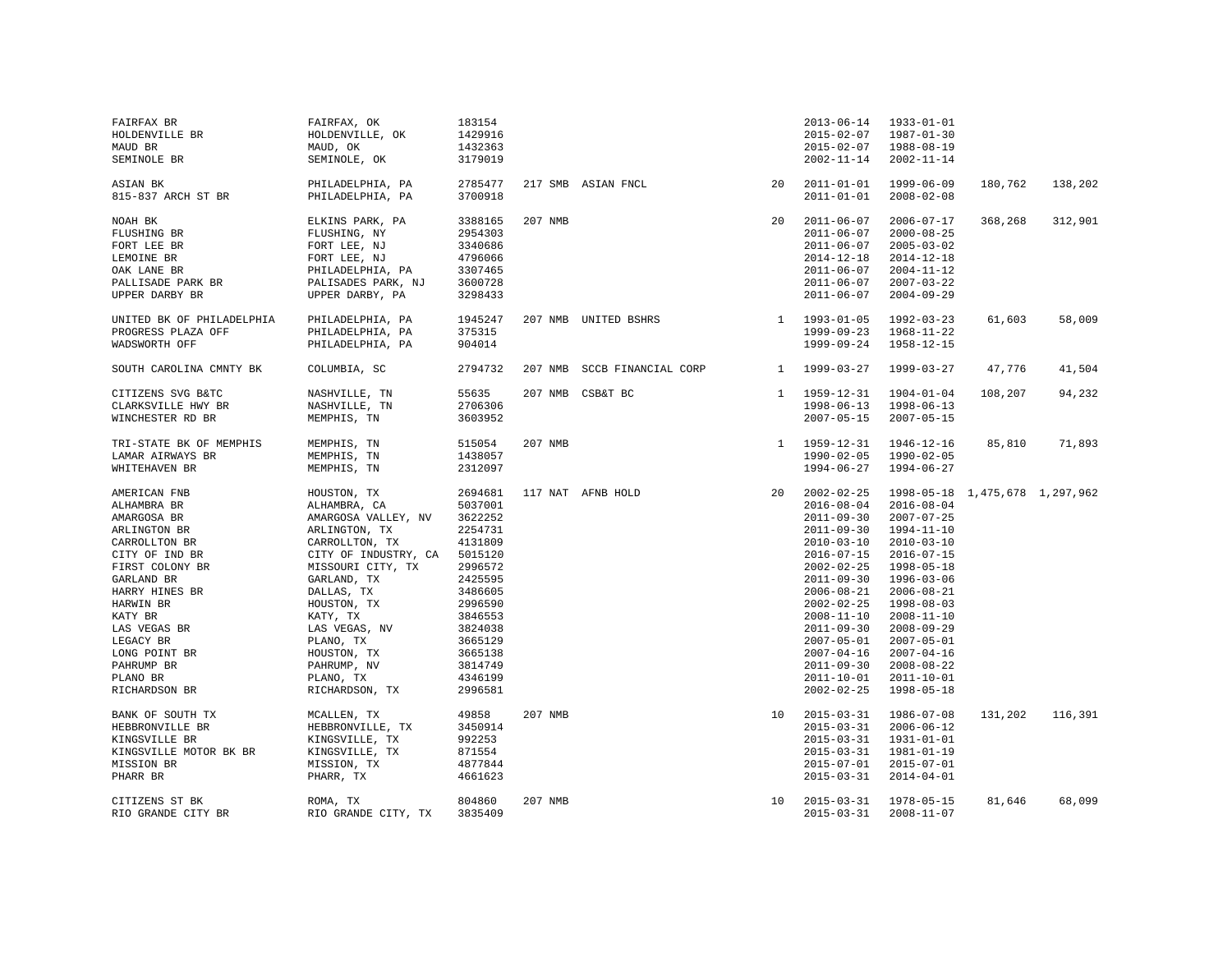| FAIRFAX BR<br>HOLDENVILLE BR<br>MAUD BR<br>SEMINOLE BR                                                                                                                                                                                                            | FAIRFAX, OK<br>HOLDENVILLE, OK<br>MAUD, OK<br>SEMINOLE, OK                                                                                                                                                                                                                            | 183154<br>1429916<br>1432363<br>3179019                                                                                                                                                 |         |                             |              | $2013 - 06 - 14$<br>$2015 - 02 - 07$<br>$2015 - 02 - 07$<br>$2002 - 11 - 14$                                                                                                                                                                                                                                                                     | $1933 - 01 - 01$<br>1987-01-30<br>1988-08-19<br>$2002 - 11 - 14$                                                                                                                                                                                                                                                                             |         |         |
|-------------------------------------------------------------------------------------------------------------------------------------------------------------------------------------------------------------------------------------------------------------------|---------------------------------------------------------------------------------------------------------------------------------------------------------------------------------------------------------------------------------------------------------------------------------------|-----------------------------------------------------------------------------------------------------------------------------------------------------------------------------------------|---------|-----------------------------|--------------|--------------------------------------------------------------------------------------------------------------------------------------------------------------------------------------------------------------------------------------------------------------------------------------------------------------------------------------------------|----------------------------------------------------------------------------------------------------------------------------------------------------------------------------------------------------------------------------------------------------------------------------------------------------------------------------------------------|---------|---------|
| ASIAN BK<br>815-837 ARCH ST BR                                                                                                                                                                                                                                    | PHILADELPHIA, PA<br>PHILADELPHIA, PA                                                                                                                                                                                                                                                  | 2785477<br>3700918                                                                                                                                                                      |         | 217 SMB ASIAN FNCL          | 20           | $2011 - 01 - 01$<br>$2011 - 01 - 01$                                                                                                                                                                                                                                                                                                             | 1999-06-09<br>$2008 - 02 - 08$                                                                                                                                                                                                                                                                                                               | 180,762 | 138,202 |
| NOAH BK<br>FLUSHING BR<br>FORT LEE BR<br>LEMOINE BR<br>OAK LANE BR<br>PALLISADE PARK BR<br>UPPER DARBY BR                                                                                                                                                         | ELKINS PARK, PA<br>FLUSHING, NY<br>FORT LEE, NJ<br>FORT LEE, NJ<br>PHILADELPHIA, PA<br>PALISADES PARK, NJ<br>UPPER DARBY, PA                                                                                                                                                          | 3388165<br>2954303<br>3340686<br>4796066<br>3307465<br>3600728<br>3298433                                                                                                               | 207 NMB |                             | 2.0          | $2011 - 06 - 07$<br>$2011 - 06 - 07$<br>$2011 - 06 - 07$<br>$2014 - 12 - 18$<br>$2011 - 06 - 07$<br>$2011 - 06 - 07$<br>$2011 - 06 - 07$                                                                                                                                                                                                         | $2006 - 07 - 17$<br>$2000 - 08 - 25$<br>$2005 - 03 - 02$<br>$2014 - 12 - 18$<br>$2004 - 11 - 12$<br>$2007 - 03 - 22$<br>$2004 - 09 - 29$                                                                                                                                                                                                     | 368,268 | 312,901 |
| UNITED BK OF PHILADELPHIA<br>PROGRESS PLAZA OFF<br>WADSWORTH OFF                                                                                                                                                                                                  | PHILADELPHIA, PA<br>PHILADELPHIA, PA<br>PHILADELPHIA, PA                                                                                                                                                                                                                              | 1945247<br>375315<br>904014                                                                                                                                                             |         | 207 NMB UNITED BSHRS        |              | 1 1993-01-05<br>$1999 - 09 - 23$<br>$1999 - 09 - 24$                                                                                                                                                                                                                                                                                             | 1992-03-23<br>1968-11-22<br>1958-12-15                                                                                                                                                                                                                                                                                                       | 61,603  | 58,009  |
| SOUTH CAROLINA CMNTY BK                                                                                                                                                                                                                                           | COLUMBIA, SC                                                                                                                                                                                                                                                                          | 2794732                                                                                                                                                                                 |         | 207 NMB SCCB FINANCIAL CORP | <sup>1</sup> | 1999-03-27                                                                                                                                                                                                                                                                                                                                       | 1999-03-27                                                                                                                                                                                                                                                                                                                                   | 47,776  | 41,504  |
| CITIZENS SVG B&TC<br>CLARKSVILLE HWY BR<br>WINCHESTER RD BR                                                                                                                                                                                                       | NASHVILLE, TN<br>NASHVILLE, TN<br>MEMPHIS, TN                                                                                                                                                                                                                                         | 55635<br>2706306<br>3603952                                                                                                                                                             |         | 207 NMB CSB&T BC            |              | $1 1959 - 12 - 31$<br>$1998 - 06 - 13$<br>$2007 - 05 - 15$                                                                                                                                                                                                                                                                                       | $1904 - 01 - 04$<br>$1998 - 06 - 13$<br>$2007 - 05 - 15$                                                                                                                                                                                                                                                                                     | 108,207 | 94,232  |
| TRI-STATE BK OF MEMPHIS<br>LAMAR AIRWAYS BR<br>WHITEHAVEN BR                                                                                                                                                                                                      | MEMPHIS, TN<br>MEMPHIS, TN<br>MEMPHIS, TN                                                                                                                                                                                                                                             | 515054<br>1438057<br>2312097                                                                                                                                                            | 207 NMB |                             |              | 1 1959-12-31<br>$1990 - 02 - 05$<br>$1994 - 06 - 27$                                                                                                                                                                                                                                                                                             | 1946-12-16<br>1990-02-05<br>1994-06-27                                                                                                                                                                                                                                                                                                       | 85,810  | 71,893  |
| AMERICAN FNB<br>ALHAMBRA BR<br>AMARGOSA BR<br>ARLINGTON BR<br>CARROLLTON BR<br>CITY OF IND BR<br>FIRST COLONY BR<br>GARLAND BR<br>HARRY HINES BR<br>HARWIN BR<br>KATY BR<br>LAS VEGAS BR<br>LEGACY BR<br>LONG POINT BR<br>PAHRUMP BR<br>PLANO BR<br>RICHARDSON BR | HOUSTON, TX<br>ALHAMBRA, CA<br>AMARGOSA VALLEY, NV<br>ARLINGTON, TX<br>CARROLLTON, TX<br>CITY OF INDUSTRY, CA<br>MISSOURI CITY, TX<br>GARLAND, TX<br>DALLAS, TX<br>HOUSTON, TX<br>KATY, TX<br>LAS VEGAS, NV<br>PLANO, TX<br>HOUSTON, TX<br>PAHRUMP, NV<br>PLANO, TX<br>RICHARDSON, TX | 2694681<br>5037001<br>3622252<br>2254731<br>4131809<br>5015120<br>2996572<br>2425595<br>3486605<br>2996590<br>3846553<br>3824038<br>3665129<br>3665138<br>3814749<br>4346199<br>2996581 |         | 117 NAT AFNB HOLD           | 20           | $2002 - 02 - 25$<br>$2016 - 08 - 04$<br>$2011 - 09 - 30$<br>$2011 - 09 - 30$<br>$2010 - 03 - 10$<br>$2016 - 07 - 15$<br>$2002 - 02 - 25$<br>$2011 - 09 - 30$<br>$2006 - 08 - 21$<br>$2002 - 02 - 25$<br>$2008 - 11 - 10$<br>$2011 - 09 - 30$<br>$2007 - 05 - 01$<br>$2007 - 04 - 16$<br>$2011 - 09 - 30$<br>$2011 - 10 - 01$<br>$2002 - 02 - 25$ | 1998-05-18 1,475,678 1,297,962<br>$2016 - 08 - 04$<br>$2007 - 07 - 25$<br>$1994 - 11 - 10$<br>$2010 - 03 - 10$<br>$2016 - 07 - 15$<br>1998-05-18<br>$1996 - 03 - 06$<br>$2006 - 08 - 21$<br>1998-08-03<br>$2008 - 11 - 10$<br>$2008 - 09 - 29$<br>$2007 - 05 - 01$<br>$2007 - 04 - 16$<br>$2008 - 08 - 22$<br>$2011 - 10 - 01$<br>1998-05-18 |         |         |
| BANK OF SOUTH TX<br>HEBBRONVILLE BR<br>KINGSVILLE BR<br>KINGSVILLE MOTOR BK BR<br>MISSION BR<br>PHARR BR                                                                                                                                                          | MCALLEN, TX<br>HEBBRONVILLE, TX<br>KINGSVILLE, TX<br>KINGSVILLE, TX<br>MISSION, TX<br>PHARR, TX                                                                                                                                                                                       | 49858<br>3450914<br>992253<br>871554<br>4877844<br>4661623                                                                                                                              | 207 NMB |                             | 10           | $2015 - 03 - 31$<br>$2015 - 03 - 31$<br>$2015 - 03 - 31$<br>$2015 - 03 - 31$<br>$2015 - 07 - 01$<br>$2015 - 03 - 31$                                                                                                                                                                                                                             | 1986-07-08<br>$2006 - 06 - 12$<br>$1931 - 01 - 01$<br>1981-01-19<br>$2015 - 07 - 01$<br>$2014 - 04 - 01$                                                                                                                                                                                                                                     | 131,202 | 116,391 |
| CITIZENS ST BK<br>RIO GRANDE CITY BR                                                                                                                                                                                                                              | ROMA, TX<br>RIO GRANDE CITY, TX                                                                                                                                                                                                                                                       | 804860<br>3835409                                                                                                                                                                       | 207 NMB |                             | 10           | $2015 - 03 - 31$<br>$2015 - 03 - 31$                                                                                                                                                                                                                                                                                                             | 1978-05-15<br>$2008 - 11 - 07$                                                                                                                                                                                                                                                                                                               | 81,646  | 68,099  |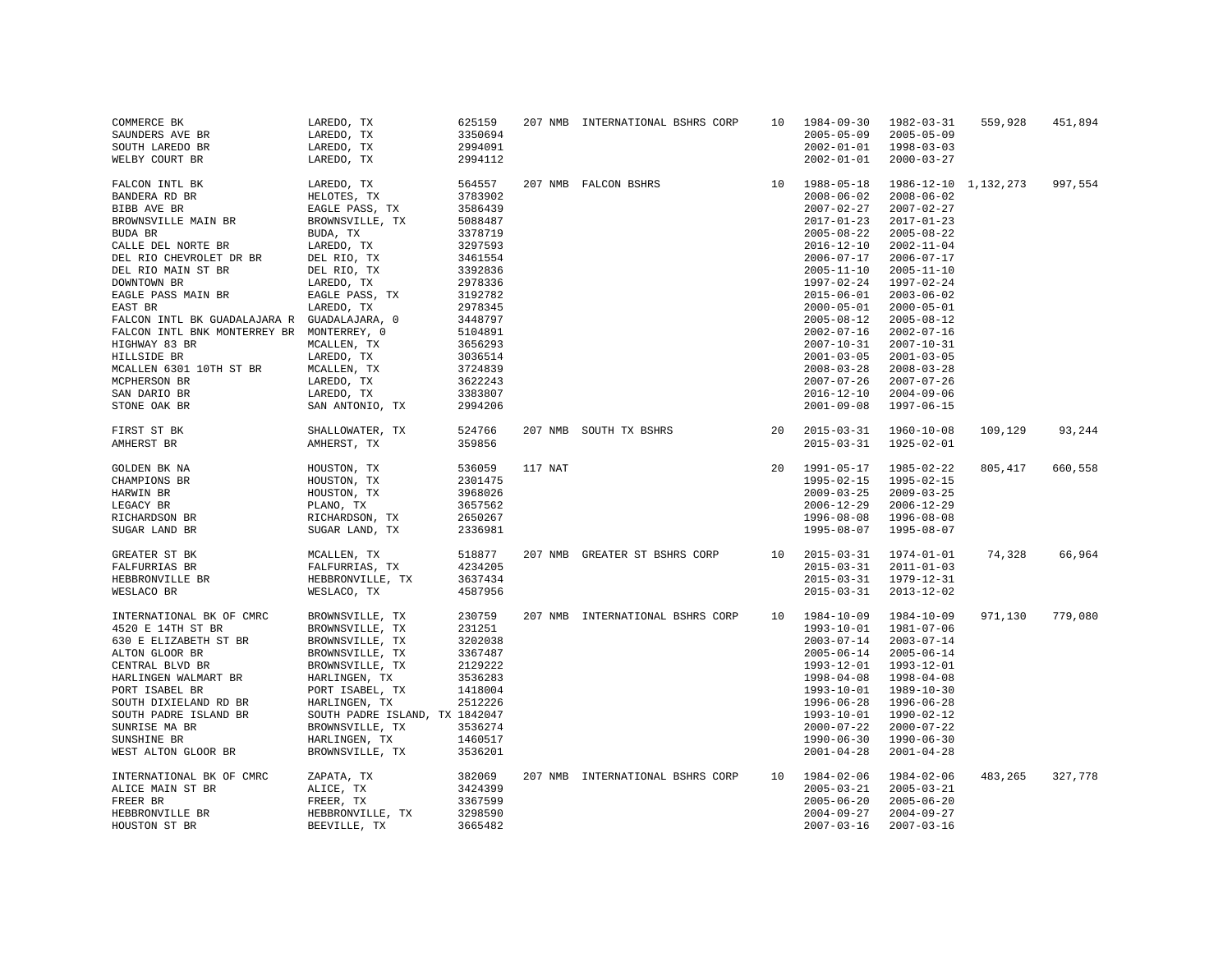| COMMERCE BK<br>SAUNDERS AVE BR               | LAREDO, TX<br>LAREDO, TX       | 625159<br>3350694 |         | 207 NMB INTERNATIONAL BSHRS CORP | 10 | 1984-09-30<br>$2005 - 05 - 09$ | 1982-03-31<br>$2005 - 05 - 09$ | 559,928 | 451,894 |
|----------------------------------------------|--------------------------------|-------------------|---------|----------------------------------|----|--------------------------------|--------------------------------|---------|---------|
| SOUTH LAREDO BR                              | LAREDO, TX                     | 2994091           |         |                                  |    | $2002 - 01 - 01$               | $1998 - 03 - 03$               |         |         |
| WELBY COURT BR                               | LAREDO, TX                     | 2994112           |         |                                  |    | $2002 - 01 - 01$               | $2000 - 03 - 27$               |         |         |
|                                              |                                |                   |         |                                  |    |                                |                                |         |         |
| FALCON INTL BK                               | LAREDO, TX                     | 564557            |         | 207 NMB FALCON BSHRS             | 10 | 1988-05-18                     | 1986-12-10 1, 132, 273         |         | 997,554 |
| BANDERA RD BR                                | HELOTES, TX                    | 3783902           |         |                                  |    | $2008 - 06 - 02$               | $2008 - 06 - 02$               |         |         |
| BIBB AVE BR                                  | EAGLE PASS, TX                 | 3586439           |         |                                  |    | $2007 - 02 - 27$               | $2007 - 02 - 27$               |         |         |
| BROWNSVILLE MAIN BR                          | BROWNSVILLE, TX                | 5088487           |         |                                  |    | $2017 - 01 - 23$               | $2017 - 01 - 23$               |         |         |
| BUDA BR                                      | BUDA, TX                       | 3378719           |         |                                  |    | $2005 - 08 - 22$               | $2005 - 08 - 22$               |         |         |
| CALLE DEL NORTE BR                           | LAREDO, TX                     | 3297593           |         |                                  |    | $2016 - 12 - 10$               | $2002 - 11 - 04$               |         |         |
|                                              |                                |                   |         |                                  |    | $2006 - 07 - 17$               | $2006 - 07 - 17$               |         |         |
| DEL RIO CHEVROLET DR BR                      | DEL RIO, TX                    | 3461554           |         |                                  |    |                                |                                |         |         |
| DEL RIO MAIN ST BR                           | DEL RIO, TX                    | 3392836           |         |                                  |    | $2005 - 11 - 10$               | $2005 - 11 - 10$               |         |         |
| DOWNTOWN BR                                  | LAREDO, TX                     | 2978336           |         |                                  |    | 1997-02-24                     | 1997-02-24                     |         |         |
| EAGLE PASS MAIN BR                           | EAGLE PASS, TX                 | 3192782           |         |                                  |    | $2015 - 06 - 01$               | $2003 - 06 - 02$               |         |         |
| EAST BR                                      | LAREDO, TX                     | 2978345           |         |                                  |    | $2000 - 05 - 01$               | $2000 - 05 - 01$               |         |         |
| FALCON INTL BK GUADALAJARA R GUADALAJARA, 0  |                                | 3448797           |         |                                  |    | $2005 - 08 - 12$               | $2005 - 08 - 12$               |         |         |
| FALCON INTL BNK MONTERREY BR MONTERREY, 0    |                                | 5104891           |         |                                  |    | $2002 - 07 - 16$               | $2002 - 07 - 16$               |         |         |
| HIGHWAY 83 BR                                | MCALLEN, TX                    | 3656293           |         |                                  |    | $2007 - 10 - 31$               | $2007 - 10 - 31$               |         |         |
| HILLSIDE BR                                  | LAREDO, TX                     | 3036514           |         |                                  |    | $2001 - 03 - 05$               | $2001 - 03 - 05$               |         |         |
| MCALLEN 6301 10TH ST BR                      | MCALLEN, TX                    | 3724839           |         |                                  |    | $2008 - 03 - 28$               | $2008 - 03 - 28$               |         |         |
| MCPHERSON BR                                 | LAREDO, TX                     | 3622243           |         |                                  |    | $2007 - 07 - 26$               | $2007 - 07 - 26$               |         |         |
| SAN DARIO BR                                 | LAREDO, TX                     | 3383807           |         |                                  |    | $2016 - 12 - 10$               | $2004 - 09 - 06$               |         |         |
| STONE OAK BR                                 | SAN ANTONIO, TX                | 2994206           |         |                                  |    | $2001 - 09 - 08$               | 1997-06-15                     |         |         |
|                                              |                                |                   |         |                                  |    |                                |                                |         |         |
| FIRST ST BK                                  | SHALLOWATER, TX                | 524766            |         | 207 NMB SOUTH TX BSHRS           | 20 | $2015 - 03 - 31$               | 1960-10-08                     | 109,129 | 93,244  |
| AMHERST BR                                   | AMHERST, TX                    | 359856            |         |                                  |    | $2015 - 03 - 31$               | 1925-02-01                     |         |         |
|                                              |                                |                   |         |                                  |    |                                |                                |         |         |
| GOLDEN BK NA                                 | HOUSTON, TX                    | 536059            | 117 NAT |                                  | 20 | 1991-05-17                     | 1985-02-22                     | 805,417 | 660,558 |
| CHAMPIONS BR                                 | HOUSTON, TX                    | 2301475           |         |                                  |    | $1995 - 02 - 15$               | 1995-02-15                     |         |         |
| HARWIN BR                                    | HOUSTON, TX                    | 3968026           |         |                                  |    | $2009 - 03 - 25$               | $2009 - 03 - 25$               |         |         |
| LEGACY BR                                    | PLANO, TX                      | 3657562           |         |                                  |    | $2006 - 12 - 29$               | $2006 - 12 - 29$               |         |         |
| RICHARDSON BR                                | RICHARDSON, TX                 | 2650267           |         |                                  |    | $1996 - 08 - 08$               | $1996 - 08 - 08$               |         |         |
| SUGAR LAND BR                                | SUGAR LAND, TX                 | 2336981           |         |                                  |    | 1995-08-07                     | 1995-08-07                     |         |         |
|                                              |                                |                   |         |                                  |    |                                |                                |         |         |
| GREATER ST BK                                | MCALLEN, TX                    | 518877            |         | 207 NMB GREATER ST BSHRS CORP    | 10 | $2015 - 03 - 31$               | $1974 - 01 - 01$               | 74,328  | 66,964  |
| FALFURRIAS BR                                | FALFURRIAS, TX                 | 4234205           |         |                                  |    | $2015 - 03 - 31$               | $2011 - 01 - 03$               |         |         |
| HEBBRONVILLE BR                              | HEBBRONVILLE, TX               | 3637434           |         |                                  |    | $2015 - 03 - 31$               | $1979 - 12 - 31$               |         |         |
| WESLACO BR                                   | WESLACO, TX                    | 4587956           |         |                                  |    | $2015 - 03 - 31$               | $2013 - 12 - 02$               |         |         |
|                                              |                                |                   |         |                                  |    |                                |                                |         |         |
| INTERNATIONAL BK OF CMRC                     | BROWNSVILLE, TX                | 230759            |         | 207 NMB INTERNATIONAL BSHRS CORP | 10 | 1984-10-09                     | 1984-10-09                     | 971,130 | 779,080 |
| 4520 E 14TH ST BR                            | BROWNSVILLE, TX                | 231251            |         |                                  |    | 1993-10-01                     | $1981 - 07 - 06$               |         |         |
| 630 E ELIZABETH ST BR                        | BROWNSVILLE, TX                | 3202038           |         |                                  |    | $2003 - 07 - 14$               | $2003 - 07 - 14$               |         |         |
| ALTON GLOOR BR                               | BROWNSVILLE, TX                | 3367487           |         |                                  |    | $2005 - 06 - 14$               | 2005-06-14                     |         |         |
| CENTRAL BLVD BR                              | BROWNSVILLE, TX                | 2129222           |         |                                  |    | 1993-12-01                     | $1993 - 12 - 01$               |         |         |
| HARLINGEN WALMART BR                         | HARLINGEN, TX                  | 3536283           |         |                                  |    | $1998 - 04 - 08$               | 1998-04-08                     |         |         |
| PORT ISABEL BR                               | PORT ISABEL, TX                | 1418004           |         |                                  |    | 1993-10-01                     | 1989-10-30                     |         |         |
| SOUTH DIXIELAND RD BR                        | HARLINGEN, TX                  | 2512226           |         |                                  |    | 1996-06-28                     | 1996-06-28                     |         |         |
|                                              |                                |                   |         |                                  |    | 1993-10-01                     |                                |         |         |
| SOUTH PADRE ISLAND BR                        | SOUTH PADRE ISLAND, TX 1842047 |                   |         |                                  |    |                                | 1990-02-12                     |         |         |
| SUNRISE MA BR                                | BROWNSVILLE, TX                | 3536274           |         |                                  |    | $2000 - 07 - 22$               | $2000 - 07 - 22$               |         |         |
| SUNSHINE BR                                  | HARLINGEN, TX                  | 1460517           |         |                                  |    | $1990 - 06 - 30$               | $1990 - 06 - 30$               |         |         |
| WEST ALTON GLOOR BR                          | BROWNSVILLE, TX                | 3536201           |         |                                  |    | $2001 - 04 - 28$               | $2001 - 04 - 28$               |         |         |
|                                              |                                | 382069            |         |                                  | 10 | 1984-02-06                     | 1984-02-06                     | 483,265 | 327,778 |
| INTERNATIONAL BK OF CMRC<br>ALICE MAIN ST BR | ZAPATA, TX<br>ALICE, TX        | 3424399           |         | 207 NMB INTERNATIONAL BSHRS CORP |    | $2005 - 03 - 21$               | $2005 - 03 - 21$               |         |         |
|                                              |                                |                   |         |                                  |    |                                |                                |         |         |
| FREER BR                                     | FREER, TX                      | 3367599           |         |                                  |    | $2005 - 06 - 20$               | $2005 - 06 - 20$               |         |         |
| HEBBRONVILLE BR                              | HEBBRONVILLE, TX               | 3298590           |         |                                  |    | $2004 - 09 - 27$               | $2004 - 09 - 27$               |         |         |
| HOUSTON ST BR                                | BEEVILLE, TX                   | 3665482           |         |                                  |    | $2007 - 03 - 16$               | $2007 - 03 - 16$               |         |         |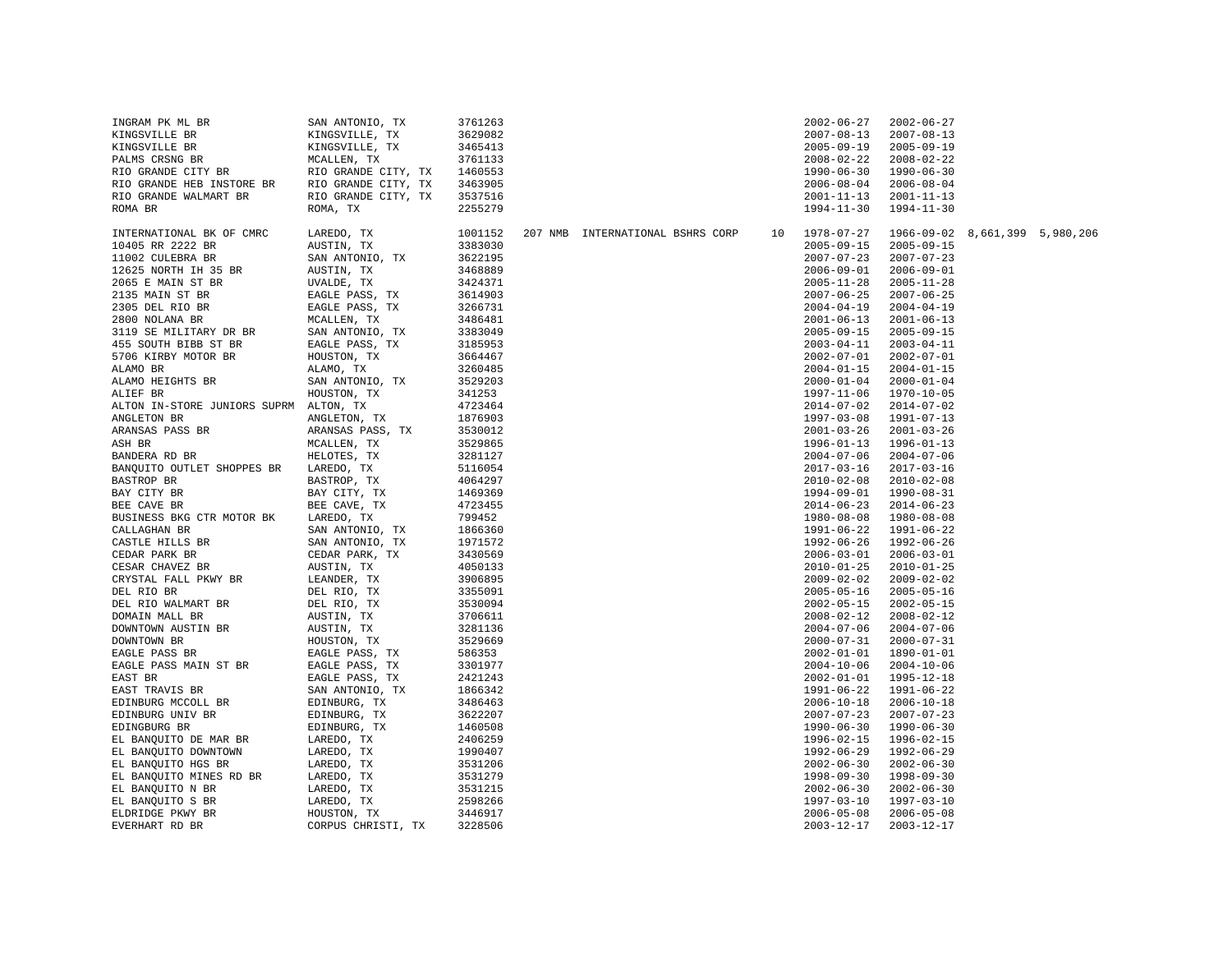| INGRAM PK ML BR                        | SAN ANTONIO, TX     | 3761263 |                                  |    | $2002 - 06 - 27$ | $2002 - 06 - 27$               |  |
|----------------------------------------|---------------------|---------|----------------------------------|----|------------------|--------------------------------|--|
| KINGSVILLE BR                          | KINGSVILLE, TX      | 3629082 |                                  |    | $2007 - 08 - 13$ | $2007 - 08 - 13$               |  |
| KINGSVILLE BR                          | KINGSVILLE, TX      | 3465413 |                                  |    | $2005 - 09 - 19$ | $2005 - 09 - 19$               |  |
| PALMS CRSNG BR                         | MCALLEN, TX         | 3761133 |                                  |    | $2008 - 02 - 22$ | $2008 - 02 - 22$               |  |
| RIO GRANDE CITY BR                     | RIO GRANDE CITY, TX | 1460553 |                                  |    | $1990 - 06 - 30$ | $1990 - 06 - 30$               |  |
| RIO GRANDE HEB INSTORE BR              | RIO GRANDE CITY, TX | 3463905 |                                  |    | $2006 - 08 - 04$ | $2006 - 08 - 04$               |  |
| RIO GRANDE WALMART BR                  | RIO GRANDE CITY, TX | 3537516 |                                  |    | $2001 - 11 - 13$ | $2001 - 11 - 13$               |  |
| ROMA BR                                | ROMA, TX            | 2255279 |                                  |    | 1994-11-30       | $1994 - 11 - 30$               |  |
|                                        |                     |         |                                  |    |                  |                                |  |
| INTERNATIONAL BK OF CMRC               | LAREDO, TX          | 1001152 | 207 NMB INTERNATIONAL BSHRS CORP | 10 | 1978-07-27       | 1966-09-02 8,661,399 5,980,206 |  |
| 10405 RR 2222 BR                       | AUSTIN, TX          | 3383030 |                                  |    | $2005 - 09 - 15$ | $2005 - 09 - 15$               |  |
| 11002 CULEBRA BR                       | SAN ANTONIO, TX     | 3622195 |                                  |    | $2007 - 07 - 23$ | $2007 - 07 - 23$               |  |
| 12625 NORTH IH 35 BR                   | AUSTIN, TX          | 3468889 |                                  |    | $2006 - 09 - 01$ | $2006 - 09 - 01$               |  |
| 2065 E MAIN ST BR                      | UVALDE, TX          | 3424371 |                                  |    | $2005 - 11 - 28$ | $2005 - 11 - 28$               |  |
| 2135 MAIN ST BR                        | EAGLE PASS, TX      | 3614903 |                                  |    | $2007 - 06 - 25$ | $2007 - 06 - 25$               |  |
| 2305 DEL RIO BR                        | EAGLE PASS, TX      | 3266731 |                                  |    | $2004 - 04 - 19$ | $2004 - 04 - 19$               |  |
| 2800 NOLANA BR                         | MCALLEN, TX         | 3486481 |                                  |    | $2001 - 06 - 13$ | $2001 - 06 - 13$               |  |
| 3119 SE MILITARY DR BR                 | SAN ANTONIO, TX     | 3383049 |                                  |    | $2005 - 09 - 15$ | $2005 - 09 - 15$               |  |
| 455 SOUTH BIBB ST BR                   | EAGLE PASS, TX      | 3185953 |                                  |    | $2003 - 04 - 11$ | $2003 - 04 - 11$               |  |
| 5706 KIRBY MOTOR BR                    | HOUSTON, TX         | 3664467 |                                  |    | $2002 - 07 - 01$ | $2002 - 07 - 01$               |  |
| ALAMO BR                               | ALAMO, TX           | 3260485 |                                  |    | $2004 - 01 - 15$ | $2004 - 01 - 15$               |  |
| ALAMO HEIGHTS BR                       | SAN ANTONIO, TX     | 3529203 |                                  |    | $2000 - 01 - 04$ | $2000 - 01 - 04$               |  |
| ALIEF BR                               | HOUSTON, TX         | 341253  |                                  |    | 1997-11-06       | $1970 - 10 - 05$               |  |
| ALTON IN-STORE JUNIORS SUPRM ALTON, TX |                     | 4723464 |                                  |    | $2014 - 07 - 02$ | $2014 - 07 - 02$               |  |
| ANGLETON BR                            | ANGLETON, TX        | 1876903 |                                  |    | $1997 - 03 - 08$ | 1991-07-13                     |  |
| ARANSAS PASS BR                        | ARANSAS PASS, TX    | 3530012 |                                  |    | $2001 - 03 - 26$ | $2001 - 03 - 26$               |  |
| ASH BR                                 | MCALLEN, TX         | 3529865 |                                  |    | $1996 - 01 - 13$ | $1996 - 01 - 13$               |  |
| BANDERA RD BR                          | HELOTES, TX         | 3281127 |                                  |    | $2004 - 07 - 06$ | $2004 - 07 - 06$               |  |
| BANQUITO OUTLET SHOPPES BR             | LAREDO, TX          | 5116054 |                                  |    | $2017 - 03 - 16$ | $2017 - 03 - 16$               |  |
| BASTROP BR                             | BASTROP, TX         | 4064297 |                                  |    | $2010 - 02 - 08$ | $2010 - 02 - 08$               |  |
| BAY CITY BR                            | BAY CITY, TX        | 1469369 |                                  |    | 1994-09-01       | 1990-08-31                     |  |
| BEE CAVE BR                            | BEE CAVE, TX        | 4723455 |                                  |    | $2014 - 06 - 23$ | $2014 - 06 - 23$               |  |
| BUSINESS BKG CTR MOTOR BK              | LAREDO, TX          | 799452  |                                  |    | 1980-08-08       | $1980 - 08 - 08$               |  |
| CALLAGHAN BR                           | SAN ANTONIO, TX     | 1866360 |                                  |    | 1991-06-22       | 1991-06-22                     |  |
| CASTLE HILLS BR                        | SAN ANTONIO, TX     | 1971572 |                                  |    | $1992 - 06 - 26$ | 1992-06-26                     |  |
| CEDAR PARK BR                          | CEDAR PARK, TX      | 3430569 |                                  |    | $2006 - 03 - 01$ | $2006 - 03 - 01$               |  |
| CESAR CHAVEZ BR                        | AUSTIN, TX          | 4050133 |                                  |    | $2010 - 01 - 25$ | $2010 - 01 - 25$               |  |
| CRYSTAL FALL PKWY BR                   | LEANDER, TX         | 3906895 |                                  |    | $2009 - 02 - 02$ | $2009 - 02 - 02$               |  |
| DEL RIO BR                             | DEL RIO, TX         | 3355091 |                                  |    | $2005 - 05 - 16$ | $2005 - 05 - 16$               |  |
| DEL RIO WALMART BR                     | DEL RIO, TX         | 3530094 |                                  |    | $2002 - 05 - 15$ | $2002 - 05 - 15$               |  |
| DOMAIN MALL BR                         | AUSTIN, TX          | 3706611 |                                  |    | $2008 - 02 - 12$ | $2008 - 02 - 12$               |  |
| DOWNTOWN AUSTIN BR                     | AUSTIN, TX          | 3281136 |                                  |    | $2004 - 07 - 06$ | $2004 - 07 - 06$               |  |
| DOWNTOWN BR                            | HOUSTON, TX         | 3529669 |                                  |    | $2000 - 07 - 31$ | $2000 - 07 - 31$               |  |
| EAGLE PASS BR                          | EAGLE PASS, TX      | 586353  |                                  |    | $2002 - 01 - 01$ | 1890-01-01                     |  |
| EAGLE PASS MAIN ST BR                  | EAGLE PASS, TX      | 3301977 |                                  |    | $2004 - 10 - 06$ | $2004 - 10 - 06$               |  |
| EAST BR                                | EAGLE PASS, TX      | 2421243 |                                  |    | $2002 - 01 - 01$ | 1995-12-18                     |  |
| EAST TRAVIS BR                         | SAN ANTONIO, TX     | 1866342 |                                  |    | 1991-06-22       | 1991-06-22                     |  |
| EDINBURG MCCOLL BR                     | EDINBURG, TX        | 3486463 |                                  |    | $2006 - 10 - 18$ | $2006 - 10 - 18$               |  |
| EDINBURG UNIV BR                       | EDINBURG, TX        | 3622207 |                                  |    | $2007 - 07 - 23$ | $2007 - 07 - 23$               |  |
| EDINGBURG BR                           | EDINBURG, TX        | 1460508 |                                  |    | 1990-06-30       | $1990 - 06 - 30$               |  |
| EL BANQUITO DE MAR BR                  | LAREDO, TX          | 2406259 |                                  |    | $1996 - 02 - 15$ | 1996-02-15                     |  |
| EL BANQUITO DOWNTOWN                   | LAREDO, TX          | 1990407 |                                  |    | 1992-06-29       | 1992-06-29                     |  |
| EL BANQUITO HGS BR                     | LAREDO, TX          | 3531206 |                                  |    | $2002 - 06 - 30$ | $2002 - 06 - 30$               |  |
| EL BANQUITO MINES RD BR                | LAREDO, TX          | 3531279 |                                  |    | $1998 - 09 - 30$ | 1998-09-30                     |  |
| EL BANQUITO N BR                       | LAREDO, TX          | 3531215 |                                  |    | $2002 - 06 - 30$ | $2002 - 06 - 30$               |  |
| EL BANQUITO S BR                       | LAREDO, TX          | 2598266 |                                  |    | 1997-03-10       | 1997-03-10                     |  |
| ELDRIDGE PKWY BR                       | HOUSTON, TX         | 3446917 |                                  |    | $2006 - 05 - 08$ | $2006 - 05 - 08$               |  |
| EVERHART RD BR                         | CORPUS CHRISTI, TX  | 3228506 |                                  |    | $2003 - 12 - 17$ | $2003 - 12 - 17$               |  |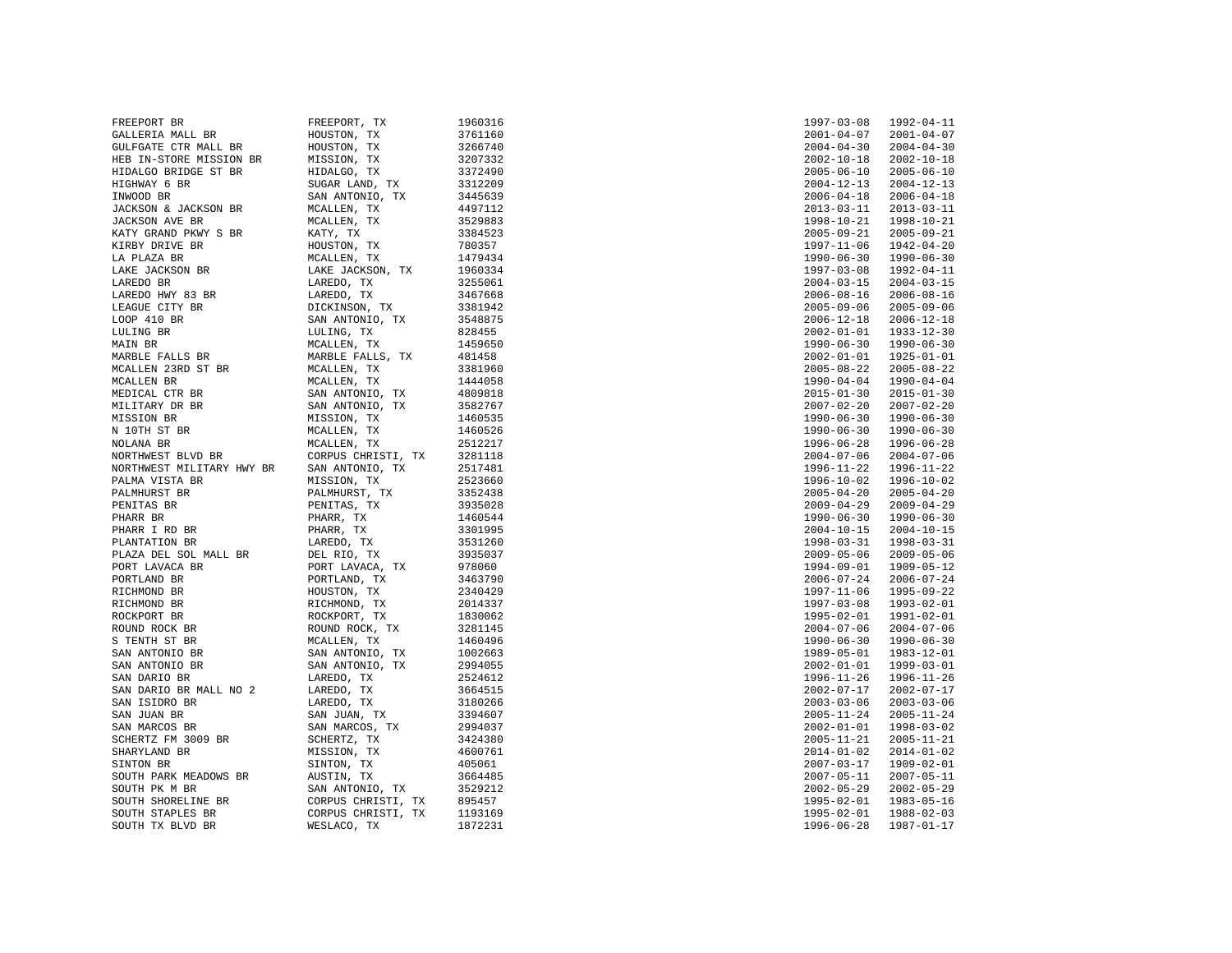| FREEPORT BR               | FREEPORT, TX                                                                                  | 1960316 | $1997 - 03 - 08$               | 1992-04-11       |
|---------------------------|-----------------------------------------------------------------------------------------------|---------|--------------------------------|------------------|
| GALLERIA MALL BR          | HOUSTON, TX                                                                                   | 3761160 | $2001 - 04 - 07$               | $2001 - 04 - 07$ |
| GULFGATE CTR MALL BR      | HOUSTON, TX                                                                                   | 3266740 | $2004 - 04 - 30$               | $2004 - 04 - 30$ |
| HEB IN-STORE MISSION BR   | MISSION, TX                                                                                   | 3207332 | $2002 - 10 - 18$               | $2002 - 10 - 18$ |
| HIDALGO BRIDGE ST BR      | HIDALGO, TX                                                                                   | 3372490 | $2005 - 06 - 10$               | $2005 - 06 - 10$ |
| HIGHWAY 6 BR              | SUGAR LAND, TX                                                                                | 3312209 | $2004 - 12 - 13$               | $2004 - 12 - 13$ |
| INWOOD BR                 | SAN ANTONIO, TX                                                                               | 3445639 | $2006 - 04 - 18$               | $2006 - 04 - 18$ |
| JACKSON & JACKSON BR      | MCALLEN, TX                                                                                   | 4497112 | $2013 - 03 - 11$               | $2013 - 03 - 11$ |
| JACKSON AVE BR            | MCALLEN, TX                                                                                   | 3529883 | 1998-10-21                     | 1998-10-21       |
| KATY GRAND PKWY S BR      | KATY, TX                                                                                      | 3384523 | $2005 - 09 - 21$               | $2005 - 09 - 21$ |
| KIRBY DRIVE BR            | HOUSTON, TX                                                                                   | 780357  | 1997-11-06                     | 1942-04-20       |
|                           |                                                                                               |         |                                |                  |
| LA PLAZA BR               | MCALLEN, TX                                                                                   | 1479434 | 1990-06-30<br>$1997 - 03 - 08$ | 1990-06-30       |
| LAKE JACKSON BR           | LAKE JACKSON, TX                                                                              | 1960334 |                                | 1992-04-11       |
| LAREDO BR                 | LAREDO, TX                                                                                    | 3255061 | $2004 - 03 - 15$               | $2004 - 03 - 15$ |
| LAREDO HWY 83 BR          | LAREDO, TX                                                                                    | 3467668 | $2006 - 08 - 16$               | $2006 - 08 - 16$ |
| LEAGUE CITY BR            | DICKINSON, TX                                                                                 | 3381942 | $2005 - 09 - 06$               | $2005 - 09 - 06$ |
| LOOP 410 BR               | SAN ANTONIO<br>LULING, TX<br>SAN ANTONIO, TX                                                  | 3548875 | $2006 - 12 - 18$               | $2006 - 12 - 18$ |
| LULING BR                 |                                                                                               | 828455  | $2002 - 01 - 01$               | $1933 - 12 - 30$ |
| MAIN BR                   | MCALLEN, TX                                                                                   | 1459650 | $1990 - 06 - 30$               | $1990 - 06 - 30$ |
| MARBLE FALLS BR           | MARBLE FALLS, TX                                                                              | 481458  | $2002 - 01 - 01$               | $1925 - 01 - 01$ |
| MCALLEN 23RD ST BR        | MCALLEN, TX                                                                                   | 3381960 | $2005 - 08 - 22$               | $2005 - 08 - 22$ |
| MCALLEN BR                | MCALLEN, TX                                                                                   | 1444058 | $1990 - 04 - 04$               | $1990 - 04 - 04$ |
| MEDICAL CTR BR            | SAN ANTONIO, TX                                                                               | 4809818 | $2015 - 01 - 30$               | $2015 - 01 - 30$ |
| MILITARY DR BR            | SAN ANTONIO, TX                                                                               | 3582767 | $2007 - 02 - 20$               | $2007 - 02 - 20$ |
| MISSION BR                | MISSION, TX                                                                                   | 1460535 | $1990 - 06 - 30$               | $1990 - 06 - 30$ |
| N 10TH ST BR              | MCALLEN, TX                                                                                   | 1460526 | $1990 - 06 - 30$               | $1990 - 06 - 30$ |
| NOLANA BR                 | MCALLEN, TX                                                                                   | 2512217 | $1996 - 06 - 28$               | 1996-06-28       |
| NORTHWEST BLVD BR         | CORPUS CHRISTI, TX                                                                            | 3281118 | $2004 - 07 - 06$               | $2004 - 07 - 06$ |
| NORTHWEST MILITARY HWY BR | SAN ANTONIO, TX                                                                               | 2517481 | 1996-11-22                     | 1996-11-22       |
| PALMA VISTA BR            | MISSION, TX                                                                                   | 2523660 | $1996 - 10 - 02$               | 1996-10-02       |
| PALMHURST BR              | PALMHURST, TX                                                                                 | 3352438 | $2005 - 04 - 20$               | $2005 - 04 - 20$ |
| PENITAS BR                | PENITAS, TX                                                                                   | 3935028 | $2009 - 04 - 29$               | $2009 - 04 - 29$ |
| PHARR BR                  | PHARR, TX                                                                                     | 1460544 | $1990 - 06 - 30$               | $1990 - 06 - 30$ |
| PHARR I RD BR             | PHARR, TX                                                                                     | 3301995 | $2004 - 10 - 15$               | $2004 - 10 - 15$ |
| PLANTATION BR             | LAREDO, TX                                                                                    | 3531260 | 1998-03-31                     | 1998-03-31       |
| PLAZA DEL SOL MALL BR     | DEL RIO, TX                                                                                   | 3935037 | $2009 - 05 - 06$               | $2009 - 05 - 06$ |
| PORT LAVACA BR            | PORT LAVACA, TX                                                                               | 978060  | 1994-09-01                     | 1909-05-12       |
| PORTLAND BR               | PORTLAND, TX                                                                                  | 3463790 | $2006 - 07 - 24$               | $2006 - 07 - 24$ |
| RICHMOND BR               | HOUSTON, TX                                                                                   | 2340429 | 1997-11-06                     | 1995-09-22       |
| RICHMOND BR               | RICHMOND, TX                                                                                  | 2014337 | $1997 - 03 - 08$               | 1993-02-01       |
| ROCKPORT BR               | ROCKPORT, TX                                                                                  | 1830062 | $1995 - 02 - 01$               | 1991-02-01       |
| ROUND ROCK BR             | ROUND ROCK, TX                                                                                | 3281145 | $2004 - 07 - 06$               | $2004 - 07 - 06$ |
| S TENTH ST BR             | MCALLEN, TX                                                                                   | 1460496 | $1990 - 06 - 30$               | 1990-06-30       |
| SAN ANTONIO BR            | SAN ANTONIO, TX                                                                               | 1002663 | 1989-05-01                     | 1983-12-01       |
| SAN ANTONIO BR            | SAN ANTONIO, TX                                                                               | 2994055 | $2002 - 01 - 01$               | 1999-03-01       |
| SAN DARIO BR              | LAREDO, TX                                                                                    | 2524612 | $1996 - 11 - 26$               | 1996-11-26       |
| SAN DARIO BR MALL NO 2    | LAREDO, TX                                                                                    | 3664515 | $2002 - 07 - 17$               | $2002 - 07 - 17$ |
| SAN ISIDRO BR             | LAREDO, TX                                                                                    | 3180266 | $2003 - 03 - 06$               | $2003 - 03 - 06$ |
| SAN JUAN BR               | SAN JUAN, TX                                                                                  | 3394607 | $2005 - 11 - 24$               | $2005 - 11 - 24$ |
| SAN MARCOS BR             | SAN MARCOS, TX                                                                                | 2994037 | $2002 - 01 - 01$               | $1998 - 03 - 02$ |
| SCHERTZ FM 3009 BR        | SCHERTZ, TX                                                                                   | 3424380 | $2005 - 11 - 21$               | $2005 - 11 - 21$ |
| SHARYLAND BR              | MISSION, TX                                                                                   | 4600761 | $2014 - 01 - 02$               | $2014 - 01 - 02$ |
| SINTON BR                 | SINTON, TX                                                                                    | 405061  | $2007 - 03 - 17$               | 1909-02-01       |
|                           |                                                                                               |         | $2007 - 05 - 11$               | $2007 - 05 - 11$ |
| SOUTH PARK MEADOWS BR     |                                                                                               | 3664485 |                                |                  |
| SOUTH PK M BR             |                                                                                               | 3529212 | $2002 - 05 - 29$               | $2002 - 05 - 29$ |
| SOUTH SHORELINE BR        |                                                                                               | 895457  | 1995-02-01                     | 1983-05-16       |
| SOUTH STAPLES BR          | R<br>MUSTIN, TX<br>SAN ANTONIO, TX<br>CORPUS CHRISTI, TX<br>CORPUS CHRISTI, TX<br>WESLACO, TX | 1193169 | $1995 - 02 - 01$               | $1988 - 02 - 03$ |
| SOUTH TX BLVD BR          |                                                                                               | 1872231 | $1996 - 06 - 28$               | 1987-01-17       |

|                                        | 1992-04-11<br>2001-04-07             |
|----------------------------------------|--------------------------------------|
| 1997-03-08<br>2001-04-07<br>2004-04-30 | $2004 - 04 - 30$<br>$2002 - 10 - 18$ |
| $2002 - 10 - 18$                       |                                      |
| $2005 - 06 - 10$                       | $2005 - 06 - 10$                     |
| $2004 - 12 - 13$                       | $2004 - 12 - 13$                     |
|                                        |                                      |
| $2006 - 04 - 18$                       | $2006 - 04 - 18$                     |
| $2013 - 03 - 11$                       | 2013-03-11<br>1998-10-21             |
| $1998 - 10 - 21$                       |                                      |
| $2005 - 09 - 21$                       | 2005-09-21                           |
| $1997 - 11 - 06$                       | $1942 - 04 - 20$                     |
| $1990 - 06 - 30$                       | $1990 - 06 - 30$                     |
| $1997 - 03 - 08$                       | $1992 - 04 - 11$                     |
|                                        |                                      |
| $2004 - 03 - 15$<br>2006-08-16         | $2004 - 03 - 15$<br>2006-08-16       |
|                                        | $2005 - 09 - 06$                     |
| $2005 - 09 - 06$                       |                                      |
| $2006 - 12 - 18$                       | $2006 - 12 - 18$                     |
| $2002 - 01 - 01$                       | $1933 - 12 - 30$                     |
| $1990 - 06 - 30$                       | $1990 - 06 - 30$                     |
| $2002 - 01 - 01$                       | $1925 - 01 - 01$                     |
| $2005 - 08 - 22$                       |                                      |
| $1990 - 04 - 04$                       | $2005 - 08 - 22$<br>$1990 - 04 - 04$ |
| $2015 - 01 - 30$                       | $2015 - 01 - 30$                     |
| $2007 - 02 - 20$                       | $2007 - 02 - 20$                     |
| $1990 - 06 - 30$                       | $1990 - 06 - 30$                     |
| $1990 - 06 - 30$                       | $1990 - 06 - 30$                     |
|                                        |                                      |
| $1996 - 06 - 28$                       | $1996 - 06 - 28$                     |
| $2004 - 07 - 06$                       | $2004 - 07 - 06$                     |
| $1996 - 11 - 22$                       | $1996 - 11 - 22$                     |
| $1996 - 10 - 02$                       | $1996 - 10 - 02$                     |
| $2005 - 04 - 20$                       | 2005-04-20<br>2009-04-29             |
| $2009 - 04 - 29$                       |                                      |
| $1990 - 06 - 30$                       | $1990 - 06 - 30$                     |
| $2004 - 10 - 15$                       | 2004-10-15<br>1998-03-31             |
| $1998 - 03 - 31$                       |                                      |
| $2009 - 05 - 06$                       | $2009 - 05 - 06$                     |
| $1994 - 09 - 01$                       | $1909 - 05 - 12$                     |
| $2006 - 07 - 24$                       | $2006 - 07 - 24$                     |
| $1997 - 11 - 06$                       | $1995 - 09 - 22$                     |
| $1997 - 03 - 08$                       | $1993 - 02 - 01$                     |
|                                        |                                      |
| 1995-02-01                             | 1991-02-01                           |
| $2004 - 07 - 06$                       | $2004 - 07 - 06$                     |
| $1990 - 06 - 30$                       | $1990 - 06 - 30$                     |
| $1989 - 05 - 01$                       | $1983 - 12 - 01$                     |
| $2002 - 01 - 01$                       | 1999-03-01                           |
| $1996 - 11 - 26$                       | $1996 - 11 - 26$                     |
| $2002 - 07 - 17$                       | $2002 - 07 - 17$                     |
| $2003 - 03 - 06$                       | $2003 - 03 - 06$                     |
| $2005 - 11 - 24$                       | $2005 - 11 - 24$                     |
| $2002 - 01 - 01$                       | $1998 - 03 - 02$                     |
|                                        | $2005 - 11 - 21$                     |
| $2005 - 11 - 21$<br>$2014 - 01 - 02$   | $2014 - 01 - 02$                     |
| $2007 - 03 - 17$                       | $1909 - 02 - 01$                     |
|                                        |                                      |
| $2007 - 05 - 11$                       | $2007 - 05 - 11$                     |
| $2002 - 05 - 29$                       | $2002 - 05 - 29$                     |
| $1995 - 02 - 01$                       | $1983 - 05 - 16$                     |
| $1995 - 02 - 01$                       | $1988 - 02 - 03$                     |
| $1996 - 06 - 28$                       | $1987 - 01 - 17$                     |
|                                        |                                      |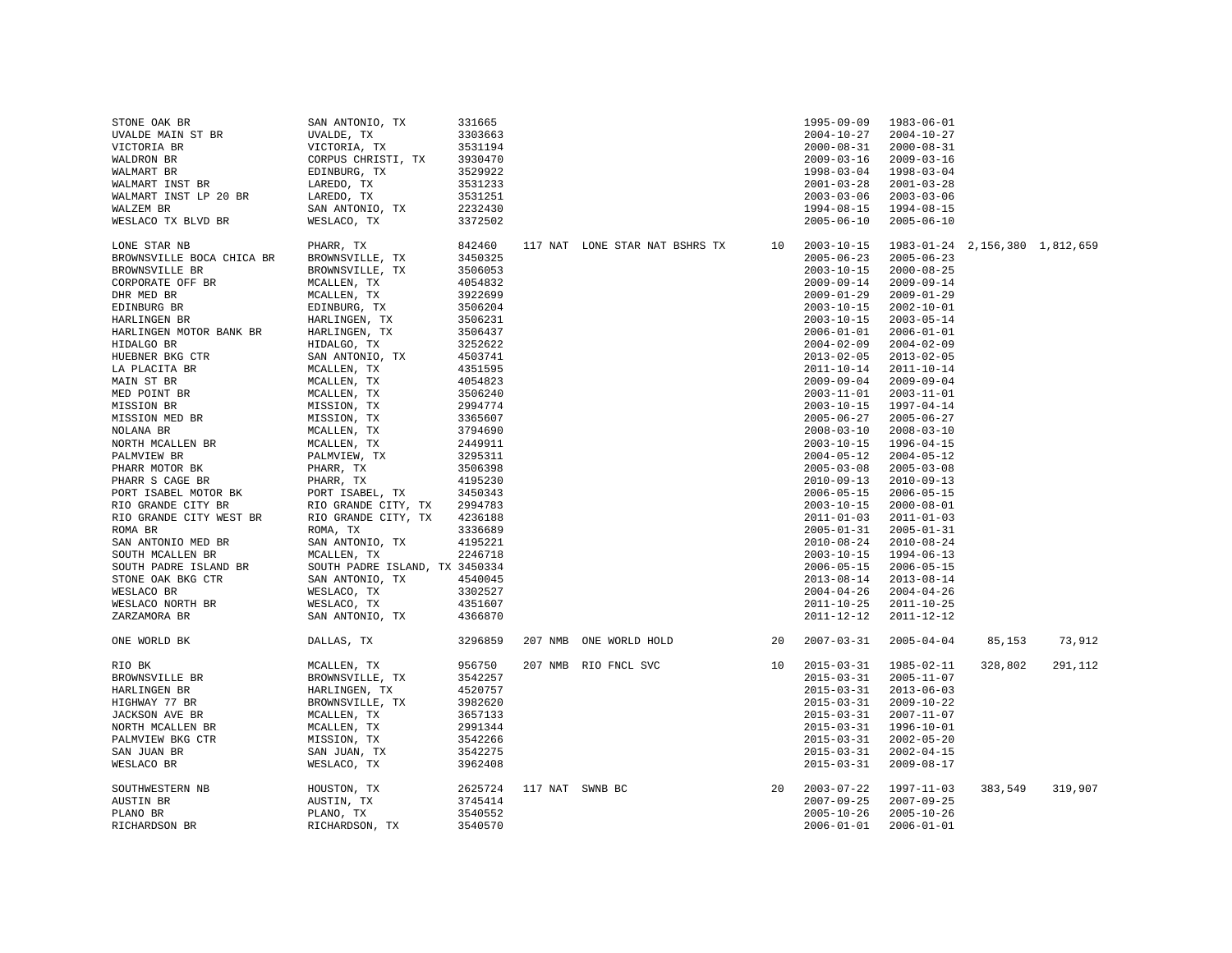| STONE OAK BR              | SAN ANTONIO, TX                | 331665  |                 |                                |    | $1995 - 09 - 09$ | 1983-06-01                     |         |         |
|---------------------------|--------------------------------|---------|-----------------|--------------------------------|----|------------------|--------------------------------|---------|---------|
| UVALDE MAIN ST BR         | UVALDE, TX                     | 3303663 |                 |                                |    | $2004 - 10 - 27$ | $2004 - 10 - 27$               |         |         |
| VICTORIA BR               | VICTORIA, TX                   | 3531194 |                 |                                |    | $2000 - 08 - 31$ | $2000 - 08 - 31$               |         |         |
| WALDRON BR                | CORPUS CHRISTI, TX             | 3930470 |                 |                                |    | $2009 - 03 - 16$ | $2009 - 03 - 16$               |         |         |
| WALMART BR                | EDINBURG, TX                   | 3529922 |                 |                                |    | $1998 - 03 - 04$ | $1998 - 03 - 04$               |         |         |
| WALMART INST BR           | LAREDO, TX                     | 3531233 |                 |                                |    | $2001 - 03 - 28$ | $2001 - 03 - 28$               |         |         |
| WALMART INST LP 20 BR     | LAREDO, TX                     | 3531251 |                 |                                |    | $2003 - 03 - 06$ | $2003 - 03 - 06$               |         |         |
| WALZEM BR                 | SAN ANTONIO, TX                | 2232430 |                 |                                |    | $1994 - 08 - 15$ | 1994-08-15                     |         |         |
|                           |                                | 3372502 |                 |                                |    | $2005 - 06 - 10$ |                                |         |         |
| WESLACO TX BLVD BR        | WESLACO, TX                    |         |                 |                                |    |                  | $2005 - 06 - 10$               |         |         |
| LONE STAR NB              | PHARR, TX                      | 842460  |                 | 117 NAT LONE STAR NAT BSHRS TX | 10 | $2003 - 10 - 15$ | 1983-01-24 2,156,380 1,812,659 |         |         |
| BROWNSVILLE BOCA CHICA BR | BROWNSVILLE, TX                | 3450325 |                 |                                |    | $2005 - 06 - 23$ | $2005 - 06 - 23$               |         |         |
| BROWNSVILLE BR            | BROWNSVILLE, TX                | 3506053 |                 |                                |    | $2003 - 10 - 15$ | $2000 - 08 - 25$               |         |         |
| CORPORATE OFF BR          | MCALLEN, TX                    | 4054832 |                 |                                |    | $2009 - 09 - 14$ | $2009 - 09 - 14$               |         |         |
| DHR MED BR                | MCALLEN, TX                    | 3922699 |                 |                                |    | $2009 - 01 - 29$ | $2009 - 01 - 29$               |         |         |
| EDINBURG BR               | EDINBURG, TX                   | 3506204 |                 |                                |    | $2003 - 10 - 15$ | $2002 - 10 - 01$               |         |         |
| HARLINGEN BR              | HARLINGEN, TX                  | 3506231 |                 |                                |    | $2003 - 10 - 15$ | $2003 - 05 - 14$               |         |         |
| HARLINGEN MOTOR BANK BR   | HARLINGEN, TX                  | 3506437 |                 |                                |    | $2006 - 01 - 01$ | $2006 - 01 - 01$               |         |         |
| HIDALGO BR                | HIDALGO, TX                    | 3252622 |                 |                                |    | $2004 - 02 - 09$ | $2004 - 02 - 09$               |         |         |
| HUEBNER BKG CTR           | SAN ANTONIO, TX                | 4503741 |                 |                                |    | $2013 - 02 - 05$ | $2013 - 02 - 05$               |         |         |
| LA PLACITA BR             | MCALLEN, TX                    | 4351595 |                 |                                |    | $2011 - 10 - 14$ | $2011 - 10 - 14$               |         |         |
|                           |                                |         |                 |                                |    |                  |                                |         |         |
| MAIN ST BR                | MCALLEN, TX                    | 4054823 |                 |                                |    | $2009 - 09 - 04$ | $2009 - 09 - 04$               |         |         |
| MED POINT BR              | MCALLEN, TX                    | 3506240 |                 |                                |    | $2003 - 11 - 01$ | $2003 - 11 - 01$               |         |         |
| MISSION BR                | MISSION, TX                    | 2994774 |                 |                                |    | $2003 - 10 - 15$ | 1997-04-14                     |         |         |
| MISSION MED BR            | MISSION, TX                    | 3365607 |                 |                                |    | $2005 - 06 - 27$ | $2005 - 06 - 27$               |         |         |
| NOLANA BR                 | MCALLEN, TX                    | 3794690 |                 |                                |    | $2008 - 03 - 10$ | $2008 - 03 - 10$               |         |         |
| NORTH MCALLEN BR          | MCALLEN, TX                    | 2449911 |                 |                                |    | $2003 - 10 - 15$ | 1996-04-15                     |         |         |
| PALMVIEW BR               | PALMVIEW, TX                   | 3295311 |                 |                                |    | $2004 - 05 - 12$ | $2004 - 05 - 12$               |         |         |
| PHARR MOTOR BK            | PHARR, TX                      | 3506398 |                 |                                |    | $2005 - 03 - 08$ | $2005 - 03 - 08$               |         |         |
| PHARR S CAGE BR           | PHARR, TX                      | 4195230 |                 |                                |    | $2010 - 09 - 13$ | $2010 - 09 - 13$               |         |         |
| PORT ISABEL MOTOR BK      | PORT ISABEL, TX                | 3450343 |                 |                                |    | $2006 - 05 - 15$ | $2006 - 05 - 15$               |         |         |
| RIO GRANDE CITY BR        | RIO GRANDE CITY, TX            | 2994783 |                 |                                |    | $2003 - 10 - 15$ | $2000 - 08 - 01$               |         |         |
| RIO GRANDE CITY WEST BR   | RIO GRANDE CITY, TX            | 4236188 |                 |                                |    | $2011 - 01 - 03$ | $2011 - 01 - 03$               |         |         |
| ROMA BR                   | ROMA, TX                       | 3336689 |                 |                                |    | $2005 - 01 - 31$ | $2005 - 01 - 31$               |         |         |
| SAN ANTONIO MED BR        | SAN ANTONIO, TX                | 4195221 |                 |                                |    | $2010 - 08 - 24$ | $2010 - 08 - 24$               |         |         |
| SOUTH MCALLEN BR          | MCALLEN, TX                    | 2246718 |                 |                                |    | $2003 - 10 - 15$ | 1994-06-13                     |         |         |
| SOUTH PADRE ISLAND BR     | SOUTH PADRE ISLAND, TX 3450334 |         |                 |                                |    | $2006 - 05 - 15$ | $2006 - 05 - 15$               |         |         |
| STONE OAK BKG CTR         | SAN ANTONIO, TX                | 4540045 |                 |                                |    | $2013 - 08 - 14$ | $2013 - 08 - 14$               |         |         |
| WESLACO BR                | WESLACO, TX                    | 3302527 |                 |                                |    | $2004 - 04 - 26$ | $2004 - 04 - 26$               |         |         |
| WESLACO NORTH BR          | WESLACO, TX                    | 4351607 |                 |                                |    | $2011 - 10 - 25$ | $2011 - 10 - 25$               |         |         |
| ZARZAMORA BR              | SAN ANTONIO, TX                | 4366870 |                 |                                |    | $2011 - 12 - 12$ | 2011-12-12                     |         |         |
| ONE WORLD BK              | DALLAS, TX                     | 3296859 |                 | 207 NMB ONE WORLD HOLD         | 20 | $2007 - 03 - 31$ | $2005 - 04 - 04$               | 85,153  | 73,912  |
| RIO BK                    | MCALLEN, TX                    | 956750  |                 | 207 NMB RIO FNCL SVC           | 10 | $2015 - 03 - 31$ | 1985-02-11                     | 328,802 | 291,112 |
| BROWNSVILLE BR            | BROWNSVILLE, TX                | 3542257 |                 |                                |    | $2015 - 03 - 31$ | $2005 - 11 - 07$               |         |         |
|                           |                                |         |                 |                                |    |                  |                                |         |         |
| HARLINGEN BR              | HARLINGEN, TX                  | 4520757 |                 |                                |    | $2015 - 03 - 31$ | $2013 - 06 - 03$               |         |         |
| HIGHWAY 77 BR             | BROWNSVILLE, TX                | 3982620 |                 |                                |    | $2015 - 03 - 31$ | $2009 - 10 - 22$               |         |         |
| JACKSON AVE BR            | MCALLEN, TX                    | 3657133 |                 |                                |    | $2015 - 03 - 31$ | $2007 - 11 - 07$               |         |         |
| NORTH MCALLEN BR          | MCALLEN, TX                    | 2991344 |                 |                                |    | $2015 - 03 - 31$ | 1996-10-01                     |         |         |
| PALMVIEW BKG CTR          | MISSION, TX                    | 3542266 |                 |                                |    | $2015 - 03 - 31$ | $2002 - 05 - 20$               |         |         |
| SAN JUAN BR               | SAN JUAN, TX                   | 3542275 |                 |                                |    | $2015 - 03 - 31$ | $2002 - 04 - 15$               |         |         |
| WESLACO BR                | WESLACO, TX                    | 3962408 |                 |                                |    | $2015 - 03 - 31$ | $2009 - 08 - 17$               |         |         |
| SOUTHWESTERN NB           | HOUSTON, TX                    | 2625724 | 117 NAT SWNB BC |                                | 20 | $2003 - 07 - 22$ | 1997-11-03                     | 383,549 | 319,907 |
| AUSTIN BR                 | AUSTIN, TX                     | 3745414 |                 |                                |    | $2007 - 09 - 25$ | $2007 - 09 - 25$               |         |         |
| PLANO BR                  | PLANO, TX                      | 3540552 |                 |                                |    | $2005 - 10 - 26$ | $2005 - 10 - 26$               |         |         |
| RICHARDSON BR             | RICHARDSON, TX                 | 3540570 |                 |                                |    | $2006 - 01 - 01$ | $2006 - 01 - 01$               |         |         |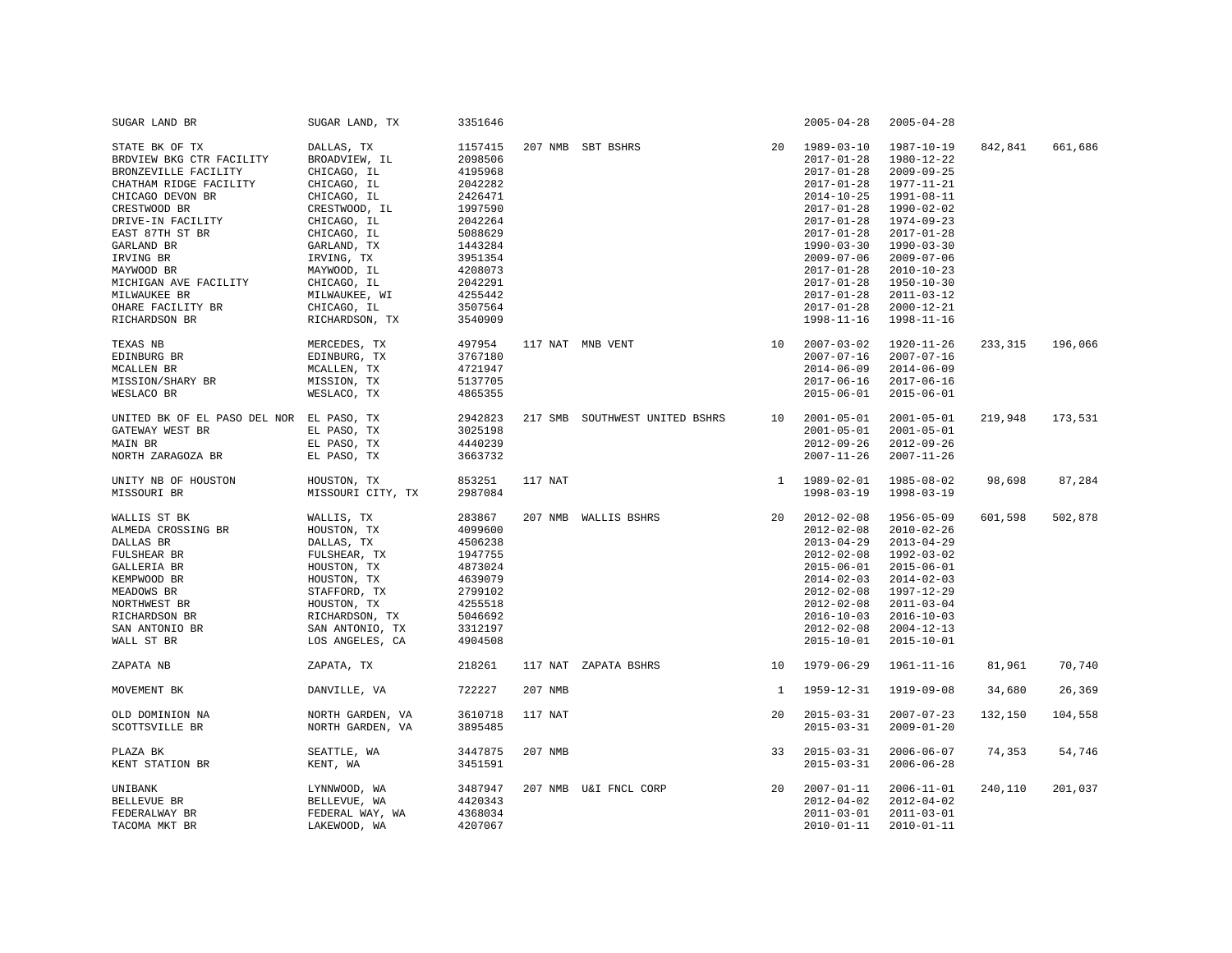| SUGAR LAND BR                            | SUGAR LAND, TX    | 3351646 |         |                                |              | $2005 - 04 - 28$ | $2005 - 04 - 28$ |         |         |
|------------------------------------------|-------------------|---------|---------|--------------------------------|--------------|------------------|------------------|---------|---------|
| STATE BK OF TX                           | DALLAS, TX        | 1157415 |         | 207 NMB SBT BSHRS              | 20           | $1989 - 03 - 10$ | 1987-10-19       | 842,841 | 661,686 |
| BRDVIEW BKG CTR FACILITY                 | BROADVIEW, IL     | 2098506 |         |                                |              | $2017 - 01 - 28$ | 1980-12-22       |         |         |
| BRONZEVILLE FACILITY                     | CHICAGO, IL       | 4195968 |         |                                |              | $2017 - 01 - 28$ | $2009 - 09 - 25$ |         |         |
| CHATHAM RIDGE FACILITY                   | CHICAGO, IL       | 2042282 |         |                                |              | $2017 - 01 - 28$ | 1977-11-21       |         |         |
| CHICAGO DEVON BR                         | CHICAGO, IL       | 2426471 |         |                                |              | $2014 - 10 - 25$ | 1991-08-11       |         |         |
| CRESTWOOD BR                             | CRESTWOOD, IL     | 1997590 |         |                                |              | $2017 - 01 - 28$ | 1990-02-02       |         |         |
| DRIVE-IN FACILITY                        | CHICAGO, IL       | 2042264 |         |                                |              | $2017 - 01 - 28$ | 1974-09-23       |         |         |
| EAST 87TH ST BR                          | CHICAGO, IL       | 5088629 |         |                                |              | $2017 - 01 - 28$ | $2017 - 01 - 28$ |         |         |
| GARLAND BR                               | GARLAND, TX       | 1443284 |         |                                |              | $1990 - 03 - 30$ | $1990 - 03 - 30$ |         |         |
|                                          |                   |         |         |                                |              |                  |                  |         |         |
| IRVING BR                                | IRVING, TX        | 3951354 |         |                                |              | $2009 - 07 - 06$ | $2009 - 07 - 06$ |         |         |
| MAYWOOD BR                               | MAYWOOD, IL       | 4208073 |         |                                |              | $2017 - 01 - 28$ | $2010 - 10 - 23$ |         |         |
| MICHIGAN AVE FACILITY                    | CHICAGO, IL       | 2042291 |         |                                |              | $2017 - 01 - 28$ | $1950 - 10 - 30$ |         |         |
| MILWAUKEE BR                             | MILWAUKEE, WI     | 4255442 |         |                                |              | $2017 - 01 - 28$ | $2011 - 03 - 12$ |         |         |
| OHARE FACILITY BR                        | CHICAGO, IL       | 3507564 |         |                                |              | $2017 - 01 - 28$ | $2000 - 12 - 21$ |         |         |
| RICHARDSON BR                            | RICHARDSON, TX    | 3540909 |         |                                |              | $1998 - 11 - 16$ | $1998 - 11 - 16$ |         |         |
| TEXAS NB                                 | MERCEDES, TX      | 497954  |         | 10<br>117 NAT MNB VENT         |              | $2007 - 03 - 02$ | $1920 - 11 - 26$ | 233,315 | 196,066 |
| EDINBURG BR                              | EDINBURG, TX      | 3767180 |         |                                |              | $2007 - 07 - 16$ | $2007 - 07 - 16$ |         |         |
| MCALLEN BR                               | MCALLEN, TX       | 4721947 |         |                                |              | $2014 - 06 - 09$ | $2014 - 06 - 09$ |         |         |
| MISSION/SHARY BR                         | MISSION, TX       | 5137705 |         |                                |              | $2017 - 06 - 16$ | $2017 - 06 - 16$ |         |         |
| WESLACO BR                               | WESLACO, TX       | 4865355 |         |                                |              | $2015 - 06 - 01$ | $2015 - 06 - 01$ |         |         |
| UNITED BK OF EL PASO DEL NOR EL PASO, TX |                   | 2942823 |         | 217 SMB SOUTHWEST UNITED BSHRS | 10           | $2001 - 05 - 01$ | $2001 - 05 - 01$ | 219,948 | 173,531 |
| GATEWAY WEST BR                          | EL PASO, TX       | 3025198 |         |                                |              | $2001 - 05 - 01$ | $2001 - 05 - 01$ |         |         |
|                                          |                   | 4440239 |         |                                |              | $2012 - 09 - 26$ | $2012 - 09 - 26$ |         |         |
| MAIN BR<br>NORTH ZARAGOZA BR             | EL PASO, TX       | 3663732 |         |                                |              | $2007 - 11 - 26$ | $2007 - 11 - 26$ |         |         |
|                                          | EL PASO, TX       |         |         |                                |              |                  |                  |         |         |
| UNITY NB OF HOUSTON                      | HOUSTON, TX       | 853251  | 117 NAT |                                |              | 1 1989-02-01     | 1985-08-02       | 98,698  | 87,284  |
| MISSOURI BR                              | MISSOURI CITY, TX | 2987084 |         |                                |              | $1998 - 03 - 19$ | $1998 - 03 - 19$ |         |         |
| WALLIS ST BK                             | WALLIS, TX        | 283867  |         | 207 NMB WALLIS BSHRS           | 20           | $2012 - 02 - 08$ | 1956-05-09       | 601,598 | 502,878 |
| ALMEDA CROSSING BR                       | HOUSTON, TX       | 4099600 |         |                                |              | $2012 - 02 - 08$ | $2010 - 02 - 26$ |         |         |
| DALLAS BR                                | DALLAS, TX        | 4506238 |         |                                |              | $2013 - 04 - 29$ | $2013 - 04 - 29$ |         |         |
| FULSHEAR BR                              | FULSHEAR, TX      | 1947755 |         |                                |              | $2012 - 02 - 08$ | 1992-03-02       |         |         |
| GALLERIA BR                              | HOUSTON, TX       | 4873024 |         |                                |              | $2015 - 06 - 01$ | $2015 - 06 - 01$ |         |         |
| KEMPWOOD BR                              | HOUSTON, TX       | 4639079 |         |                                |              | $2014 - 02 - 03$ | $2014 - 02 - 03$ |         |         |
| MEADOWS BR                               | STAFFORD, TX      | 2799102 |         |                                |              | $2012 - 02 - 08$ | 1997-12-29       |         |         |
| NORTHWEST BR                             | HOUSTON, TX       | 4255518 |         |                                |              | $2012 - 02 - 08$ | $2011 - 03 - 04$ |         |         |
| RICHARDSON BR                            | RICHARDSON, TX    | 5046692 |         |                                |              | $2016 - 10 - 03$ | $2016 - 10 - 03$ |         |         |
| SAN ANTONIO BR                           | SAN ANTONIO, TX   | 3312197 |         |                                |              | $2012 - 02 - 08$ | $2004 - 12 - 13$ |         |         |
| WALL ST BR                               | LOS ANGELES, CA   | 4904508 |         |                                |              | $2015 - 10 - 01$ | $2015 - 10 - 01$ |         |         |
| ZAPATA NB                                | ZAPATA, TX        | 218261  |         | 117 NAT ZAPATA BSHRS           | 10           | 1979-06-29       | $1961 - 11 - 16$ | 81,961  | 70,740  |
| MOVEMENT BK                              | DANVILLE, VA      | 722227  | 207 NMB |                                | <sup>1</sup> | $1959 - 12 - 31$ | 1919-09-08       | 34,680  | 26,369  |
| OLD DOMINION NA                          | NORTH GARDEN, VA  | 3610718 | 117 NAT |                                | 20           | $2015 - 03 - 31$ | $2007 - 07 - 23$ | 132,150 | 104,558 |
| SCOTTSVILLE BR                           | NORTH GARDEN, VA  | 3895485 |         |                                |              | $2015 - 03 - 31$ | $2009 - 01 - 20$ |         |         |
| PLAZA BK                                 | SEATTLE, WA       | 3447875 | 207 NMB |                                | 33           | $2015 - 03 - 31$ | $2006 - 06 - 07$ | 74,353  | 54,746  |
| KENT STATION BR                          | KENT, WA          | 3451591 |         |                                |              | $2015 - 03 - 31$ | $2006 - 06 - 28$ |         |         |
| UNIBANK                                  | LYNNWOOD, WA      | 3487947 |         | 207 NMB U&I FNCL CORP          | 20           | $2007 - 01 - 11$ | $2006 - 11 - 01$ | 240,110 | 201,037 |
| BELLEVUE BR                              | BELLEVUE, WA      | 4420343 |         |                                |              | $2012 - 04 - 02$ | $2012 - 04 - 02$ |         |         |
| FEDERALWAY BR                            | FEDERAL WAY, WA   | 4368034 |         |                                |              | $2011 - 03 - 01$ | $2011 - 03 - 01$ |         |         |
| TACOMA MKT BR                            | LAKEWOOD, WA      | 4207067 |         |                                |              | $2010 - 01 - 11$ | $2010 - 01 - 11$ |         |         |
|                                          |                   |         |         |                                |              |                  |                  |         |         |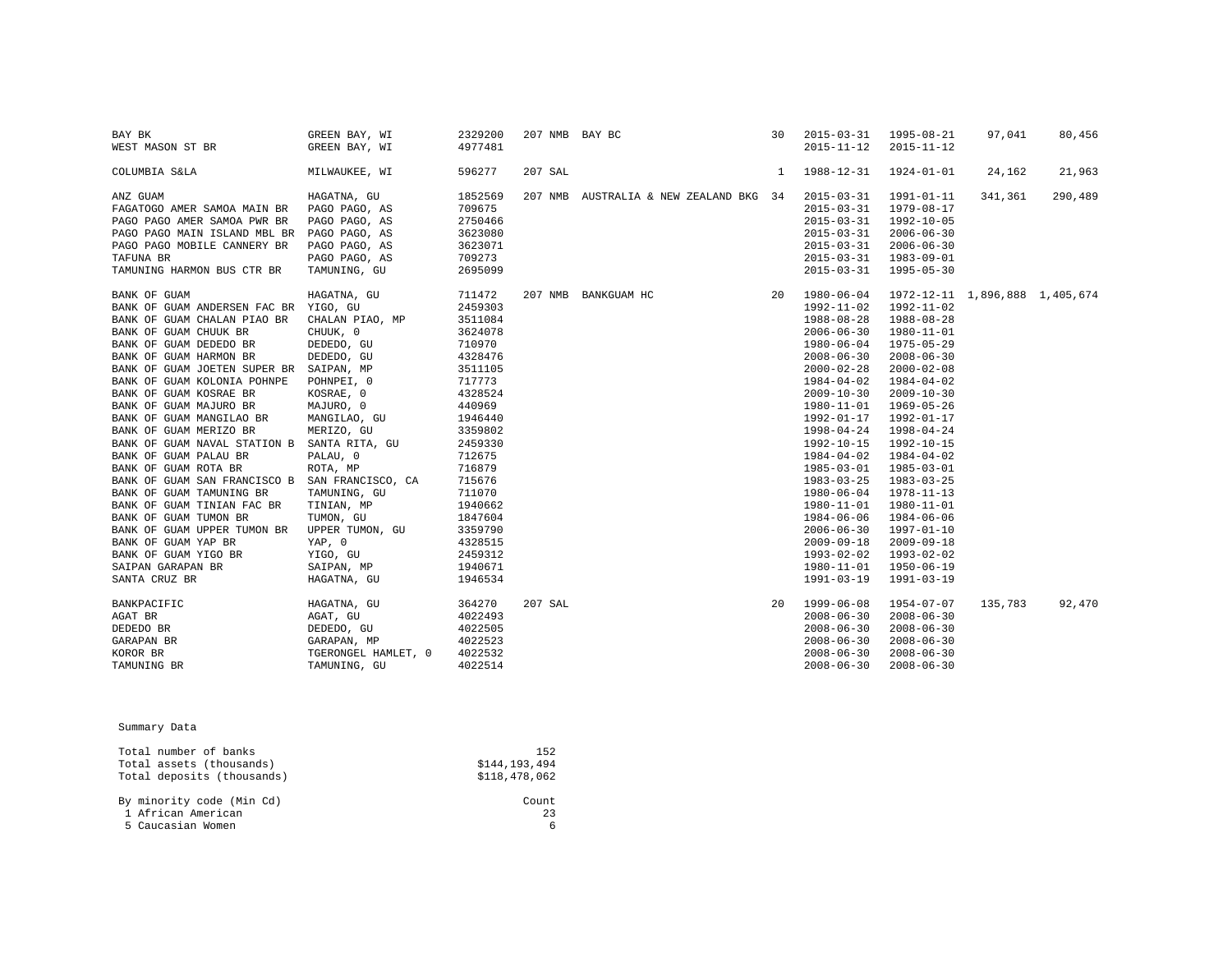| BAY BK                                         | GREEN BAY, WI       | 2329200 | 207 NMB BAY BC |                                                                                                                                                                                                                                                                                     |              | 30 2015-03-31 1995-08-21 |                  | 97,041  | 80,456  |
|------------------------------------------------|---------------------|---------|----------------|-------------------------------------------------------------------------------------------------------------------------------------------------------------------------------------------------------------------------------------------------------------------------------------|--------------|--------------------------|------------------|---------|---------|
| WEST MASON ST BR                               | GREEN BAY, WI       | 4977481 |                |                                                                                                                                                                                                                                                                                     |              | $2015 - 11 - 12$         | $2015 - 11 - 12$ |         |         |
| COLUMBIA S&LA                                  | MILWAUKEE, WI       | 596277  | 207 SAL        |                                                                                                                                                                                                                                                                                     | <sup>1</sup> | 1988-12-31  1924-01-01   |                  | 24,162  | 21,963  |
| ANZ GUAM                                       | HAGATNA, GU         | 1852569 |                | 207 NMB AUSTRALIA & NEW ZEALAND BKG 34                                                                                                                                                                                                                                              |              | $2015 - 03 - 31$         | 1991-01-11       | 341,361 | 290,489 |
| FAGATOGO AMER SAMOA MAIN BR PAGO PAGO, AS      |                     | 709675  |                |                                                                                                                                                                                                                                                                                     |              | $2015 - 03 - 31$         | 1979-08-17       |         |         |
| PAGO PAGO AMER SAMOA PWR BR PAGO PAGO, AS      |                     | 2750466 |                |                                                                                                                                                                                                                                                                                     |              | $2015 - 03 - 31$         | 1992-10-05       |         |         |
| PAGO PAGO MAIN ISLAND MBL BR PAGO PAGO, AS     |                     | 3623080 |                |                                                                                                                                                                                                                                                                                     |              | $2015 - 03 - 31$         | $2006 - 06 - 30$ |         |         |
| PAGO PAGO MOBILE CANNERY BR                    | PAGO PAGO, AS       | 3623071 |                |                                                                                                                                                                                                                                                                                     |              | $2015 - 03 - 31$         | $2006 - 06 - 30$ |         |         |
| TAFUNA BR                                      | PAGO PAGO, AS       | 709273  |                |                                                                                                                                                                                                                                                                                     |              | 2015-03-31 1983-09-01    |                  |         |         |
| TAMUNING HARMON BUS CTR BR                     | TAMUNING, GU        | 2695099 |                |                                                                                                                                                                                                                                                                                     |              | $2015 - 03 - 31$         | 1995-05-30       |         |         |
| BANK OF GUAM                                   | HAGATNA, GU         | 711472  |                |                                                                                                                                                                                                                                                                                     |              |                          |                  |         |         |
| BANK OF GUAM ANDERSEN FAC BR YIGO, GU          |                     | 2459303 |                |                                                                                                                                                                                                                                                                                     |              |                          |                  |         |         |
| BANK OF GUAM CHALAN PIAO BR                    | CHALAN PIAO, MP     | 3511084 |                |                                                                                                                                                                                                                                                                                     |              |                          |                  |         |         |
| BANK OF GUAM CHUUK BR                          | CHUUK, 0            | 3624078 |                |                                                                                                                                                                                                                                                                                     |              |                          |                  |         |         |
| BANK OF GUAM DEDEDO BR                         | DEDEDO, GU          | 710970  |                |                                                                                                                                                                                                                                                                                     |              |                          |                  |         |         |
| BANK OF GUAM HARMON BR                         | DEDEDO, GU          | 4328476 |                |                                                                                                                                                                                                                                                                                     |              |                          |                  |         |         |
| BANK OF GUAM JOETEN SUPER BR SAIPAN, MP        |                     | 3511105 |                |                                                                                                                                                                                                                                                                                     |              |                          |                  |         |         |
| BANK OF GUAM KOLONIA POHNPE POHNPEI, 0         |                     | 717773  |                |                                                                                                                                                                                                                                                                                     |              |                          |                  |         |         |
| BANK OF GUAM KOSRAE BR                         | KOSRAE, 0           | 4328524 |                |                                                                                                                                                                                                                                                                                     |              |                          |                  |         |         |
| BANK OF GUAM MAJURO BR                         | MAJURO, 0           | 440969  |                |                                                                                                                                                                                                                                                                                     |              |                          |                  |         |         |
| BANK OF GUAM MANGILAO BR                       | MANGILAO, GU        | 1946440 |                |                                                                                                                                                                                                                                                                                     |              |                          |                  |         |         |
| BANK OF GUAM MERIZO BR                         | MERIZO, GU          | 3359802 |                |                                                                                                                                                                                                                                                                                     |              |                          |                  |         |         |
| BANK OF GUAM NAVAL STATION B SANTA RITA, GU    |                     | 2459330 |                |                                                                                                                                                                                                                                                                                     |              |                          |                  |         |         |
| BANK OF GUAM PALAU BR                          | PALAU, 0            | 712675  |                |                                                                                                                                                                                                                                                                                     |              |                          |                  |         |         |
| BANK OF GUAM ROTA BR                           | ROTA, MP            | 716879  |                |                                                                                                                                                                                                                                                                                     |              |                          |                  |         |         |
| BANK OF GUAM SAN FRANCISCO B SAN FRANCISCO, CA |                     | 715676  |                |                                                                                                                                                                                                                                                                                     |              |                          |                  |         |         |
| BANK OF GUAM TAMUNING BR                       | TAMUNING, GU        | 711070  |                |                                                                                                                                                                                                                                                                                     |              |                          |                  |         |         |
| BANK OF GUAM TINIAN FAC BR                     | TINIAN, MP          | 1940662 |                |                                                                                                                                                                                                                                                                                     |              |                          |                  |         |         |
| BANK OF GUAM TUMON BR                          | TUMON, GU           | 1847604 |                |                                                                                                                                                                                                                                                                                     |              |                          |                  |         |         |
| BANK OF GUAM UPPER TUMON BR UPPER TUMON, GU    |                     | 3359790 |                |                                                                                                                                                                                                                                                                                     |              |                          |                  |         |         |
| BANK OF GUAM YAP BR                            | YAP, 0              | 4328515 |                |                                                                                                                                                                                                                                                                                     |              |                          |                  |         |         |
| BANK OF GUAM YIGO BR                           | YIGO, GU            | 2459312 |                |                                                                                                                                                                                                                                                                                     |              |                          |                  |         |         |
| SAIPAN GARAPAN BR                              | SAIPAN, MP          | 1940671 |                |                                                                                                                                                                                                                                                                                     |              |                          |                  |         |         |
| SANTA CRUZ BR                                  | HAGATNA, GU         | 1946534 |                |                                                                                                                                                                                                                                                                                     |              |                          |                  |         |         |
| BANKPACIFIC                                    | HAGATNA, GU         | 364270  |                | $\begin{array}{cccc} 2015\!-\!03\!-\!31 & 1995\!-\!05\!-\!31 & \\ 20195\!-\!05\!-\!31 & 1,896,888 & 1,405,674 \\ 1992\!-\!12\!-\!02 & 1992\!-\!11\!-\!02 & \\ 1992\!-\!12\!-\!02 & 1992\!-\!11\!-\!02 & \\ 1982\!-\!08\!-\!23 & 1988\!-\!08\!-\!21 & \\ 2006\!-\!06\!-\!30 & 1980\$ |              |                          |                  |         |         |
| AGAT BR                                        | AGAT, GU            | 4022493 |                |                                                                                                                                                                                                                                                                                     |              |                          |                  |         |         |
| DEDEDO BR                                      | DEDEDO, GU          | 4022505 |                |                                                                                                                                                                                                                                                                                     |              |                          |                  |         |         |
| GARAPAN BR                                     | GARAPAN, MP         | 4022523 |                |                                                                                                                                                                                                                                                                                     |              |                          |                  |         |         |
| KOROR BR                                       | TGERONGEL HAMLET, 0 | 4022532 |                |                                                                                                                                                                                                                                                                                     |              |                          |                  |         |         |
| TAMUNING BR                                    | TAMUNING, GU        | 4022514 |                |                                                                                                                                                                                                                                                                                     |              |                          |                  |         |         |

Summary Data

| Total number of banks      | 152           |
|----------------------------|---------------|
| Total assets (thousands)   | \$144,193,494 |
| Total deposits (thousands) | \$118,478,062 |
| By minority code (Min Cd)  | Count.        |
| 1 African American         | 23            |
| 5 Caucasian Women          | 6             |